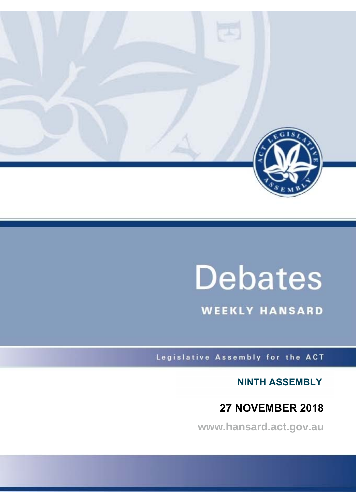

# **Debates**

**WEEKLY HANSARD** 

Legislative Assembly for the ACT

**NINTH ASSEMBLY**

# **27 NOVEMBER 2018**

**www.hansard.act.gov.au**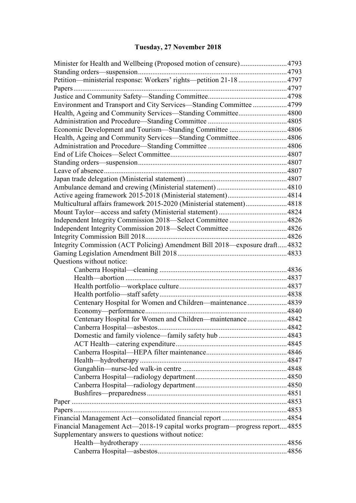# **[Tuesday, 27 November 2018](#page-3-0)**

| Minister for Health and Wellbeing (Proposed motion of censure)4793          |       |  |  |  |  |
|-----------------------------------------------------------------------------|-------|--|--|--|--|
|                                                                             |       |  |  |  |  |
| Petition—ministerial response: Workers' rights—petition 21-18 4797          |       |  |  |  |  |
|                                                                             |       |  |  |  |  |
|                                                                             |       |  |  |  |  |
| Environment and Transport and City Services-Standing Committee  4799        |       |  |  |  |  |
| Health, Ageing and Community Services-Standing Committee 4800               |       |  |  |  |  |
|                                                                             |       |  |  |  |  |
|                                                                             |       |  |  |  |  |
| Health, Ageing and Community Services—Standing Committee 4806               |       |  |  |  |  |
|                                                                             |       |  |  |  |  |
|                                                                             |       |  |  |  |  |
|                                                                             |       |  |  |  |  |
|                                                                             |       |  |  |  |  |
|                                                                             |       |  |  |  |  |
|                                                                             |       |  |  |  |  |
|                                                                             |       |  |  |  |  |
| Multicultural affairs framework 2015-2020 (Ministerial statement)4818       |       |  |  |  |  |
|                                                                             |       |  |  |  |  |
|                                                                             |       |  |  |  |  |
|                                                                             |       |  |  |  |  |
|                                                                             |       |  |  |  |  |
| Integrity Commission (ACT Policing) Amendment Bill 2018—exposure draft 4832 |       |  |  |  |  |
|                                                                             | .4833 |  |  |  |  |
| Questions without notice:                                                   |       |  |  |  |  |
|                                                                             |       |  |  |  |  |
|                                                                             |       |  |  |  |  |
|                                                                             |       |  |  |  |  |
|                                                                             |       |  |  |  |  |
| Centenary Hospital for Women and Children-maintenance4839                   |       |  |  |  |  |
|                                                                             |       |  |  |  |  |
| Centenary Hospital for Women and Children-maintenance4842                   |       |  |  |  |  |
|                                                                             |       |  |  |  |  |
|                                                                             |       |  |  |  |  |
|                                                                             |       |  |  |  |  |
|                                                                             |       |  |  |  |  |
|                                                                             |       |  |  |  |  |
|                                                                             |       |  |  |  |  |
|                                                                             |       |  |  |  |  |
|                                                                             |       |  |  |  |  |
|                                                                             |       |  |  |  |  |
|                                                                             |       |  |  |  |  |
|                                                                             |       |  |  |  |  |
|                                                                             |       |  |  |  |  |
| Financial Management Act-2018-19 capital works program-progress report 4855 |       |  |  |  |  |
| Supplementary answers to questions without notice:                          |       |  |  |  |  |
|                                                                             |       |  |  |  |  |
|                                                                             |       |  |  |  |  |
|                                                                             |       |  |  |  |  |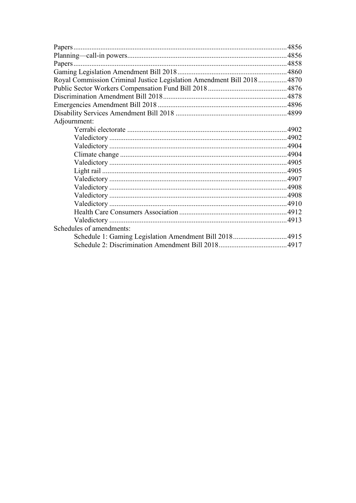| Royal Commission Criminal Justice Legislation Amendment Bill 2018 4870 |       |  |
|------------------------------------------------------------------------|-------|--|
|                                                                        |       |  |
|                                                                        |       |  |
|                                                                        |       |  |
|                                                                        |       |  |
| Adjournment:                                                           |       |  |
|                                                                        | .4902 |  |
|                                                                        |       |  |
|                                                                        |       |  |
|                                                                        |       |  |
|                                                                        |       |  |
|                                                                        |       |  |
|                                                                        |       |  |
|                                                                        |       |  |
|                                                                        |       |  |
|                                                                        |       |  |
|                                                                        |       |  |
|                                                                        |       |  |
| Schedules of amendments:                                               |       |  |
| Schedule 1: Gaming Legislation Amendment Bill 2018 4915                |       |  |
|                                                                        |       |  |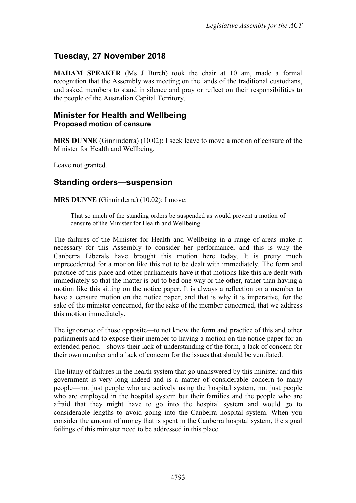# <span id="page-3-0"></span>**Tuesday, 27 November 2018**

**MADAM SPEAKER** (Ms J Burch) took the chair at 10 am, made a formal recognition that the Assembly was meeting on the lands of the traditional custodians, and asked members to stand in silence and pray or reflect on their responsibilities to the people of the Australian Capital Territory.

#### <span id="page-3-2"></span><span id="page-3-1"></span>**Minister for Health and Wellbeing Proposed motion of censure**

**MRS DUNNE** (Ginninderra) (10.02): I seek leave to move a motion of censure of the Minister for Health and Wellbeing.

Leave not granted.

# <span id="page-3-3"></span>**Standing orders—suspension**

**MRS DUNNE** (Ginninderra) (10.02): I move:

That so much of the standing orders be suspended as would prevent a motion of censure of the Minister for Health and Wellbeing.

The failures of the Minister for Health and Wellbeing in a range of areas make it necessary for this Assembly to consider her performance, and this is why the Canberra Liberals have brought this motion here today. It is pretty much unprecedented for a motion like this not to be dealt with immediately. The form and practice of this place and other parliaments have it that motions like this are dealt with immediately so that the matter is put to bed one way or the other, rather than having a motion like this sitting on the notice paper. It is always a reflection on a member to have a censure motion on the notice paper, and that is why it is imperative, for the sake of the minister concerned, for the sake of the member concerned, that we address this motion immediately.

The ignorance of those opposite—to not know the form and practice of this and other parliaments and to expose their member to having a motion on the notice paper for an extended period—shows their lack of understanding of the form, a lack of concern for their own member and a lack of concern for the issues that should be ventilated.

The litany of failures in the health system that go unanswered by this minister and this government is very long indeed and is a matter of considerable concern to many people—not just people who are actively using the hospital system, not just people who are employed in the hospital system but their families and the people who are afraid that they might have to go into the hospital system and would go to considerable lengths to avoid going into the Canberra hospital system. When you consider the amount of money that is spent in the Canberra hospital system, the signal failings of this minister need to be addressed in this place.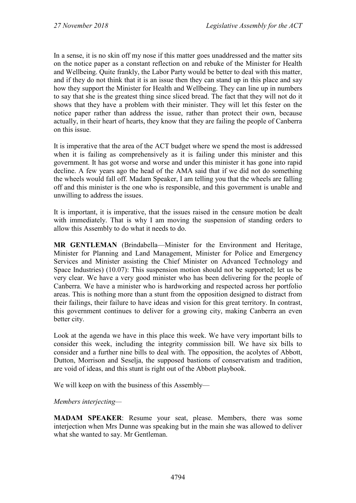In a sense, it is no skin off my nose if this matter goes unaddressed and the matter sits on the notice paper as a constant reflection on and rebuke of the Minister for Health and Wellbeing. Quite frankly, the Labor Party would be better to deal with this matter, and if they do not think that it is an issue then they can stand up in this place and say how they support the Minister for Health and Wellbeing. They can line up in numbers to say that she is the greatest thing since sliced bread. The fact that they will not do it shows that they have a problem with their minister. They will let this fester on the notice paper rather than address the issue, rather than protect their own, because actually, in their heart of hearts, they know that they are failing the people of Canberra on this issue.

It is imperative that the area of the ACT budget where we spend the most is addressed when it is failing as comprehensively as it is failing under this minister and this government. It has got worse and worse and under this minister it has gone into rapid decline. A few years ago the head of the AMA said that if we did not do something the wheels would fall off. Madam Speaker, I am telling you that the wheels are falling off and this minister is the one who is responsible, and this government is unable and unwilling to address the issues.

It is important, it is imperative, that the issues raised in the censure motion be dealt with immediately. That is why I am moving the suspension of standing orders to allow this Assembly to do what it needs to do.

**MR GENTLEMAN** (Brindabella—Minister for the Environment and Heritage, Minister for Planning and Land Management, Minister for Police and Emergency Services and Minister assisting the Chief Minister on Advanced Technology and Space Industries) (10.07): This suspension motion should not be supported; let us be very clear. We have a very good minister who has been delivering for the people of Canberra. We have a minister who is hardworking and respected across her portfolio areas. This is nothing more than a stunt from the opposition designed to distract from their failings, their failure to have ideas and vision for this great territory. In contrast, this government continues to deliver for a growing city, making Canberra an even better city.

Look at the agenda we have in this place this week. We have very important bills to consider this week, including the integrity commission bill. We have six bills to consider and a further nine bills to deal with. The opposition, the acolytes of Abbott, Dutton, Morrison and Seselja, the supposed bastions of conservatism and tradition, are void of ideas, and this stunt is right out of the Abbott playbook.

We will keep on with the business of this Assembly—

*Members interjecting—*

**MADAM SPEAKER**: Resume your seat, please. Members, there was some interjection when Mrs Dunne was speaking but in the main she was allowed to deliver what she wanted to say. Mr Gentleman.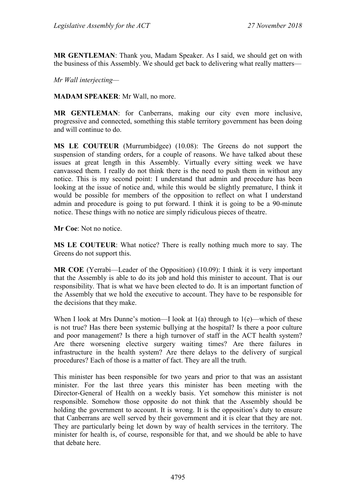**MR GENTLEMAN**: Thank you, Madam Speaker. As I said, we should get on with the business of this Assembly. We should get back to delivering what really matters—

*Mr Wall interjecting—*

**MADAM SPEAKER**: Mr Wall, no more.

**MR GENTLEMAN**: for Canberrans, making our city even more inclusive, progressive and connected, something this stable territory government has been doing and will continue to do.

**MS LE COUTEUR** (Murrumbidgee) (10.08): The Greens do not support the suspension of standing orders, for a couple of reasons. We have talked about these issues at great length in this Assembly. Virtually every sitting week we have canvassed them. I really do not think there is the need to push them in without any notice. This is my second point: I understand that admin and procedure has been looking at the issue of notice and, while this would be slightly premature, I think it would be possible for members of the opposition to reflect on what I understand admin and procedure is going to put forward. I think it is going to be a 90-minute notice. These things with no notice are simply ridiculous pieces of theatre.

**Mr Coe**: Not no notice.

**MS LE COUTEUR**: What notice? There is really nothing much more to say. The Greens do not support this.

**MR COE** (Yerrabi—Leader of the Opposition) (10.09): I think it is very important that the Assembly is able to do its job and hold this minister to account. That is our responsibility. That is what we have been elected to do. It is an important function of the Assembly that we hold the executive to account. They have to be responsible for the decisions that they make.

When I look at Mrs Dunne's motion—I look at  $1(a)$  through to  $1(e)$ —which of these is not true? Has there been systemic bullying at the hospital? Is there a poor culture and poor management? Is there a high turnover of staff in the ACT health system? Are there worsening elective surgery waiting times? Are there failures in infrastructure in the health system? Are there delays to the delivery of surgical procedures? Each of those is a matter of fact. They are all the truth.

This minister has been responsible for two years and prior to that was an assistant minister. For the last three years this minister has been meeting with the Director-General of Health on a weekly basis. Yet somehow this minister is not responsible. Somehow those opposite do not think that the Assembly should be holding the government to account. It is wrong. It is the opposition's duty to ensure that Canberrans are well served by their government and it is clear that they are not. They are particularly being let down by way of health services in the territory. The minister for health is, of course, responsible for that, and we should be able to have that debate here.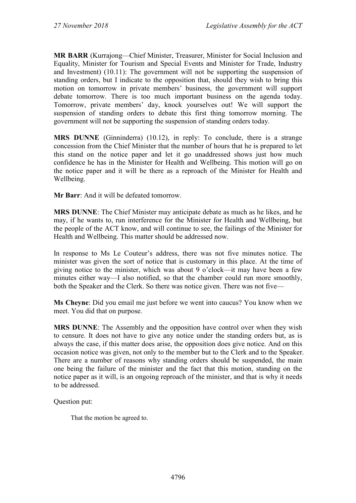**MR BARR** (Kurrajong—Chief Minister, Treasurer, Minister for Social Inclusion and Equality, Minister for Tourism and Special Events and Minister for Trade, Industry and Investment) (10.11): The government will not be supporting the suspension of standing orders, but I indicate to the opposition that, should they wish to bring this motion on tomorrow in private members' business, the government will support debate tomorrow. There is too much important business on the agenda today. Tomorrow, private members' day, knock yourselves out! We will support the suspension of standing orders to debate this first thing tomorrow morning. The government will not be supporting the suspension of standing orders today.

**MRS DUNNE** (Ginninderra) (10.12), in reply: To conclude, there is a strange concession from the Chief Minister that the number of hours that he is prepared to let this stand on the notice paper and let it go unaddressed shows just how much confidence he has in the Minister for Health and Wellbeing. This motion will go on the notice paper and it will be there as a reproach of the Minister for Health and Wellbeing.

**Mr Barr**: And it will be defeated tomorrow.

**MRS DUNNE**: The Chief Minister may anticipate debate as much as he likes, and he may, if he wants to, run interference for the Minister for Health and Wellbeing, but the people of the ACT know, and will continue to see, the failings of the Minister for Health and Wellbeing. This matter should be addressed now.

In response to Ms Le Couteur's address, there was not five minutes notice. The minister was given the sort of notice that is customary in this place. At the time of giving notice to the minister, which was about 9 o'clock—it may have been a few minutes either way—I also notified, so that the chamber could run more smoothly, both the Speaker and the Clerk. So there was notice given. There was not five—

**Ms Cheyne**: Did you email me just before we went into caucus? You know when we meet. You did that on purpose.

**MRS DUNNE**: The Assembly and the opposition have control over when they wish to censure. It does not have to give any notice under the standing orders but, as is always the case, if this matter does arise, the opposition does give notice. And on this occasion notice was given, not only to the member but to the Clerk and to the Speaker. There are a number of reasons why standing orders should be suspended, the main one being the failure of the minister and the fact that this motion, standing on the notice paper as it will, is an ongoing reproach of the minister, and that is why it needs to be addressed.

Question put:

That the motion be agreed to.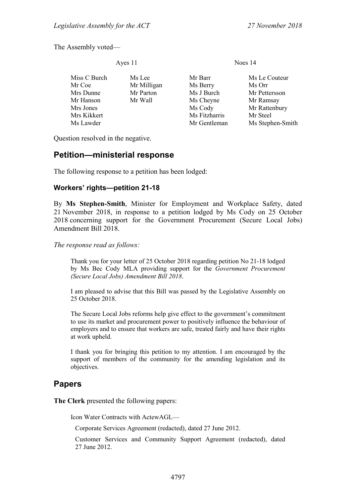The Assembly voted—

Ayes 11 Noes 14

| Miss C Burch | Ms Lee      | Mr Barr       | Ms Le Couteur    |
|--------------|-------------|---------------|------------------|
| Mr Coe       | Mr Milligan | Ms Berry      | Ms Orr           |
| Mrs Dunne    | Mr Parton   | Ms J Burch    | Mr Pettersson    |
| Mr Hanson    | Mr Wall     | Ms Cheyne     | Mr Ramsay        |
| Mrs Jones    |             | Ms Cody       | Mr Rattenbury    |
| Mrs Kikkert  |             | Ms Fitzharris | Mr Steel         |
| Ms Lawder    |             | Mr Gentleman  | Ms Stephen-Smith |

Question resolved in the negative.

# <span id="page-7-0"></span>**Petition—ministerial response**

The following response to a petition has been lodged:

#### <span id="page-7-1"></span>**Workers' rights—petition 21-18**

By **Ms Stephen-Smith**, Minister for Employment and Workplace Safety, dated 21 November 2018, in response to a petition lodged by Ms Cody on 25 October 2018 concerning support for the Government Procurement (Secure Local Jobs) Amendment Bill 2018.

*The response read as follows:*

Thank you for your letter of 25 October 2018 regarding petition No 21-18 lodged by Ms Bec Cody MLA providing support for the *Government Procurement (Secure Local Jobs) Amendment Bill 2018*.

I am pleased to advise that this Bill was passed by the Legislative Assembly on 25 October 2018.

The Secure Local Jobs reforms help give effect to the government's commitment to use its market and procurement power to positively influence the behaviour of employers and to ensure that workers are safe, treated fairly and have their rights at work upheld.

I thank you for bringing this petition to my attention. I am encouraged by the support of members of the community for the amending legislation and its objectives.

# <span id="page-7-2"></span>**Papers**

**The Clerk** presented the following papers:

Icon Water Contracts with ActewAGL—

Corporate Services Agreement (redacted), dated 27 June 2012.

Customer Services and Community Support Agreement (redacted), dated 27 June 2012.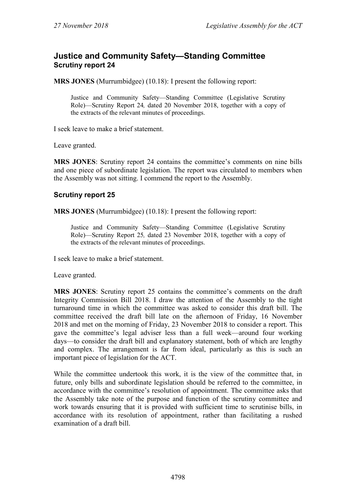# <span id="page-8-0"></span>**Justice and Community Safety—Standing Committee Scrutiny report 24**

**MRS JONES** (Murrumbidgee) (10.18): I present the following report:

Justice and Community Safety—Standing Committee (Legislative Scrutiny Role)—Scrutiny Report 24*,* dated 20 November 2018, together with a copy of the extracts of the relevant minutes of proceedings.

I seek leave to make a brief statement.

Leave granted.

**MRS JONES**: Scrutiny report 24 contains the committee's comments on nine bills and one piece of subordinate legislation. The report was circulated to members when the Assembly was not sitting. I commend the report to the Assembly.

#### **Scrutiny report 25**

**MRS JONES** (Murrumbidgee) (10.18): I present the following report:

Justice and Community Safety—Standing Committee (Legislative Scrutiny Role)—Scrutiny Report 25*,* dated 23 November 2018, together with a copy of the extracts of the relevant minutes of proceedings.

I seek leave to make a brief statement.

Leave granted.

**MRS JONES**: Scrutiny report 25 contains the committee's comments on the draft Integrity Commission Bill 2018. I draw the attention of the Assembly to the tight turnaround time in which the committee was asked to consider this draft bill. The committee received the draft bill late on the afternoon of Friday, 16 November 2018 and met on the morning of Friday, 23 November 2018 to consider a report. This gave the committee's legal adviser less than a full week—around four working days—to consider the draft bill and explanatory statement, both of which are lengthy and complex. The arrangement is far from ideal, particularly as this is such an important piece of legislation for the ACT.

While the committee undertook this work, it is the view of the committee that, in future, only bills and subordinate legislation should be referred to the committee, in accordance with the committee's resolution of appointment. The committee asks that the Assembly take note of the purpose and function of the scrutiny committee and work towards ensuring that it is provided with sufficient time to scrutinise bills, in accordance with its resolution of appointment, rather than facilitating a rushed examination of a draft bill.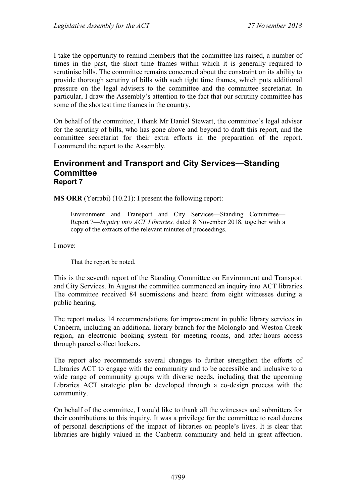I take the opportunity to remind members that the committee has raised, a number of times in the past, the short time frames within which it is generally required to scrutinise bills. The committee remains concerned about the constraint on its ability to provide thorough scrutiny of bills with such tight time frames, which puts additional pressure on the legal advisers to the committee and the committee secretariat. In particular, I draw the Assembly's attention to the fact that our scrutiny committee has some of the shortest time frames in the country.

On behalf of the committee, I thank Mr Daniel Stewart, the committee's legal adviser for the scrutiny of bills, who has gone above and beyond to draft this report, and the committee secretariat for their extra efforts in the preparation of the report. I commend the report to the Assembly.

#### <span id="page-9-0"></span>**Environment and Transport and City Services—Standing Committee Report 7**

**MS ORR** (Yerrabi) (10.21): I present the following report:

Environment and Transport and City Services—Standing Committee— Report 7—*Inquiry into ACT Libraries,* dated 8 November 2018, together with a copy of the extracts of the relevant minutes of proceedings.

I move:

That the report be noted.

This is the seventh report of the Standing Committee on Environment and Transport and City Services. In August the committee commenced an inquiry into ACT libraries. The committee received 84 submissions and heard from eight witnesses during a public hearing.

The report makes 14 recommendations for improvement in public library services in Canberra, including an additional library branch for the Molonglo and Weston Creek region, an electronic booking system for meeting rooms, and after-hours access through parcel collect lockers.

The report also recommends several changes to further strengthen the efforts of Libraries ACT to engage with the community and to be accessible and inclusive to a wide range of community groups with diverse needs, including that the upcoming Libraries ACT strategic plan be developed through a co-design process with the community.

On behalf of the committee, I would like to thank all the witnesses and submitters for their contributions to this inquiry. It was a privilege for the committee to read dozens of personal descriptions of the impact of libraries on people's lives. It is clear that libraries are highly valued in the Canberra community and held in great affection.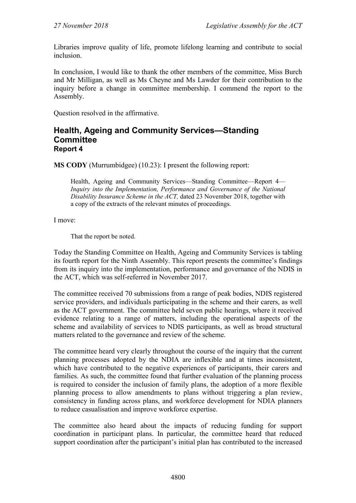Libraries improve quality of life, promote lifelong learning and contribute to social inclusion.

In conclusion, I would like to thank the other members of the committee, Miss Burch and Mr Milligan, as well as Ms Cheyne and Ms Lawder for their contribution to the inquiry before a change in committee membership. I commend the report to the Assembly.

Question resolved in the affirmative.

#### <span id="page-10-0"></span>**Health, Ageing and Community Services—Standing Committee Report 4**

**MS CODY** (Murrumbidgee) (10.23): I present the following report:

Health, Ageing and Community Services—Standing Committee—Report 4— *Inquiry into the Implementation, Performance and Governance of the National Disability Insurance Scheme in the ACT,* dated 23 November 2018, together with a copy of the extracts of the relevant minutes of proceedings.

I move:

That the report be noted.

Today the Standing Committee on Health, Ageing and Community Services is tabling its fourth report for the Ninth Assembly. This report presents the committee's findings from its inquiry into the implementation, performance and governance of the NDIS in the ACT, which was self-referred in November 2017.

The committee received 70 submissions from a range of peak bodies, NDIS registered service providers, and individuals participating in the scheme and their carers, as well as the ACT government. The committee held seven public hearings, where it received evidence relating to a range of matters, including the operational aspects of the scheme and availability of services to NDIS participants, as well as broad structural matters related to the governance and review of the scheme.

The committee heard very clearly throughout the course of the inquiry that the current planning processes adopted by the NDIA are inflexible and at times inconsistent, which have contributed to the negative experiences of participants, their carers and families. As such, the committee found that further evaluation of the planning process is required to consider the inclusion of family plans, the adoption of a more flexible planning process to allow amendments to plans without triggering a plan review, consistency in funding across plans, and workforce development for NDIA planners to reduce casualisation and improve workforce expertise.

The committee also heard about the impacts of reducing funding for support coordination in participant plans. In particular, the committee heard that reduced support coordination after the participant's initial plan has contributed to the increased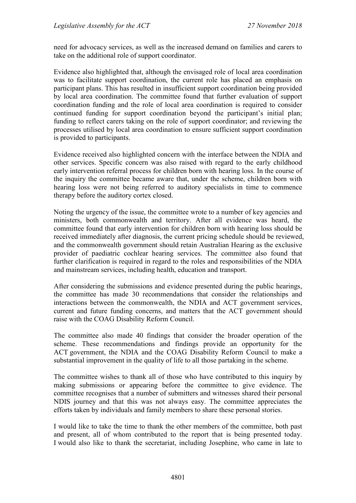need for advocacy services, as well as the increased demand on families and carers to take on the additional role of support coordinator.

Evidence also highlighted that, although the envisaged role of local area coordination was to facilitate support coordination, the current role has placed an emphasis on participant plans. This has resulted in insufficient support coordination being provided by local area coordination. The committee found that further evaluation of support coordination funding and the role of local area coordination is required to consider continued funding for support coordination beyond the participant's initial plan; funding to reflect carers taking on the role of support coordinator; and reviewing the processes utilised by local area coordination to ensure sufficient support coordination is provided to participants.

Evidence received also highlighted concern with the interface between the NDIA and other services. Specific concern was also raised with regard to the early childhood early intervention referral process for children born with hearing loss. In the course of the inquiry the committee became aware that, under the scheme, children born with hearing loss were not being referred to auditory specialists in time to commence therapy before the auditory cortex closed.

Noting the urgency of the issue, the committee wrote to a number of key agencies and ministers, both commonwealth and territory. After all evidence was heard, the committee found that early intervention for children born with hearing loss should be received immediately after diagnosis, the current pricing schedule should be reviewed, and the commonwealth government should retain Australian Hearing as the exclusive provider of paediatric cochlear hearing services. The committee also found that further clarification is required in regard to the roles and responsibilities of the NDIA and mainstream services, including health, education and transport.

After considering the submissions and evidence presented during the public hearings, the committee has made 30 recommendations that consider the relationships and interactions between the commonwealth, the NDIA and ACT government services, current and future funding concerns, and matters that the ACT government should raise with the COAG Disability Reform Council.

The committee also made 40 findings that consider the broader operation of the scheme. These recommendations and findings provide an opportunity for the ACT government, the NDIA and the COAG Disability Reform Council to make a substantial improvement in the quality of life to all those partaking in the scheme.

The committee wishes to thank all of those who have contributed to this inquiry by making submissions or appearing before the committee to give evidence. The committee recognises that a number of submitters and witnesses shared their personal NDIS journey and that this was not always easy. The committee appreciates the efforts taken by individuals and family members to share these personal stories.

I would like to take the time to thank the other members of the committee, both past and present, all of whom contributed to the report that is being presented today. I would also like to thank the secretariat, including Josephine, who came in late to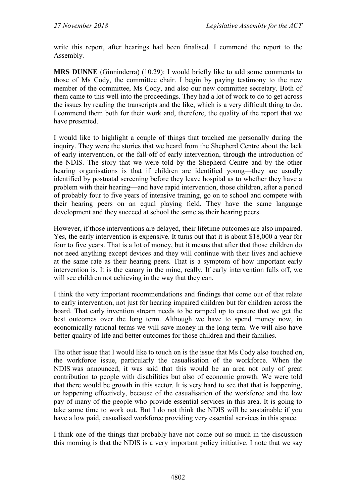write this report, after hearings had been finalised. I commend the report to the Assembly.

**MRS DUNNE** (Ginninderra) (10.29): I would briefly like to add some comments to those of Ms Cody, the committee chair. I begin by paying testimony to the new member of the committee, Ms Cody, and also our new committee secretary. Both of them came to this well into the proceedings. They had a lot of work to do to get across the issues by reading the transcripts and the like, which is a very difficult thing to do. I commend them both for their work and, therefore, the quality of the report that we have presented.

I would like to highlight a couple of things that touched me personally during the inquiry. They were the stories that we heard from the Shepherd Centre about the lack of early intervention, or the fall-off of early intervention, through the introduction of the NDIS. The story that we were told by the Shepherd Centre and by the other hearing organisations is that if children are identified young—they are usually identified by postnatal screening before they leave hospital as to whether they have a problem with their hearing—and have rapid intervention, those children, after a period of probably four to five years of intensive training, go on to school and compete with their hearing peers on an equal playing field. They have the same language development and they succeed at school the same as their hearing peers.

However, if those interventions are delayed, their lifetime outcomes are also impaired. Yes, the early intervention is expensive. It turns out that it is about \$18,000 a year for four to five years. That is a lot of money, but it means that after that those children do not need anything except devices and they will continue with their lives and achieve at the same rate as their hearing peers. That is a symptom of how important early intervention is. It is the canary in the mine, really. If early intervention falls off, we will see children not achieving in the way that they can.

I think the very important recommendations and findings that come out of that relate to early intervention, not just for hearing impaired children but for children across the board. That early invention stream needs to be ramped up to ensure that we get the best outcomes over the long term. Although we have to spend money now, in economically rational terms we will save money in the long term. We will also have better quality of life and better outcomes for those children and their families.

The other issue that I would like to touch on is the issue that Ms Cody also touched on, the workforce issue, particularly the casualisation of the workforce. When the NDIS was announced, it was said that this would be an area not only of great contribution to people with disabilities but also of economic growth. We were told that there would be growth in this sector. It is very hard to see that that is happening, or happening effectively, because of the casualisation of the workforce and the low pay of many of the people who provide essential services in this area. It is going to take some time to work out. But I do not think the NDIS will be sustainable if you have a low paid, casualised workforce providing very essential services in this space.

I think one of the things that probably have not come out so much in the discussion this morning is that the NDIS is a very important policy initiative. I note that we say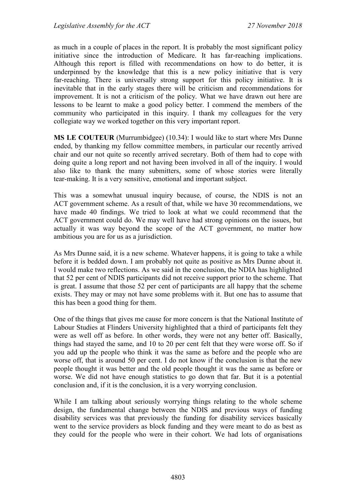as much in a couple of places in the report. It is probably the most significant policy initiative since the introduction of Medicare. It has far-reaching implications. Although this report is filled with recommendations on how to do better, it is underpinned by the knowledge that this is a new policy initiative that is very far-reaching. There is universally strong support for this policy initiative. It is inevitable that in the early stages there will be criticism and recommendations for improvement. It is not a criticism of the policy. What we have drawn out here are lessons to be learnt to make a good policy better. I commend the members of the community who participated in this inquiry. I thank my colleagues for the very collegiate way we worked together on this very important report.

**MS LE COUTEUR** (Murrumbidgee) (10.34): I would like to start where Mrs Dunne ended, by thanking my fellow committee members, in particular our recently arrived chair and our not quite so recently arrived secretary. Both of them had to cope with doing quite a long report and not having been involved in all of the inquiry. I would also like to thank the many submitters, some of whose stories were literally tear-making. It is a very sensitive, emotional and important subject.

This was a somewhat unusual inquiry because, of course, the NDIS is not an ACT government scheme. As a result of that, while we have 30 recommendations, we have made 40 findings. We tried to look at what we could recommend that the ACT government could do. We may well have had strong opinions on the issues, but actually it was way beyond the scope of the ACT government, no matter how ambitious you are for us as a jurisdiction.

As Mrs Dunne said, it is a new scheme. Whatever happens, it is going to take a while before it is bedded down. I am probably not quite as positive as Mrs Dunne about it. I would make two reflections. As we said in the conclusion, the NDIA has highlighted that 52 per cent of NDIS participants did not receive support prior to the scheme. That is great. I assume that those 52 per cent of participants are all happy that the scheme exists. They may or may not have some problems with it. But one has to assume that this has been a good thing for them.

One of the things that gives me cause for more concern is that the National Institute of Labour Studies at Flinders University highlighted that a third of participants felt they were as well off as before. In other words, they were not any better off. Basically, things had stayed the same, and 10 to 20 per cent felt that they were worse off. So if you add up the people who think it was the same as before and the people who are worse off, that is around 50 per cent. I do not know if the conclusion is that the new people thought it was better and the old people thought it was the same as before or worse. We did not have enough statistics to go down that far. But it is a potential conclusion and, if it is the conclusion, it is a very worrying conclusion.

While I am talking about seriously worrying things relating to the whole scheme design, the fundamental change between the NDIS and previous ways of funding disability services was that previously the funding for disability services basically went to the service providers as block funding and they were meant to do as best as they could for the people who were in their cohort. We had lots of organisations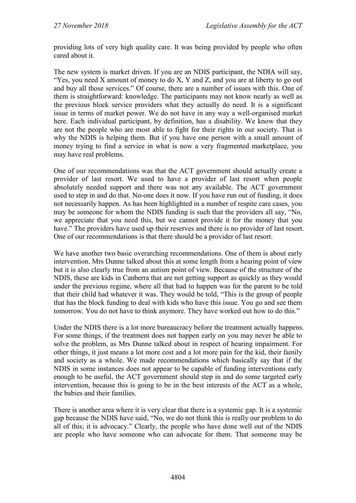providing lots of very high quality care. It was being provided by people who often cared about it.

The new system is market driven. If you are an NDIS participant, the NDIA will say, "Yes, you need X amount of money to do X, Y and Z, and you are at liberty to go out and buy all those services." Of course, there are a number of issues with this. One of them is straightforward: knowledge. The participants may not know nearly as well as the previous block service providers what they actually do need. It is a significant issue in terms of market power. We do not have in any way a well-organised market here. Each individual participant, by definition, has a disability. We know that they are not the people who are most able to fight for their rights in our society. That is why the NDIS is helping them. But if you have one person with a small amount of money trying to find a service in what is now a very fragmented marketplace, you may have real problems.

One of our recommendations was that the ACT government should actually create a provider of last resort. We used to have a provider of last resort when people absolutely needed support and there was not any available. The ACT government used to step in and do that. No-one does it now. If you have run out of funding, it does not necessarily happen. As has been highlighted in a number of respite care cases, you may be someone for whom the NDIS funding is such that the providers all say, "No, we appreciate that you need this, but we cannot provide it for the money that you have." The providers have used up their reserves and there is no provider of last resort. One of our recommendations is that there should be a provider of last resort.

We have another two basic overarching recommendations. One of them is about early intervention. Mrs Dunne talked about this at some length from a hearing point of view but it is also clearly true from an autism point of view. Because of the structure of the NDIS, these are kids in Canberra that are not getting support as quickly as they would under the previous regime, where all that had to happen was for the parent to be told that their child had whatever it was. They would be told, "This is the group of people that has the block funding to deal with kids who have this issue. You go and see them tomorrow. You do not have to think anymore. They have worked out how to do this."

Under the NDIS there is a lot more bureaucracy before the treatment actually happens. For some things, if the treatment does not happen early on you may never be able to solve the problem, as Mrs Dunne talked about in respect of hearing impairment. For other things, it just means a lot more cost and a lot more pain for the kid, their family and society as a whole. We made recommendations which basically say that if the NDIS in some instances does not appear to be capable of funding interventions early enough to be useful, the ACT government should step in and do some targeted early intervention, because this is going to be in the best interests of the ACT as a whole, the babies and their families.

There is another area where it is very clear that there is a systemic gap. It is a systemic gap because the NDIS have said, "No, we do not think this is really our problem to do all of this; it is advocacy." Clearly, the people who have done well out of the NDIS are people who have someone who can advocate for them. That someone may be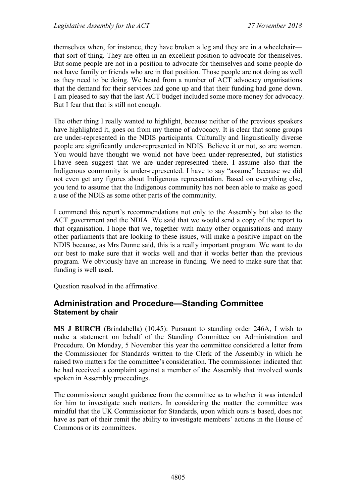themselves when, for instance, they have broken a leg and they are in a wheelchair that sort of thing. They are often in an excellent position to advocate for themselves. But some people are not in a position to advocate for themselves and some people do not have family or friends who are in that position. Those people are not doing as well as they need to be doing. We heard from a number of ACT advocacy organisations that the demand for their services had gone up and that their funding had gone down. I am pleased to say that the last ACT budget included some more money for advocacy. But I fear that that is still not enough.

The other thing I really wanted to highlight, because neither of the previous speakers have highlighted it, goes on from my theme of advocacy. It is clear that some groups are under-represented in the NDIS participants. Culturally and linguistically diverse people are significantly under-represented in NDIS. Believe it or not, so are women. You would have thought we would not have been under-represented, but statistics I have seen suggest that we are under-represented there. I assume also that the Indigenous community is under-represented. I have to say "assume" because we did not even get any figures about Indigenous representation. Based on everything else, you tend to assume that the Indigenous community has not been able to make as good a use of the NDIS as some other parts of the community.

I commend this report's recommendations not only to the Assembly but also to the ACT government and the NDIA. We said that we would send a copy of the report to that organisation. I hope that we, together with many other organisations and many other parliaments that are looking to these issues, will make a positive impact on the NDIS because, as Mrs Dunne said, this is a really important program. We want to do our best to make sure that it works well and that it works better than the previous program. We obviously have an increase in funding. We need to make sure that that funding is well used.

Question resolved in the affirmative.

# <span id="page-15-0"></span>**Administration and Procedure—Standing Committee Statement by chair**

**MS J BURCH** (Brindabella) (10.45): Pursuant to standing order 246A, I wish to make a statement on behalf of the Standing Committee on Administration and Procedure. On Monday, 5 November this year the committee considered a letter from the Commissioner for Standards written to the Clerk of the Assembly in which he raised two matters for the committee's consideration. The commissioner indicated that he had received a complaint against a member of the Assembly that involved words spoken in Assembly proceedings.

The commissioner sought guidance from the committee as to whether it was intended for him to investigate such matters. In considering the matter the committee was mindful that the UK Commissioner for Standards, upon which ours is based, does not have as part of their remit the ability to investigate members' actions in the House of Commons or its committees.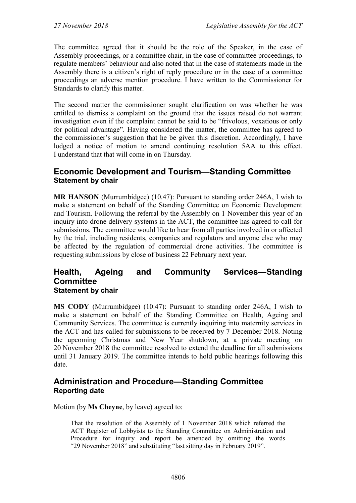The committee agreed that it should be the role of the Speaker, in the case of Assembly proceedings, or a committee chair, in the case of committee proceedings, to regulate members' behaviour and also noted that in the case of statements made in the Assembly there is a citizen's right of reply procedure or in the case of a committee proceedings an adverse mention procedure. I have written to the Commissioner for Standards to clarify this matter.

The second matter the commissioner sought clarification on was whether he was entitled to dismiss a complaint on the ground that the issues raised do not warrant investigation even if the complaint cannot be said to be "frivolous, vexatious or only for political advantage". Having considered the matter, the committee has agreed to the commissioner's suggestion that he be given this discretion. Accordingly, I have lodged a notice of motion to amend continuing resolution 5AA to this effect. I understand that that will come in on Thursday.

#### <span id="page-16-0"></span>**Economic Development and Tourism—Standing Committee Statement by chair**

**MR HANSON** (Murrumbidgee) (10.47): Pursuant to standing order 246A, I wish to make a statement on behalf of the Standing Committee on Economic Development and Tourism. Following the referral by the Assembly on 1 November this year of an inquiry into drone delivery systems in the ACT, the committee has agreed to call for submissions. The committee would like to hear from all parties involved in or affected by the trial, including residents, companies and regulators and anyone else who may be affected by the regulation of commercial drone activities. The committee is requesting submissions by close of business 22 February next year.

#### <span id="page-16-1"></span>**Health, Ageing and Community Services—Standing Committee Statement by chair**

**MS CODY** (Murrumbidgee) (10.47): Pursuant to standing order 246A, I wish to make a statement on behalf of the Standing Committee on Health, Ageing and Community Services. The committee is currently inquiring into maternity services in the ACT and has called for submissions to be received by 7 December 2018. Noting the upcoming Christmas and New Year shutdown, at a private meeting on 20 November 2018 the committee resolved to extend the deadline for all submissions until 31 January 2019. The committee intends to hold public hearings following this date.

#### <span id="page-16-2"></span>**Administration and Procedure—Standing Committee Reporting date**

Motion (by **Ms Cheyne**, by leave) agreed to:

That the resolution of the Assembly of 1 November 2018 which referred the ACT Register of Lobbyists to the Standing Committee on Administration and Procedure for inquiry and report be amended by omitting the words "29 November 2018" and substituting "last sitting day in February 2019".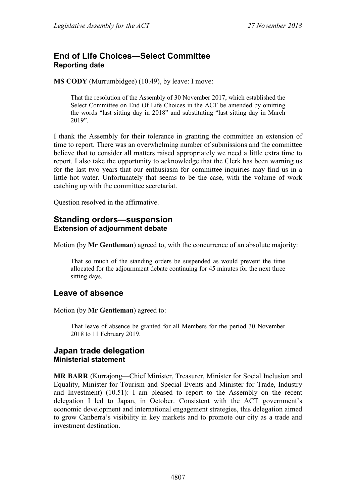# <span id="page-17-0"></span>**End of Life Choices—Select Committee Reporting date**

**MS CODY** (Murrumbidgee) (10.49), by leave: I move:

That the resolution of the Assembly of 30 November 2017, which established the Select Committee on End Of Life Choices in the ACT be amended by omitting the words "last sitting day in 2018" and substituting "last sitting day in March 2019".

I thank the Assembly for their tolerance in granting the committee an extension of time to report. There was an overwhelming number of submissions and the committee believe that to consider all matters raised appropriately we need a little extra time to report. I also take the opportunity to acknowledge that the Clerk has been warning us for the last two years that our enthusiasm for committee inquiries may find us in a little hot water. Unfortunately that seems to be the case, with the volume of work catching up with the committee secretariat.

Question resolved in the affirmative.

#### <span id="page-17-1"></span>**Standing orders—suspension Extension of adjournment debate**

Motion (by **Mr Gentleman**) agreed to, with the concurrence of an absolute majority:

That so much of the standing orders be suspended as would prevent the time allocated for the adjournment debate continuing for 45 minutes for the next three sitting days.

# <span id="page-17-2"></span>**Leave of absence**

Motion (by **Mr Gentleman**) agreed to:

That leave of absence be granted for all Members for the period 30 November 2018 to 11 February 2019.

#### <span id="page-17-4"></span><span id="page-17-3"></span>**Japan trade delegation Ministerial statement**

**MR BARR** (Kurrajong—Chief Minister, Treasurer, Minister for Social Inclusion and Equality, Minister for Tourism and Special Events and Minister for Trade, Industry and Investment) (10.51): I am pleased to report to the Assembly on the recent delegation I led to Japan, in October. Consistent with the ACT government's economic development and international engagement strategies, this delegation aimed to grow Canberra's visibility in key markets and to promote our city as a trade and investment destination.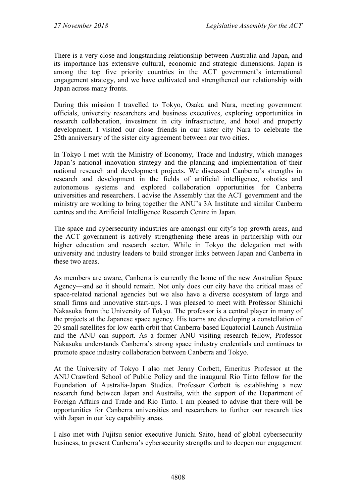There is a very close and longstanding relationship between Australia and Japan, and its importance has extensive cultural, economic and strategic dimensions. Japan is among the top five priority countries in the ACT government's international engagement strategy, and we have cultivated and strengthened our relationship with Japan across many fronts.

During this mission I travelled to Tokyo, Osaka and Nara, meeting government officials, university researchers and business executives, exploring opportunities in research collaboration, investment in city infrastructure, and hotel and property development. I visited our close friends in our sister city Nara to celebrate the 25th anniversary of the sister city agreement between our two cities.

In Tokyo I met with the Ministry of Economy, Trade and Industry, which manages Japan's national innovation strategy and the planning and implementation of their national research and development projects. We discussed Canberra's strengths in research and development in the fields of artificial intelligence, robotics and autonomous systems and explored collaboration opportunities for Canberra universities and researchers. I advise the Assembly that the ACT government and the ministry are working to bring together the ANU's 3A Institute and similar Canberra centres and the Artificial Intelligence Research Centre in Japan.

The space and cybersecurity industries are amongst our city's top growth areas, and the ACT government is actively strengthening these areas in partnership with our higher education and research sector. While in Tokyo the delegation met with university and industry leaders to build stronger links between Japan and Canberra in these two areas.

As members are aware, Canberra is currently the home of the new Australian Space Agency—and so it should remain. Not only does our city have the critical mass of space-related national agencies but we also have a diverse ecosystem of large and small firms and innovative start-ups. I was pleased to meet with Professor Shinichi Nakasuka from the University of Tokyo. The professor is a central player in many of the projects at the Japanese space agency. His teams are developing a constellation of 20 small satellites for low earth orbit that Canberra-based Equatorial Launch Australia and the ANU can support. As a former ANU visiting research fellow, Professor Nakasuka understands Canberra's strong space industry credentials and continues to promote space industry collaboration between Canberra and Tokyo.

At the University of Tokyo I also met Jenny Corbett, Emeritus Professor at the ANU Crawford School of Public Policy and the inaugural Rio Tinto fellow for the Foundation of Australia-Japan Studies. Professor Corbett is establishing a new research fund between Japan and Australia, with the support of the Department of Foreign Affairs and Trade and Rio Tinto. I am pleased to advise that there will be opportunities for Canberra universities and researchers to further our research ties with Japan in our key capability areas.

I also met with Fujitsu senior executive Junichi Saito, head of global cybersecurity business, to present Canberra's cybersecurity strengths and to deepen our engagement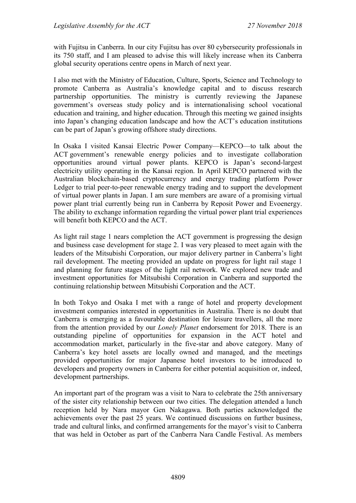with Fujitsu in Canberra. In our city Fujitsu has over 80 cybersecurity professionals in its 750 staff, and I am pleased to advise this will likely increase when its Canberra global security operations centre opens in March of next year.

I also met with the Ministry of Education, Culture, Sports, Science and Technology to promote Canberra as Australia's knowledge capital and to discuss research partnership opportunities. The ministry is currently reviewing the Japanese government's overseas study policy and is internationalising school vocational education and training, and higher education. Through this meeting we gained insights into Japan's changing education landscape and how the ACT's education institutions can be part of Japan's growing offshore study directions.

In Osaka I visited Kansai Electric Power Company—KEPCO—to talk about the ACT government's renewable energy policies and to investigate collaboration opportunities around virtual power plants. KEPCO is Japan's second-largest electricity utility operating in the Kansai region. In April KEPCO partnered with the Australian blockchain-based cryptocurrency and energy trading platform Power Ledger to trial peer-to-peer renewable energy trading and to support the development of virtual power plants in Japan. I am sure members are aware of a promising virtual power plant trial currently being run in Canberra by Reposit Power and Evoenergy. The ability to exchange information regarding the virtual power plant trial experiences will benefit both KEPCO and the ACT.

As light rail stage 1 nears completion the ACT government is progressing the design and business case development for stage 2. I was very pleased to meet again with the leaders of the Mitsubishi Corporation, our major delivery partner in Canberra's light rail development. The meeting provided an update on progress for light rail stage 1 and planning for future stages of the light rail network. We explored new trade and investment opportunities for Mitsubishi Corporation in Canberra and supported the continuing relationship between Mitsubishi Corporation and the ACT.

In both Tokyo and Osaka I met with a range of hotel and property development investment companies interested in opportunities in Australia. There is no doubt that Canberra is emerging as a favourable destination for leisure travellers, all the more from the attention provided by our *Lonely Planet* endorsement for 2018. There is an outstanding pipeline of opportunities for expansion in the ACT hotel and accommodation market, particularly in the five-star and above category. Many of Canberra's key hotel assets are locally owned and managed, and the meetings provided opportunities for major Japanese hotel investors to be introduced to developers and property owners in Canberra for either potential acquisition or, indeed, development partnerships.

An important part of the program was a visit to Nara to celebrate the 25th anniversary of the sister city relationship between our two cities. The delegation attended a lunch reception held by Nara mayor Gen Nakagawa. Both parties acknowledged the achievements over the past 25 years. We continued discussions on further business, trade and cultural links, and confirmed arrangements for the mayor's visit to Canberra that was held in October as part of the Canberra Nara Candle Festival. As members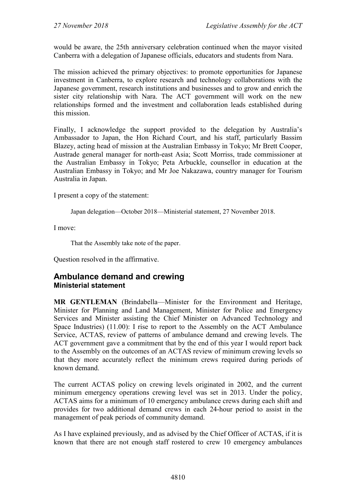would be aware, the 25th anniversary celebration continued when the mayor visited Canberra with a delegation of Japanese officials, educators and students from Nara.

The mission achieved the primary objectives: to promote opportunities for Japanese investment in Canberra, to explore research and technology collaborations with the Japanese government, research institutions and businesses and to grow and enrich the sister city relationship with Nara. The ACT government will work on the new relationships formed and the investment and collaboration leads established during this mission.

Finally, I acknowledge the support provided to the delegation by Australia's Ambassador to Japan, the Hon Richard Court, and his staff, particularly Bassim Blazey, acting head of mission at the Australian Embassy in Tokyo; Mr Brett Cooper, Austrade general manager for north-east Asia; Scott Morriss, trade commissioner at the Australian Embassy in Tokyo; Peta Arbuckle, counsellor in education at the Australian Embassy in Tokyo; and Mr Joe Nakazawa, country manager for Tourism Australia in Japan.

I present a copy of the statement:

Japan delegation—October 2018—Ministerial statement, 27 November 2018.

I move:

That the Assembly take note of the paper.

Question resolved in the affirmative.

#### <span id="page-20-1"></span><span id="page-20-0"></span>**Ambulance demand and crewing Ministerial statement**

**MR GENTLEMAN** (Brindabella—Minister for the Environment and Heritage, Minister for Planning and Land Management, Minister for Police and Emergency Services and Minister assisting the Chief Minister on Advanced Technology and Space Industries) (11.00): I rise to report to the Assembly on the ACT Ambulance Service, ACTAS, review of patterns of ambulance demand and crewing levels. The ACT government gave a commitment that by the end of this year I would report back to the Assembly on the outcomes of an ACTAS review of minimum crewing levels so that they more accurately reflect the minimum crews required during periods of known demand.

The current ACTAS policy on crewing levels originated in 2002, and the current minimum emergency operations crewing level was set in 2013. Under the policy, ACTAS aims for a minimum of 10 emergency ambulance crews during each shift and provides for two additional demand crews in each 24-hour period to assist in the management of peak periods of community demand.

As I have explained previously, and as advised by the Chief Officer of ACTAS, if it is known that there are not enough staff rostered to crew 10 emergency ambulances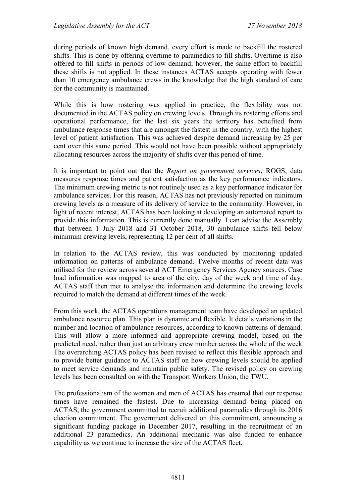during periods of known high demand, every effort is made to backfill the rostered shifts. This is done by offering overtime to paramedics to fill shifts. Overtime is also offered to fill shifts in periods of low demand; however, the same effort to backfill these shifts is not applied. In these instances ACTAS accepts operating with fewer than 10 emergency ambulance crews in the knowledge that the high standard of care for the community is maintained.

While this is how rostering was applied in practice, the flexibility was not documented in the ACTAS policy on crewing levels. Through its rostering efforts and operational performance, for the last six years the territory has benefited from ambulance response times that are amongst the fastest in the country, with the highest level of patient satisfaction. This was achieved despite demand increasing by 25 per cent over this same period. This would not have been possible without appropriately allocating resources across the majority of shifts over this period of time.

It is important to point out that the *Report on government services*, ROGS, data measures response times and patient satisfaction as the key performance indicators. The minimum crewing metric is not routinely used as a key performance indicator for ambulance services. For this reason, ACTAS has not previously reported on minimum crewing levels as a measure of its delivery of service to the community. However, in light of recent interest, ACTAS has been looking at developing an automated report to provide this information. This is currently done manually. I can advise the Assembly that between 1 July 2018 and 31 October 2018, 30 ambulance shifts fell below minimum crewing levels, representing 12 per cent of all shifts.

In relation to the ACTAS review, this was conducted by monitoring updated information on patterns of ambulance demand. Twelve months of recent data was utilised for the review across several ACT Emergency Services Agency sources. Case load information was mapped to area of the city, day of the week and time of day. ACTAS staff then met to analyse the information and determine the crewing levels required to match the demand at different times of the week.

From this work, the ACTAS operations management team have developed an updated ambulance resource plan. This plan is dynamic and flexible. It details variations in the number and location of ambulance resources, according to known patterns of demand. This will allow a more informed and appropriate crewing model, based on the predicted need, rather than just an arbitrary crew number across the whole of the week. The overarching ACTAS policy has been revised to reflect this flexible approach and to provide better guidance to ACTAS staff on how crewing levels should be applied to meet service demands and maintain public safety. The revised policy on crewing levels has been consulted on with the Transport Workers Union, the TWU.

The professionalism of the women and men of ACTAS has ensured that our response times have remained the fastest. Due to increasing demand being placed on ACTAS, the government committed to recruit additional paramedics through its 2016 election commitment. The government delivered on this commitment, announcing a significant funding package in December 2017, resulting in the recruitment of an additional 23 paramedics. An additional mechanic was also funded to enhance capability as we continue to increase the size of the ACTAS fleet.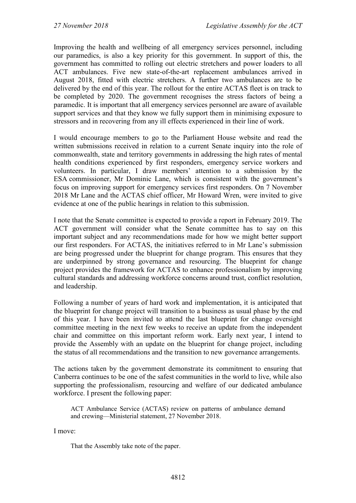Improving the health and wellbeing of all emergency services personnel, including our paramedics, is also a key priority for this government. In support of this, the government has committed to rolling out electric stretchers and power loaders to all ACT ambulances. Five new state-of-the-art replacement ambulances arrived in August 2018, fitted with electric stretchers. A further two ambulances are to be delivered by the end of this year. The rollout for the entire ACTAS fleet is on track to be completed by 2020. The government recognises the stress factors of being a paramedic. It is important that all emergency services personnel are aware of available support services and that they know we fully support them in minimising exposure to stressors and in recovering from any ill effects experienced in their line of work.

I would encourage members to go to the Parliament House website and read the written submissions received in relation to a current Senate inquiry into the role of commonwealth, state and territory governments in addressing the high rates of mental health conditions experienced by first responders, emergency service workers and volunteers. In particular, I draw members' attention to a submission by the ESA commissioner, Mr Dominic Lane, which is consistent with the government's focus on improving support for emergency services first responders. On 7 November 2018 Mr Lane and the ACTAS chief officer, Mr Howard Wren, were invited to give evidence at one of the public hearings in relation to this submission.

I note that the Senate committee is expected to provide a report in February 2019. The ACT government will consider what the Senate committee has to say on this important subject and any recommendations made for how we might better support our first responders. For ACTAS, the initiatives referred to in Mr Lane's submission are being progressed under the blueprint for change program. This ensures that they are underpinned by strong governance and resourcing. The blueprint for change project provides the framework for ACTAS to enhance professionalism by improving cultural standards and addressing workforce concerns around trust, conflict resolution, and leadership.

Following a number of years of hard work and implementation, it is anticipated that the blueprint for change project will transition to a business as usual phase by the end of this year. I have been invited to attend the last blueprint for change oversight committee meeting in the next few weeks to receive an update from the independent chair and committee on this important reform work. Early next year, I intend to provide the Assembly with an update on the blueprint for change project, including the status of all recommendations and the transition to new governance arrangements.

The actions taken by the government demonstrate its commitment to ensuring that Canberra continues to be one of the safest communities in the world to live, while also supporting the professionalism, resourcing and welfare of our dedicated ambulance workforce. I present the following paper:

ACT Ambulance Service (ACTAS) review on patterns of ambulance demand and crewing—Ministerial statement, 27 November 2018.

I move:

That the Assembly take note of the paper.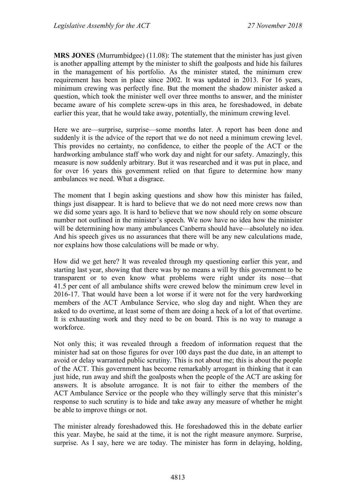**MRS JONES** (Murrumbidgee) (11.08): The statement that the minister has just given is another appalling attempt by the minister to shift the goalposts and hide his failures in the management of his portfolio. As the minister stated, the minimum crew requirement has been in place since 2002. It was updated in 2013. For 16 years, minimum crewing was perfectly fine. But the moment the shadow minister asked a question, which took the minister well over three months to answer, and the minister became aware of his complete screw-ups in this area, he foreshadowed, in debate earlier this year, that he would take away, potentially, the minimum crewing level.

Here we are—surprise, surprise—some months later. A report has been done and suddenly it is the advice of the report that we do not need a minimum crewing level. This provides no certainty, no confidence, to either the people of the ACT or the hardworking ambulance staff who work day and night for our safety. Amazingly, this measure is now suddenly arbitrary. But it was researched and it was put in place, and for over 16 years this government relied on that figure to determine how many ambulances we need. What a disgrace.

The moment that I begin asking questions and show how this minister has failed, things just disappear. It is hard to believe that we do not need more crews now than we did some years ago. It is hard to believe that we now should rely on some obscure number not outlined in the minister's speech. We now have no idea how the minister will be determining how many ambulances Canberra should have—absolutely no idea. And his speech gives us no assurances that there will be any new calculations made, nor explains how those calculations will be made or why.

How did we get here? It was revealed through my questioning earlier this year, and starting last year, showing that there was by no means a will by this government to be transparent or to even know what problems were right under its nose—that 41.5 per cent of all ambulance shifts were crewed below the minimum crew level in 2016-17. That would have been a lot worse if it were not for the very hardworking members of the ACT Ambulance Service, who slog day and night. When they are asked to do overtime, at least some of them are doing a heck of a lot of that overtime. It is exhausting work and they need to be on board. This is no way to manage a workforce.

Not only this; it was revealed through a freedom of information request that the minister had sat on those figures for over 100 days past the due date, in an attempt to avoid or delay warranted public scrutiny. This is not about me; this is about the people of the ACT. This government has become remarkably arrogant in thinking that it can just hide, run away and shift the goalposts when the people of the ACT are asking for answers. It is absolute arrogance. It is not fair to either the members of the ACT Ambulance Service or the people who they willingly serve that this minister's response to such scrutiny is to hide and take away any measure of whether he might be able to improve things or not.

The minister already foreshadowed this. He foreshadowed this in the debate earlier this year. Maybe, he said at the time, it is not the right measure anymore. Surprise, surprise. As I say, here we are today. The minister has form in delaying, holding,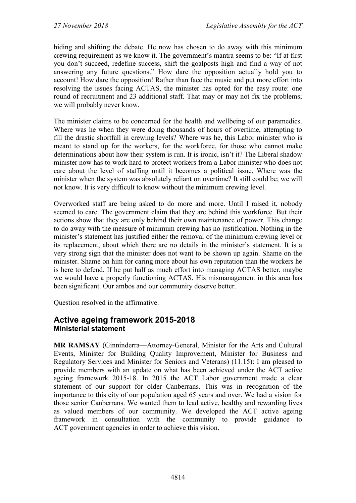hiding and shifting the debate. He now has chosen to do away with this minimum crewing requirement as we know it. The government's mantra seems to be: "If at first you don't succeed, redefine success, shift the goalposts high and find a way of not answering any future questions." How dare the opposition actually hold you to account! How dare the opposition! Rather than face the music and put more effort into resolving the issues facing ACTAS, the minister has opted for the easy route: one round of recruitment and 23 additional staff. That may or may not fix the problems; we will probably never know.

The minister claims to be concerned for the health and wellbeing of our paramedics. Where was he when they were doing thousands of hours of overtime, attempting to fill the drastic shortfall in crewing levels? Where was he, this Labor minister who is meant to stand up for the workers, for the workforce, for those who cannot make determinations about how their system is run. It is ironic, isn't it? The Liberal shadow minister now has to work hard to protect workers from a Labor minister who does not care about the level of staffing until it becomes a political issue. Where was the minister when the system was absolutely reliant on overtime? It still could be; we will not know. It is very difficult to know without the minimum crewing level.

Overworked staff are being asked to do more and more. Until I raised it, nobody seemed to care. The government claim that they are behind this workforce. But their actions show that they are only behind their own maintenance of power. This change to do away with the measure of minimum crewing has no justification. Nothing in the minister's statement has justified either the removal of the minimum crewing level or its replacement, about which there are no details in the minister's statement. It is a very strong sign that the minister does not want to be shown up again. Shame on the minister. Shame on him for caring more about his own reputation than the workers he is here to defend. If he put half as much effort into managing ACTAS better, maybe we would have a properly functioning ACTAS. His mismanagement in this area has been significant. Our ambos and our community deserve better.

Question resolved in the affirmative.

#### <span id="page-24-1"></span><span id="page-24-0"></span>**Active ageing framework 2015-2018 Ministerial statement**

**MR RAMSAY** (Ginninderra—Attorney-General, Minister for the Arts and Cultural Events, Minister for Building Quality Improvement, Minister for Business and Regulatory Services and Minister for Seniors and Veterans) (11.15): I am pleased to provide members with an update on what has been achieved under the ACT active ageing framework 2015-18. In 2015 the ACT Labor government made a clear statement of our support for older Canberrans. This was in recognition of the importance to this city of our population aged 65 years and over. We had a vision for those senior Canberrans. We wanted them to lead active, healthy and rewarding lives as valued members of our community. We developed the ACT active ageing framework in consultation with the community to provide guidance to ACT government agencies in order to achieve this vision.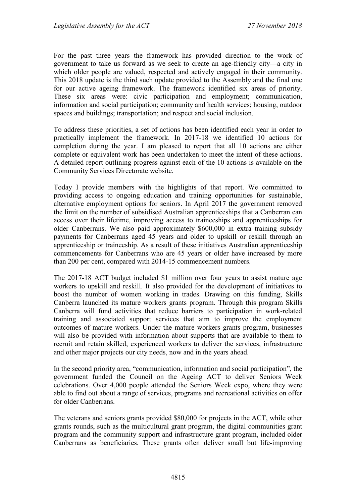For the past three years the framework has provided direction to the work of government to take us forward as we seek to create an age-friendly city—a city in which older people are valued, respected and actively engaged in their community. This 2018 update is the third such update provided to the Assembly and the final one for our active ageing framework. The framework identified six areas of priority. These six areas were: civic participation and employment; communication, information and social participation; community and health services; housing, outdoor spaces and buildings; transportation; and respect and social inclusion.

To address these priorities, a set of actions has been identified each year in order to practically implement the framework. In 2017-18 we identified 10 actions for completion during the year. I am pleased to report that all 10 actions are either complete or equivalent work has been undertaken to meet the intent of these actions. A detailed report outlining progress against each of the 10 actions is available on the Community Services Directorate website.

Today I provide members with the highlights of that report. We committed to providing access to ongoing education and training opportunities for sustainable, alternative employment options for seniors. In April 2017 the government removed the limit on the number of subsidised Australian apprenticeships that a Canberran can access over their lifetime, improving access to traineeships and apprenticeships for older Canberrans. We also paid approximately \$600,000 in extra training subsidy payments for Canberrans aged 45 years and older to upskill or reskill through an apprenticeship or traineeship. As a result of these initiatives Australian apprenticeship commencements for Canberrans who are 45 years or older have increased by more than 200 per cent, compared with 2014-15 commencement numbers.

The 2017-18 ACT budget included \$1 million over four years to assist mature age workers to upskill and reskill. It also provided for the development of initiatives to boost the number of women working in trades. Drawing on this funding, Skills Canberra launched its mature workers grants program. Through this program Skills Canberra will fund activities that reduce barriers to participation in work-related training and associated support services that aim to improve the employment outcomes of mature workers. Under the mature workers grants program, businesses will also be provided with information about supports that are available to them to recruit and retain skilled, experienced workers to deliver the services, infrastructure and other major projects our city needs, now and in the years ahead.

In the second priority area, "communication, information and social participation", the government funded the Council on the Ageing ACT to deliver Seniors Week celebrations. Over 4,000 people attended the Seniors Week expo, where they were able to find out about a range of services, programs and recreational activities on offer for older Canberrans.

The veterans and seniors grants provided \$80,000 for projects in the ACT, while other grants rounds, such as the multicultural grant program, the digital communities grant program and the community support and infrastructure grant program, included older Canberrans as beneficiaries. These grants often deliver small but life-improving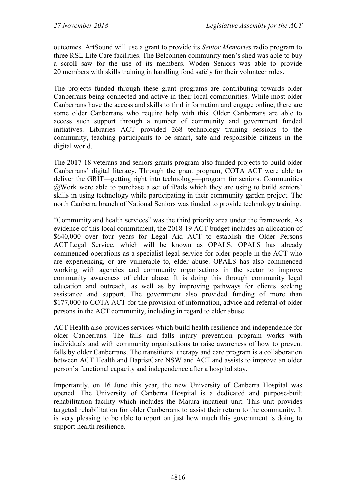outcomes. ArtSound will use a grant to provide its *Senior Memories* radio program to three RSL Life Care facilities. The Belconnen community men's shed was able to buy a scroll saw for the use of its members. Woden Seniors was able to provide 20 members with skills training in handling food safely for their volunteer roles.

The projects funded through these grant programs are contributing towards older Canberrans being connected and active in their local communities. While most older Canberrans have the access and skills to find information and engage online, there are some older Canberrans who require help with this. Older Canberrans are able to access such support through a number of community and government funded initiatives. Libraries ACT provided 268 technology training sessions to the community, teaching participants to be smart, safe and responsible citizens in the digital world.

The 2017-18 veterans and seniors grants program also funded projects to build older Canberrans' digital literacy. Through the grant program, COTA ACT were able to deliver the GRIT—getting right into technology—program for seniors. Communities @Work were able to purchase a set of iPads which they are using to build seniors' skills in using technology while participating in their community garden project. The north Canberra branch of National Seniors was funded to provide technology training.

"Community and health services" was the third priority area under the framework. As evidence of this local commitment, the 2018-19 ACT budget includes an allocation of \$640,000 over four years for Legal Aid ACT to establish the Older Persons ACT Legal Service, which will be known as OPALS. OPALS has already commenced operations as a specialist legal service for older people in the ACT who are experiencing, or are vulnerable to, elder abuse. OPALS has also commenced working with agencies and community organisations in the sector to improve community awareness of elder abuse. It is doing this through community legal education and outreach, as well as by improving pathways for clients seeking assistance and support. The government also provided funding of more than \$177,000 to COTA ACT for the provision of information, advice and referral of older persons in the ACT community, including in regard to elder abuse.

ACT Health also provides services which build health resilience and independence for older Canberrans. The falls and falls injury prevention program works with individuals and with community organisations to raise awareness of how to prevent falls by older Canberrans. The transitional therapy and care program is a collaboration between ACT Health and BaptistCare NSW and ACT and assists to improve an older person's functional capacity and independence after a hospital stay.

Importantly, on 16 June this year, the new University of Canberra Hospital was opened. The University of Canberra Hospital is a dedicated and purpose-built rehabilitation facility which includes the Majura inpatient unit. This unit provides targeted rehabilitation for older Canberrans to assist their return to the community. It is very pleasing to be able to report on just how much this government is doing to support health resilience.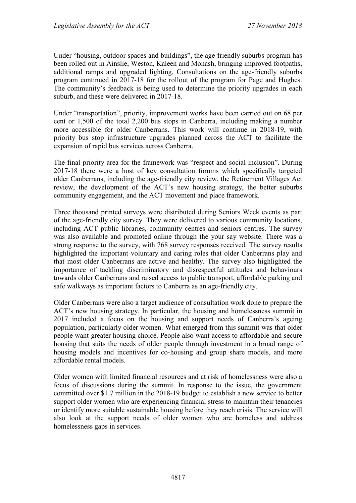Under "housing, outdoor spaces and buildings", the age-friendly suburbs program has been rolled out in Ainslie, Weston, Kaleen and Monash, bringing improved footpaths, additional ramps and upgraded lighting. Consultations on the age-friendly suburbs program continued in 2017-18 for the rollout of the program for Page and Hughes. The community's feedback is being used to determine the priority upgrades in each suburb, and these were delivered in 2017-18.

Under "transportation", priority, improvement works have been carried out on 68 per cent or 1,500 of the total 2,200 bus stops in Canberra, including making a number more accessible for older Canberrans. This work will continue in 2018-19, with priority bus stop infrastructure upgrades planned across the ACT to facilitate the expansion of rapid bus services across Canberra.

The final priority area for the framework was "respect and social inclusion". During 2017-18 there were a host of key consultation forums which specifically targeted older Canberrans, including the age-friendly city review, the Retirement Villages Act review, the development of the ACT's new housing strategy, the better suburbs community engagement, and the ACT movement and place framework.

Three thousand printed surveys were distributed during Seniors Week events as part of the age-friendly city survey. They were delivered to various community locations, including ACT public libraries, community centres and seniors centres. The survey was also available and promoted online through the your say website. There was a strong response to the survey, with 768 survey responses received. The survey results highlighted the important voluntary and caring roles that older Canberrans play and that most older Canberrans are active and healthy. The survey also highlighted the importance of tackling discriminatory and disrespectful attitudes and behaviours towards older Canberrans and raised access to public transport, affordable parking and safe walkways as important factors to Canberra as an age-friendly city.

Older Canberrans were also a target audience of consultation work done to prepare the ACT's new housing strategy. In particular, the housing and homelessness summit in 2017 included a focus on the housing and support needs of Canberra's ageing population, particularly older women. What emerged from this summit was that older people want greater housing choice. People also want access to affordable and secure housing that suits the needs of older people through investment in a broad range of housing models and incentives for co-housing and group share models, and more affordable rental models.

Older women with limited financial resources and at risk of homelessness were also a focus of discussions during the summit. In response to the issue, the government committed over \$1.7 million in the 2018-19 budget to establish a new service to better support older women who are experiencing financial stress to maintain their tenancies or identify more suitable sustainable housing before they reach crisis. The service will also look at the support needs of older women who are homeless and address homelessness gaps in services.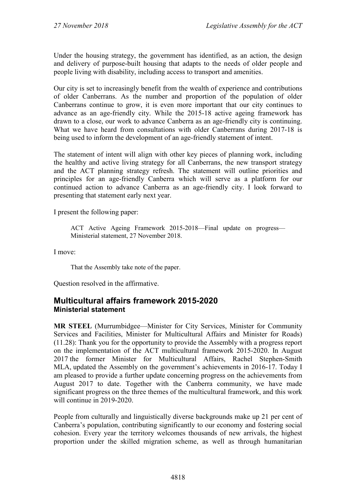Under the housing strategy, the government has identified, as an action, the design and delivery of purpose-built housing that adapts to the needs of older people and people living with disability, including access to transport and amenities.

Our city is set to increasingly benefit from the wealth of experience and contributions of older Canberrans. As the number and proportion of the population of older Canberrans continue to grow, it is even more important that our city continues to advance as an age-friendly city. While the 2015-18 active ageing framework has drawn to a close, our work to advance Canberra as an age-friendly city is continuing. What we have heard from consultations with older Canberrans during 2017-18 is being used to inform the development of an age-friendly statement of intent.

The statement of intent will align with other key pieces of planning work, including the healthy and active living strategy for all Canberrans, the new transport strategy and the ACT planning strategy refresh. The statement will outline priorities and principles for an age-friendly Canberra which will serve as a platform for our continued action to advance Canberra as an age-friendly city. I look forward to presenting that statement early next year.

I present the following paper:

ACT Active Ageing Framework 2015-2018—Final update on progress— Ministerial statement, 27 November 2018.

I move:

That the Assembly take note of the paper.

Question resolved in the affirmative.

# <span id="page-28-1"></span><span id="page-28-0"></span>**Multicultural affairs framework 2015-2020 Ministerial statement**

**MR STEEL** (Murrumbidgee—Minister for City Services, Minister for Community Services and Facilities, Minister for Multicultural Affairs and Minister for Roads) (11.28): Thank you for the opportunity to provide the Assembly with a progress report on the implementation of the ACT multicultural framework 2015-2020. In August 2017 the former Minister for Multicultural Affairs, Rachel Stephen-Smith MLA, updated the Assembly on the government's achievements in 2016-17. Today I am pleased to provide a further update concerning progress on the achievements from August 2017 to date. Together with the Canberra community, we have made significant progress on the three themes of the multicultural framework, and this work will continue in 2019-2020.

People from culturally and linguistically diverse backgrounds make up 21 per cent of Canberra's population, contributing significantly to our economy and fostering social cohesion. Every year the territory welcomes thousands of new arrivals, the highest proportion under the skilled migration scheme, as well as through humanitarian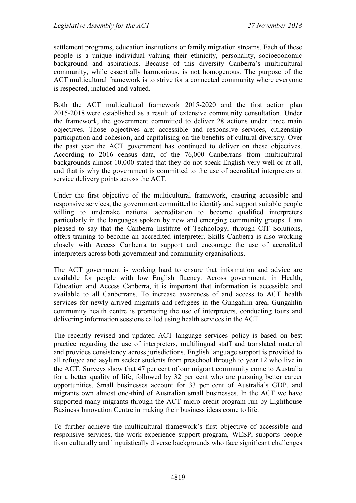settlement programs, education institutions or family migration streams. Each of these people is a unique individual valuing their ethnicity, personality, socioeconomic background and aspirations. Because of this diversity Canberra's multicultural community, while essentially harmonious, is not homogenous. The purpose of the ACT multicultural framework is to strive for a connected community where everyone is respected, included and valued.

Both the ACT multicultural framework 2015-2020 and the first action plan 2015-2018 were established as a result of extensive community consultation. Under the framework, the government committed to deliver 28 actions under three main objectives. Those objectives are: accessible and responsive services, citizenship participation and cohesion, and capitalising on the benefits of cultural diversity. Over the past year the ACT government has continued to deliver on these objectives. According to 2016 census data, of the 76,000 Canberrans from multicultural backgrounds almost 10,000 stated that they do not speak English very well or at all, and that is why the government is committed to the use of accredited interpreters at service delivery points across the ACT.

Under the first objective of the multicultural framework, ensuring accessible and responsive services, the government committed to identify and support suitable people willing to undertake national accreditation to become qualified interpreters particularly in the languages spoken by new and emerging community groups. I am pleased to say that the Canberra Institute of Technology, through CIT Solutions, offers training to become an accredited interpreter. Skills Canberra is also working closely with Access Canberra to support and encourage the use of accredited interpreters across both government and community organisations.

The ACT government is working hard to ensure that information and advice are available for people with low English fluency. Across government, in Health, Education and Access Canberra, it is important that information is accessible and available to all Canberrans. To increase awareness of and access to ACT health services for newly arrived migrants and refugees in the Gungahlin area, Gungahlin community health centre is promoting the use of interpreters, conducting tours and delivering information sessions called using health services in the ACT.

The recently revised and updated ACT language services policy is based on best practice regarding the use of interpreters, multilingual staff and translated material and provides consistency across jurisdictions. English language support is provided to all refugee and asylum seeker students from preschool through to year 12 who live in the ACT. Surveys show that 47 per cent of our migrant community come to Australia for a better quality of life, followed by 32 per cent who are pursuing better career opportunities. Small businesses account for 33 per cent of Australia's GDP, and migrants own almost one-third of Australian small businesses. In the ACT we have supported many migrants through the ACT micro credit program run by Lighthouse Business Innovation Centre in making their business ideas come to life.

To further achieve the multicultural framework's first objective of accessible and responsive services, the work experience support program, WESP, supports people from culturally and linguistically diverse backgrounds who face significant challenges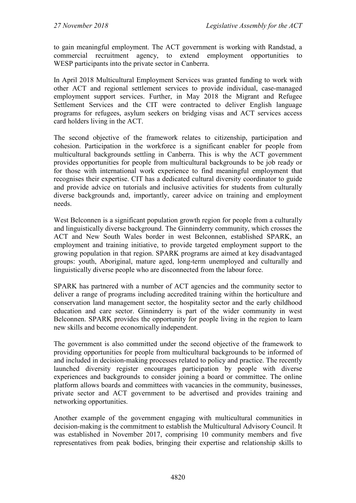to gain meaningful employment. The ACT government is working with Randstad, a commercial recruitment agency, to extend employment opportunities to WESP participants into the private sector in Canberra.

In April 2018 Multicultural Employment Services was granted funding to work with other ACT and regional settlement services to provide individual, case-managed employment support services. Further, in May 2018 the Migrant and Refugee Settlement Services and the CIT were contracted to deliver English language programs for refugees, asylum seekers on bridging visas and ACT services access card holders living in the ACT.

The second objective of the framework relates to citizenship, participation and cohesion. Participation in the workforce is a significant enabler for people from multicultural backgrounds settling in Canberra. This is why the ACT government provides opportunities for people from multicultural backgrounds to be job ready or for those with international work experience to find meaningful employment that recognises their expertise. CIT has a dedicated cultural diversity coordinator to guide and provide advice on tutorials and inclusive activities for students from culturally diverse backgrounds and, importantly, career advice on training and employment needs.

West Belconnen is a significant population growth region for people from a culturally and linguistically diverse background. The Ginninderry community, which crosses the ACT and New South Wales border in west Belconnen, established SPARK, an employment and training initiative, to provide targeted employment support to the growing population in that region. SPARK programs are aimed at key disadvantaged groups: youth, Aboriginal, mature aged, long-term unemployed and culturally and linguistically diverse people who are disconnected from the labour force.

SPARK has partnered with a number of ACT agencies and the community sector to deliver a range of programs including accredited training within the horticulture and conservation land management sector, the hospitality sector and the early childhood education and care sector. Ginninderry is part of the wider community in west Belconnen. SPARK provides the opportunity for people living in the region to learn new skills and become economically independent.

The government is also committed under the second objective of the framework to providing opportunities for people from multicultural backgrounds to be informed of and included in decision-making processes related to policy and practice. The recently launched diversity register encourages participation by people with diverse experiences and backgrounds to consider joining a board or committee. The online platform allows boards and committees with vacancies in the community, businesses, private sector and ACT government to be advertised and provides training and networking opportunities.

Another example of the government engaging with multicultural communities in decision-making is the commitment to establish the Multicultural Advisory Council. It was established in November 2017, comprising 10 community members and five representatives from peak bodies, bringing their expertise and relationship skills to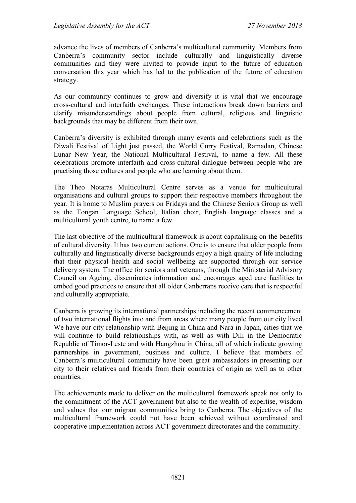advance the lives of members of Canberra's multicultural community. Members from Canberra's community sector include culturally and linguistically diverse communities and they were invited to provide input to the future of education conversation this year which has led to the publication of the future of education strategy.

As our community continues to grow and diversify it is vital that we encourage cross-cultural and interfaith exchanges. These interactions break down barriers and clarify misunderstandings about people from cultural, religious and linguistic backgrounds that may be different from their own.

Canberra's diversity is exhibited through many events and celebrations such as the Diwali Festival of Light just passed, the World Curry Festival, Ramadan, Chinese Lunar New Year, the National Multicultural Festival, to name a few. All these celebrations promote interfaith and cross-cultural dialogue between people who are practising those cultures and people who are learning about them.

The Theo Notaras Multicultural Centre serves as a venue for multicultural organisations and cultural groups to support their respective members throughout the year. It is home to Muslim prayers on Fridays and the Chinese Seniors Group as well as the Tongan Language School, Italian choir, English language classes and a multicultural youth centre, to name a few.

The last objective of the multicultural framework is about capitalising on the benefits of cultural diversity. It has two current actions. One is to ensure that older people from culturally and linguistically diverse backgrounds enjoy a high quality of life including that their physical health and social wellbeing are supported through our service delivery system. The office for seniors and veterans, through the Ministerial Advisory Council on Ageing, disseminates information and encourages aged care facilities to embed good practices to ensure that all older Canberrans receive care that is respectful and culturally appropriate.

Canberra is growing its international partnerships including the recent commencement of two international flights into and from areas where many people from our city lived. We have our city relationship with Beijing in China and Nara in Japan, cities that we will continue to build relationships with, as well as with Dili in the Democratic Republic of Timor-Leste and with Hangzhou in China, all of which indicate growing partnerships in government, business and culture. I believe that members of Canberra's multicultural community have been great ambassadors in presenting our city to their relatives and friends from their countries of origin as well as to other countries.

The achievements made to deliver on the multicultural framework speak not only to the commitment of the ACT government but also to the wealth of expertise, wisdom and values that our migrant communities bring to Canberra. The objectives of the multicultural framework could not have been achieved without coordinated and cooperative implementation across ACT government directorates and the community.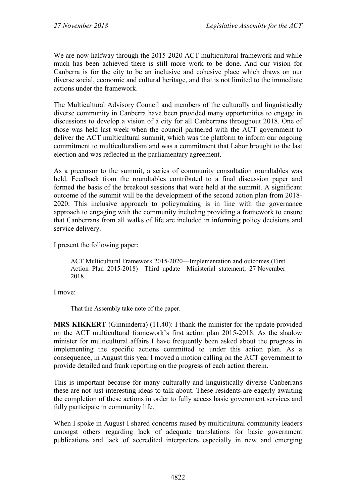We are now halfway through the 2015-2020 ACT multicultural framework and while much has been achieved there is still more work to be done. And our vision for Canberra is for the city to be an inclusive and cohesive place which draws on our diverse social, economic and cultural heritage, and that is not limited to the immediate actions under the framework.

The Multicultural Advisory Council and members of the culturally and linguistically diverse community in Canberra have been provided many opportunities to engage in discussions to develop a vision of a city for all Canberrans throughout 2018. One of those was held last week when the council partnered with the ACT government to deliver the ACT multicultural summit, which was the platform to inform our ongoing commitment to multiculturalism and was a commitment that Labor brought to the last election and was reflected in the parliamentary agreement.

As a precursor to the summit, a series of community consultation roundtables was held. Feedback from the roundtables contributed to a final discussion paper and formed the basis of the breakout sessions that were held at the summit. A significant outcome of the summit will be the development of the second action plan from 2018- 2020. This inclusive approach to policymaking is in line with the governance approach to engaging with the community including providing a framework to ensure that Canberrans from all walks of life are included in informing policy decisions and service delivery.

I present the following paper:

ACT Multicultural Framework 2015-2020—Implementation and outcomes (First Action Plan 2015-2018)—Third update—Ministerial statement, 27 November 2018.

I move:

That the Assembly take note of the paper.

**MRS KIKKERT** (Ginninderra) (11.40): I thank the minister for the update provided on the ACT multicultural framework's first action plan 2015-2018. As the shadow minister for multicultural affairs I have frequently been asked about the progress in implementing the specific actions committed to under this action plan. As a consequence, in August this year I moved a motion calling on the ACT government to provide detailed and frank reporting on the progress of each action therein.

This is important because for many culturally and linguistically diverse Canberrans these are not just interesting ideas to talk about. These residents are eagerly awaiting the completion of these actions in order to fully access basic government services and fully participate in community life.

When I spoke in August I shared concerns raised by multicultural community leaders amongst others regarding lack of adequate translations for basic government publications and lack of accredited interpreters especially in new and emerging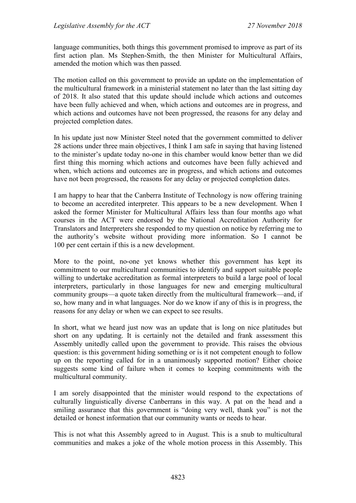language communities, both things this government promised to improve as part of its first action plan. Ms Stephen-Smith, the then Minister for Multicultural Affairs, amended the motion which was then passed.

The motion called on this government to provide an update on the implementation of the multicultural framework in a ministerial statement no later than the last sitting day of 2018. It also stated that this update should include which actions and outcomes have been fully achieved and when, which actions and outcomes are in progress, and which actions and outcomes have not been progressed, the reasons for any delay and projected completion dates.

In his update just now Minister Steel noted that the government committed to deliver 28 actions under three main objectives, I think I am safe in saying that having listened to the minister's update today no-one in this chamber would know better than we did first thing this morning which actions and outcomes have been fully achieved and when, which actions and outcomes are in progress, and which actions and outcomes have not been progressed, the reasons for any delay or projected completion dates.

I am happy to hear that the Canberra Institute of Technology is now offering training to become an accredited interpreter. This appears to be a new development. When I asked the former Minister for Multicultural Affairs less than four months ago what courses in the ACT were endorsed by the National Accreditation Authority for Translators and Interpreters she responded to my question on notice by referring me to the authority's website without providing more information. So I cannot be 100 per cent certain if this is a new development.

More to the point, no-one yet knows whether this government has kept its commitment to our multicultural communities to identify and support suitable people willing to undertake accreditation as formal interpreters to build a large pool of local interpreters, particularly in those languages for new and emerging multicultural community groups—a quote taken directly from the multicultural framework—and, if so, how many and in what languages. Nor do we know if any of this is in progress, the reasons for any delay or when we can expect to see results.

In short, what we heard just now was an update that is long on nice platitudes but short on any updating. It is certainly not the detailed and frank assessment this Assembly unitedly called upon the government to provide. This raises the obvious question: is this government hiding something or is it not competent enough to follow up on the reporting called for in a unanimously supported motion? Either choice suggests some kind of failure when it comes to keeping commitments with the multicultural community.

I am sorely disappointed that the minister would respond to the expectations of culturally linguistically diverse Canberrans in this way. A pat on the head and a smiling assurance that this government is "doing very well, thank you" is not the detailed or honest information that our community wants or needs to hear.

This is not what this Assembly agreed to in August. This is a snub to multicultural communities and makes a joke of the whole motion process in this Assembly. This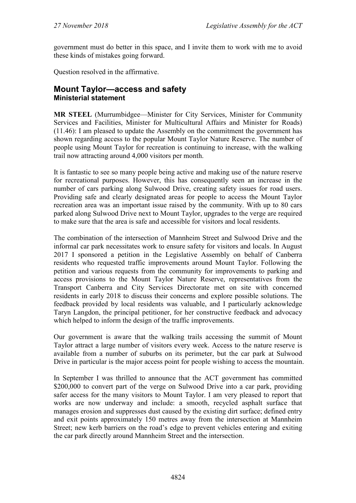government must do better in this space, and I invite them to work with me to avoid these kinds of mistakes going forward.

Question resolved in the affirmative.

# <span id="page-34-1"></span><span id="page-34-0"></span>**Mount Taylor—access and safety Ministerial statement**

**MR STEEL** (Murrumbidgee—Minister for City Services, Minister for Community Services and Facilities, Minister for Multicultural Affairs and Minister for Roads) (11.46): I am pleased to update the Assembly on the commitment the government has shown regarding access to the popular Mount Taylor Nature Reserve. The number of people using Mount Taylor for recreation is continuing to increase, with the walking trail now attracting around 4,000 visitors per month.

It is fantastic to see so many people being active and making use of the nature reserve for recreational purposes. However, this has consequently seen an increase in the number of cars parking along Sulwood Drive, creating safety issues for road users. Providing safe and clearly designated areas for people to access the Mount Taylor recreation area was an important issue raised by the community. With up to 80 cars parked along Sulwood Drive next to Mount Taylor, upgrades to the verge are required to make sure that the area is safe and accessible for visitors and local residents.

The combination of the intersection of Mannheim Street and Sulwood Drive and the informal car park necessitates work to ensure safety for visitors and locals. In August 2017 I sponsored a petition in the Legislative Assembly on behalf of Canberra residents who requested traffic improvements around Mount Taylor. Following the petition and various requests from the community for improvements to parking and access provisions to the Mount Taylor Nature Reserve, representatives from the Transport Canberra and City Services Directorate met on site with concerned residents in early 2018 to discuss their concerns and explore possible solutions. The feedback provided by local residents was valuable, and I particularly acknowledge Taryn Langdon, the principal petitioner, for her constructive feedback and advocacy which helped to inform the design of the traffic improvements.

Our government is aware that the walking trails accessing the summit of Mount Taylor attract a large number of visitors every week. Access to the nature reserve is available from a number of suburbs on its perimeter, but the car park at Sulwood Drive in particular is the major access point for people wishing to access the mountain.

In September I was thrilled to announce that the ACT government has committed \$200,000 to convert part of the verge on Sulwood Drive into a car park, providing safer access for the many visitors to Mount Taylor. I am very pleased to report that works are now underway and include: a smooth, recycled asphalt surface that manages erosion and suppresses dust caused by the existing dirt surface; defined entry and exit points approximately 150 metres away from the intersection at Mannheim Street; new kerb barriers on the road's edge to prevent vehicles entering and exiting the car park directly around Mannheim Street and the intersection.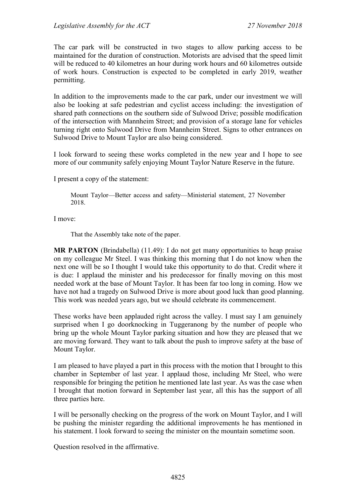The car park will be constructed in two stages to allow parking access to be maintained for the duration of construction. Motorists are advised that the speed limit will be reduced to 40 kilometres an hour during work hours and 60 kilometres outside of work hours. Construction is expected to be completed in early 2019, weather permitting.

In addition to the improvements made to the car park, under our investment we will also be looking at safe pedestrian and cyclist access including: the investigation of shared path connections on the southern side of Sulwood Drive; possible modification of the intersection with Mannheim Street; and provision of a storage lane for vehicles turning right onto Sulwood Drive from Mannheim Street. Signs to other entrances on Sulwood Drive to Mount Taylor are also being considered.

I look forward to seeing these works completed in the new year and I hope to see more of our community safely enjoying Mount Taylor Nature Reserve in the future.

I present a copy of the statement:

Mount Taylor—Better access and safety—Ministerial statement, 27 November 2018.

I move:

That the Assembly take note of the paper.

**MR PARTON** (Brindabella) (11.49): I do not get many opportunities to heap praise on my colleague Mr Steel. I was thinking this morning that I do not know when the next one will be so I thought I would take this opportunity to do that. Credit where it is due: I applaud the minister and his predecessor for finally moving on this most needed work at the base of Mount Taylor. It has been far too long in coming. How we have not had a tragedy on Sulwood Drive is more about good luck than good planning. This work was needed years ago, but we should celebrate its commencement.

These works have been applauded right across the valley. I must say I am genuinely surprised when I go doorknocking in Tuggeranong by the number of people who bring up the whole Mount Taylor parking situation and how they are pleased that we are moving forward. They want to talk about the push to improve safety at the base of Mount Taylor.

I am pleased to have played a part in this process with the motion that I brought to this chamber in September of last year. I applaud those, including Mr Steel, who were responsible for bringing the petition he mentioned late last year. As was the case when I brought that motion forward in September last year, all this has the support of all three parties here.

I will be personally checking on the progress of the work on Mount Taylor, and I will be pushing the minister regarding the additional improvements he has mentioned in his statement. I look forward to seeing the minister on the mountain sometime soon.

Question resolved in the affirmative.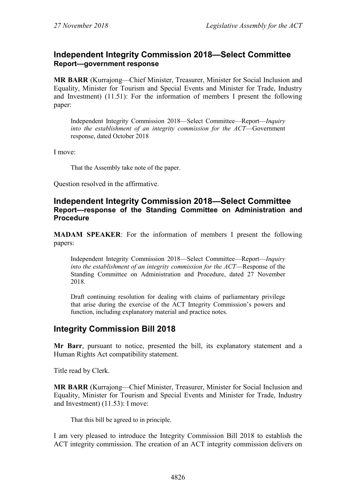## **Independent Integrity Commission 2018—Select Committee Report—government response**

**MR BARR** (Kurrajong—Chief Minister, Treasurer, Minister for Social Inclusion and Equality, Minister for Tourism and Special Events and Minister for Trade, Industry and Investment) (11.51): For the information of members I present the following paper:

Independent Integrity Commission 2018—Select Committee—Report—*Inquiry into the establishment of an integrity commission for the ACT*—Government response, dated October 2018

I move:

That the Assembly take note of the paper.

Question resolved in the affirmative.

### **Independent Integrity Commission 2018—Select Committee Report—response of the Standing Committee on Administration and Procedure**

**MADAM SPEAKER**: For the information of members I present the following papers:

Independent Integrity Commission 2018—Select Committee—Report—*Inquiry into the establishment of an integrity commission for the ACT*—Response of the Standing Committee on Administration and Procedure, dated 27 November 2018.

Draft continuing resolution for dealing with claims of parliamentary privilege that arise during the exercise of the ACT Integrity Commission's powers and function, including explanatory material and practice notes.

# **Integrity Commission Bill 2018**

**Mr Barr**, pursuant to notice, presented the bill, its explanatory statement and a Human Rights Act compatibility statement.

Title read by Clerk.

**MR BARR** (Kurrajong—Chief Minister, Treasurer, Minister for Social Inclusion and Equality, Minister for Tourism and Special Events and Minister for Trade, Industry and Investment) (11.53): I move:

That this bill be agreed to in principle.

I am very pleased to introduce the Integrity Commission Bill 2018 to establish the ACT integrity commission. The creation of an ACT integrity commission delivers on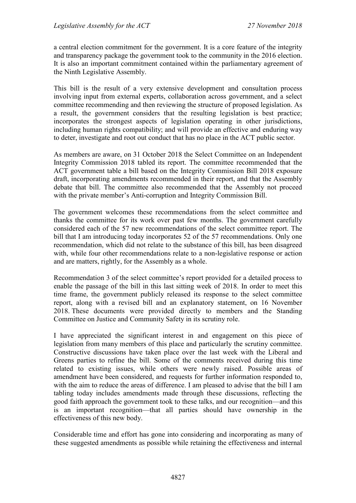a central election commitment for the government. It is a core feature of the integrity and transparency package the government took to the community in the 2016 election. It is also an important commitment contained within the parliamentary agreement of the Ninth Legislative Assembly.

This bill is the result of a very extensive development and consultation process involving input from external experts, collaboration across government, and a select committee recommending and then reviewing the structure of proposed legislation. As a result, the government considers that the resulting legislation is best practice; incorporates the strongest aspects of legislation operating in other jurisdictions, including human rights compatibility; and will provide an effective and enduring way to deter, investigate and root out conduct that has no place in the ACT public sector.

As members are aware, on 31 October 2018 the Select Committee on an Independent Integrity Commission 2018 tabled its report. The committee recommended that the ACT government table a bill based on the Integrity Commission Bill 2018 exposure draft, incorporating amendments recommended in their report, and that the Assembly debate that bill. The committee also recommended that the Assembly not proceed with the private member's Anti-corruption and Integrity Commission Bill.

The government welcomes these recommendations from the select committee and thanks the committee for its work over past few months. The government carefully considered each of the 57 new recommendations of the select committee report. The bill that I am introducing today incorporates 52 of the 57 recommendations. Only one recommendation, which did not relate to the substance of this bill, has been disagreed with, while four other recommendations relate to a non-legislative response or action and are matters, rightly, for the Assembly as a whole.

Recommendation 3 of the select committee's report provided for a detailed process to enable the passage of the bill in this last sitting week of 2018. In order to meet this time frame, the government publicly released its response to the select committee report, along with a revised bill and an explanatory statement, on 16 November 2018. These documents were provided directly to members and the Standing Committee on Justice and Community Safety in its scrutiny role.

I have appreciated the significant interest in and engagement on this piece of legislation from many members of this place and particularly the scrutiny committee. Constructive discussions have taken place over the last week with the Liberal and Greens parties to refine the bill. Some of the comments received during this time related to existing issues, while others were newly raised. Possible areas of amendment have been considered, and requests for further information responded to, with the aim to reduce the areas of difference. I am pleased to advise that the bill I am tabling today includes amendments made through these discussions, reflecting the good faith approach the government took to these talks, and our recognition—and this is an important recognition—that all parties should have ownership in the effectiveness of this new body.

Considerable time and effort has gone into considering and incorporating as many of these suggested amendments as possible while retaining the effectiveness and internal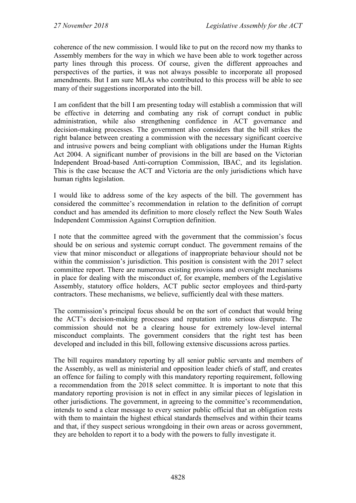coherence of the new commission. I would like to put on the record now my thanks to Assembly members for the way in which we have been able to work together across party lines through this process. Of course, given the different approaches and perspectives of the parties, it was not always possible to incorporate all proposed amendments. But I am sure MLAs who contributed to this process will be able to see many of their suggestions incorporated into the bill.

I am confident that the bill I am presenting today will establish a commission that will be effective in deterring and combating any risk of corrupt conduct in public administration, while also strengthening confidence in ACT governance and decision-making processes. The government also considers that the bill strikes the right balance between creating a commission with the necessary significant coercive and intrusive powers and being compliant with obligations under the Human Rights Act 2004. A significant number of provisions in the bill are based on the Victorian Independent Broad-based Anti-corruption Commission, IBAC, and its legislation. This is the case because the ACT and Victoria are the only jurisdictions which have human rights legislation.

I would like to address some of the key aspects of the bill. The government has considered the committee's recommendation in relation to the definition of corrupt conduct and has amended its definition to more closely reflect the New South Wales Independent Commission Against Corruption definition.

I note that the committee agreed with the government that the commission's focus should be on serious and systemic corrupt conduct. The government remains of the view that minor misconduct or allegations of inappropriate behaviour should not be within the commission's jurisdiction. This position is consistent with the 2017 select committee report. There are numerous existing provisions and oversight mechanisms in place for dealing with the misconduct of, for example, members of the Legislative Assembly, statutory office holders, ACT public sector employees and third-party contractors. These mechanisms, we believe, sufficiently deal with these matters.

The commission's principal focus should be on the sort of conduct that would bring the ACT's decision-making processes and reputation into serious disrepute. The commission should not be a clearing house for extremely low-level internal misconduct complaints. The government considers that the right test has been developed and included in this bill, following extensive discussions across parties.

The bill requires mandatory reporting by all senior public servants and members of the Assembly, as well as ministerial and opposition leader chiefs of staff, and creates an offence for failing to comply with this mandatory reporting requirement, following a recommendation from the 2018 select committee. It is important to note that this mandatory reporting provision is not in effect in any similar pieces of legislation in other jurisdictions. The government, in agreeing to the committee's recommendation, intends to send a clear message to every senior public official that an obligation rests with them to maintain the highest ethical standards themselves and within their teams and that, if they suspect serious wrongdoing in their own areas or across government, they are beholden to report it to a body with the powers to fully investigate it.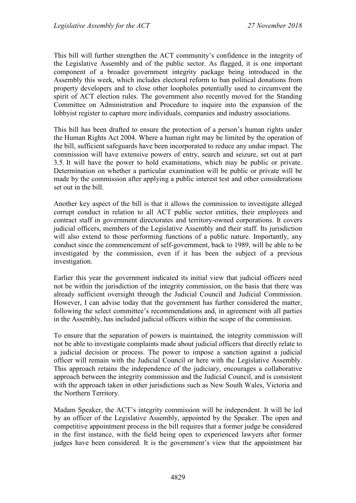This bill will further strengthen the ACT community's confidence in the integrity of the Legislative Assembly and of the public sector. As flagged, it is one important component of a broader government integrity package being introduced in the Assembly this week, which includes electoral reform to ban political donations from property developers and to close other loopholes potentially used to circumvent the spirit of ACT election rules. The government also recently moved for the Standing Committee on Administration and Procedure to inquire into the expansion of the lobbyist register to capture more individuals, companies and industry associations.

This bill has been drafted to ensure the protection of a person's human rights under the Human Rights Act 2004. Where a human right may be limited by the operation of the bill, sufficient safeguards have been incorporated to reduce any undue impact. The commission will have extensive powers of entry, search and seizure, set out at part 3.5. It will have the power to hold examinations, which may be public or private. Determination on whether a particular examination will be public or private will be made by the commission after applying a public interest test and other considerations set out in the bill.

Another key aspect of the bill is that it allows the commission to investigate alleged corrupt conduct in relation to all ACT public sector entities, their employees and contract staff in government directorates and territory-owned corporations. It covers judicial officers, members of the Legislative Assembly and their staff. Its jurisdiction will also extend to those performing functions of a public nature. Importantly, any conduct since the commencement of self-government, back to 1989, will be able to be investigated by the commission, even if it has been the subject of a previous investigation.

Earlier this year the government indicated its initial view that judicial officers need not be within the jurisdiction of the integrity commission, on the basis that there was already sufficient oversight through the Judicial Council and Judicial Commission. However, I can advise today that the government has further considered the matter, following the select committee's recommendations and, in agreement with all parties in the Assembly, has included judicial officers within the scope of the commission.

To ensure that the separation of powers is maintained, the integrity commission will not be able to investigate complaints made about judicial officers that directly relate to a judicial decision or process. The power to impose a sanction against a judicial officer will remain with the Judicial Council or here with the Legislative Assembly. This approach retains the independence of the judiciary, encourages a collaborative approach between the integrity commission and the Judicial Council, and is consistent with the approach taken in other jurisdictions such as New South Wales, Victoria and the Northern Territory.

Madam Speaker, the ACT's integrity commission will be independent. It will be led by an officer of the Legislative Assembly, appointed by the Speaker. The open and competitive appointment process in the bill requires that a former judge be considered in the first instance, with the field being open to experienced lawyers after former judges have been considered. It is the government's view that the appointment bar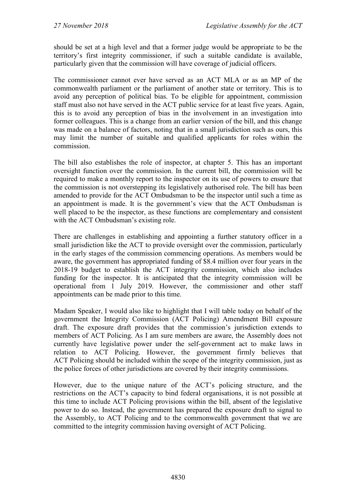should be set at a high level and that a former judge would be appropriate to be the territory's first integrity commissioner, if such a suitable candidate is available, particularly given that the commission will have coverage of judicial officers.

The commissioner cannot ever have served as an ACT MLA or as an MP of the commonwealth parliament or the parliament of another state or territory. This is to avoid any perception of political bias. To be eligible for appointment, commission staff must also not have served in the ACT public service for at least five years. Again, this is to avoid any perception of bias in the involvement in an investigation into former colleagues. This is a change from an earlier version of the bill, and this change was made on a balance of factors, noting that in a small jurisdiction such as ours, this may limit the number of suitable and qualified applicants for roles within the commission.

The bill also establishes the role of inspector, at chapter 5. This has an important oversight function over the commission. In the current bill, the commission will be required to make a monthly report to the inspector on its use of powers to ensure that the commission is not overstepping its legislatively authorised role. The bill has been amended to provide for the ACT Ombudsman to be the inspector until such a time as an appointment is made. It is the government's view that the ACT Ombudsman is well placed to be the inspector, as these functions are complementary and consistent with the ACT Ombudsman's existing role.

There are challenges in establishing and appointing a further statutory officer in a small jurisdiction like the ACT to provide oversight over the commission, particularly in the early stages of the commission commencing operations. As members would be aware, the government has appropriated funding of \$8.4 million over four years in the 2018-19 budget to establish the ACT integrity commission, which also includes funding for the inspector. It is anticipated that the integrity commission will be operational from 1 July 2019. However, the commissioner and other staff appointments can be made prior to this time.

Madam Speaker, I would also like to highlight that I will table today on behalf of the government the Integrity Commission (ACT Policing) Amendment Bill exposure draft. The exposure draft provides that the commission's jurisdiction extends to members of ACT Policing. As I am sure members are aware, the Assembly does not currently have legislative power under the self-government act to make laws in relation to ACT Policing. However, the government firmly believes that ACT Policing should be included within the scope of the integrity commission, just as the police forces of other jurisdictions are covered by their integrity commissions.

However, due to the unique nature of the ACT's policing structure, and the restrictions on the ACT's capacity to bind federal organisations, it is not possible at this time to include ACT Policing provisions within the bill, absent of the legislative power to do so. Instead, the government has prepared the exposure draft to signal to the Assembly, to ACT Policing and to the commonwealth government that we are committed to the integrity commission having oversight of ACT Policing.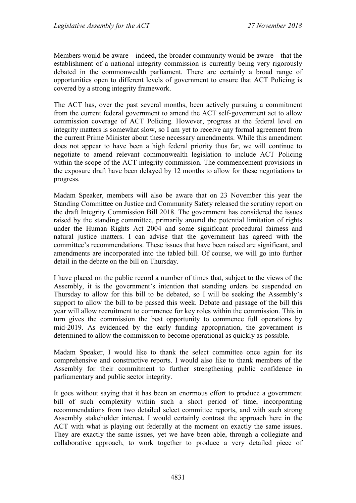Members would be aware—indeed, the broader community would be aware—that the establishment of a national integrity commission is currently being very rigorously debated in the commonwealth parliament. There are certainly a broad range of opportunities open to different levels of government to ensure that ACT Policing is covered by a strong integrity framework.

The ACT has, over the past several months, been actively pursuing a commitment from the current federal government to amend the ACT self-government act to allow commission coverage of ACT Policing. However, progress at the federal level on integrity matters is somewhat slow, so I am yet to receive any formal agreement from the current Prime Minister about these necessary amendments. While this amendment does not appear to have been a high federal priority thus far, we will continue to negotiate to amend relevant commonwealth legislation to include ACT Policing within the scope of the ACT integrity commission. The commencement provisions in the exposure draft have been delayed by 12 months to allow for these negotiations to progress.

Madam Speaker, members will also be aware that on 23 November this year the Standing Committee on Justice and Community Safety released the scrutiny report on the draft Integrity Commission Bill 2018. The government has considered the issues raised by the standing committee, primarily around the potential limitation of rights under the Human Rights Act 2004 and some significant procedural fairness and natural justice matters. I can advise that the government has agreed with the committee's recommendations. These issues that have been raised are significant, and amendments are incorporated into the tabled bill. Of course, we will go into further detail in the debate on the bill on Thursday.

I have placed on the public record a number of times that, subject to the views of the Assembly, it is the government's intention that standing orders be suspended on Thursday to allow for this bill to be debated, so I will be seeking the Assembly's support to allow the bill to be passed this week. Debate and passage of the bill this year will allow recruitment to commence for key roles within the commission. This in turn gives the commission the best opportunity to commence full operations by mid-2019. As evidenced by the early funding appropriation, the government is determined to allow the commission to become operational as quickly as possible.

Madam Speaker, I would like to thank the select committee once again for its comprehensive and constructive reports. I would also like to thank members of the Assembly for their commitment to further strengthening public confidence in parliamentary and public sector integrity.

It goes without saying that it has been an enormous effort to produce a government bill of such complexity within such a short period of time, incorporating recommendations from two detailed select committee reports, and with such strong Assembly stakeholder interest. I would certainly contrast the approach here in the ACT with what is playing out federally at the moment on exactly the same issues. They are exactly the same issues, yet we have been able, through a collegiate and collaborative approach, to work together to produce a very detailed piece of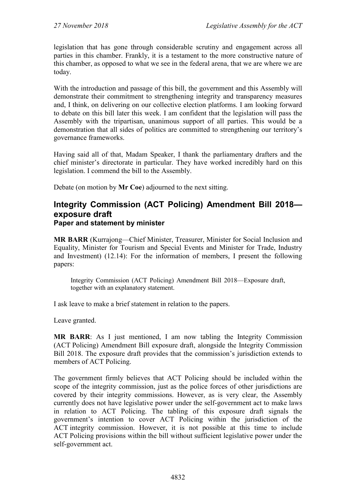legislation that has gone through considerable scrutiny and engagement across all parties in this chamber. Frankly, it is a testament to the more constructive nature of this chamber, as opposed to what we see in the federal arena, that we are where we are today.

With the introduction and passage of this bill, the government and this Assembly will demonstrate their commitment to strengthening integrity and transparency measures and, I think, on delivering on our collective election platforms. I am looking forward to debate on this bill later this week. I am confident that the legislation will pass the Assembly with the tripartisan, unanimous support of all parties. This would be a demonstration that all sides of politics are committed to strengthening our territory's governance frameworks.

Having said all of that, Madam Speaker, I thank the parliamentary drafters and the chief minister's directorate in particular. They have worked incredibly hard on this legislation. I commend the bill to the Assembly.

Debate (on motion by **Mr Coe**) adjourned to the next sitting.

### **Integrity Commission (ACT Policing) Amendment Bill 2018 exposure draft Paper and statement by minister**

**MR BARR** (Kurrajong—Chief Minister, Treasurer, Minister for Social Inclusion and Equality, Minister for Tourism and Special Events and Minister for Trade, Industry and Investment) (12.14): For the information of members, I present the following papers:

Integrity Commission (ACT Policing) Amendment Bill 2018—Exposure draft, together with an explanatory statement.

I ask leave to make a brief statement in relation to the papers.

Leave granted.

**MR BARR**: As I just mentioned, I am now tabling the Integrity Commission (ACT Policing) Amendment Bill exposure draft, alongside the Integrity Commission Bill 2018. The exposure draft provides that the commission's jurisdiction extends to members of ACT Policing.

The government firmly believes that ACT Policing should be included within the scope of the integrity commission, just as the police forces of other jurisdictions are covered by their integrity commissions. However, as is very clear, the Assembly currently does not have legislative power under the self-government act to make laws in relation to ACT Policing. The tabling of this exposure draft signals the government's intention to cover ACT Policing within the jurisdiction of the ACT integrity commission. However, it is not possible at this time to include ACT Policing provisions within the bill without sufficient legislative power under the self-government act.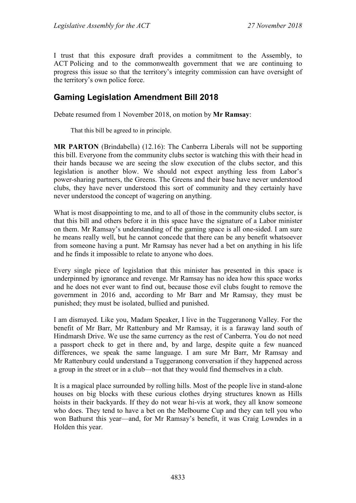I trust that this exposure draft provides a commitment to the Assembly, to ACT Policing and to the commonwealth government that we are continuing to progress this issue so that the territory's integrity commission can have oversight of the territory's own police force.

# **Gaming Legislation Amendment Bill 2018**

Debate resumed from 1 November 2018, on motion by **Mr Ramsay**:

That this bill be agreed to in principle.

**MR PARTON** (Brindabella) (12.16): The Canberra Liberals will not be supporting this bill. Everyone from the community clubs sector is watching this with their head in their hands because we are seeing the slow execution of the clubs sector, and this legislation is another blow. We should not expect anything less from Labor's power-sharing partners, the Greens. The Greens and their base have never understood clubs, they have never understood this sort of community and they certainly have never understood the concept of wagering on anything.

What is most disappointing to me, and to all of those in the community clubs sector, is that this bill and others before it in this space have the signature of a Labor minister on them. Mr Ramsay's understanding of the gaming space is all one-sided. I am sure he means really well, but he cannot concede that there can be any benefit whatsoever from someone having a punt. Mr Ramsay has never had a bet on anything in his life and he finds it impossible to relate to anyone who does.

Every single piece of legislation that this minister has presented in this space is underpinned by ignorance and revenge. Mr Ramsay has no idea how this space works and he does not ever want to find out, because those evil clubs fought to remove the government in 2016 and, according to Mr Barr and Mr Ramsay, they must be punished; they must be isolated, bullied and punished.

I am dismayed. Like you, Madam Speaker, I live in the Tuggeranong Valley. For the benefit of Mr Barr, Mr Rattenbury and Mr Ramsay, it is a faraway land south of Hindmarsh Drive. We use the same currency as the rest of Canberra. You do not need a passport check to get in there and, by and large, despite quite a few nuanced differences, we speak the same language. I am sure Mr Barr, Mr Ramsay and Mr Rattenbury could understand a Tuggeranong conversation if they happened across a group in the street or in a club—not that they would find themselves in a club.

It is a magical place surrounded by rolling hills. Most of the people live in stand-alone houses on big blocks with these curious clothes drying structures known as Hills hoists in their backyards. If they do not wear hi-vis at work, they all know someone who does. They tend to have a bet on the Melbourne Cup and they can tell you who won Bathurst this year—and, for Mr Ramsay's benefit, it was Craig Lowndes in a Holden this year.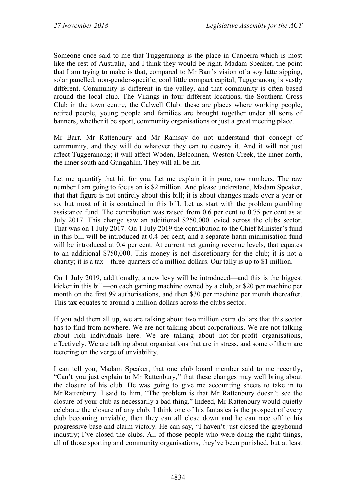Someone once said to me that Tuggeranong is the place in Canberra which is most like the rest of Australia, and I think they would be right. Madam Speaker, the point that I am trying to make is that, compared to Mr Barr's vision of a soy latte sipping, solar panelled, non-gender-specific, cool little compact capital, Tuggeranong is vastly different. Community is different in the valley, and that community is often based around the local club. The Vikings in four different locations, the Southern Cross Club in the town centre, the Calwell Club: these are places where working people, retired people, young people and families are brought together under all sorts of banners, whether it be sport, community organisations or just a great meeting place.

Mr Barr, Mr Rattenbury and Mr Ramsay do not understand that concept of community, and they will do whatever they can to destroy it. And it will not just affect Tuggeranong; it will affect Woden, Belconnen, Weston Creek, the inner north, the inner south and Gungahlin. They will all be hit.

Let me quantify that hit for you. Let me explain it in pure, raw numbers. The raw number I am going to focus on is \$2 million. And please understand, Madam Speaker, that that figure is not entirely about this bill; it is about changes made over a year or so, but most of it is contained in this bill. Let us start with the problem gambling assistance fund. The contribution was raised from 0.6 per cent to 0.75 per cent as at July 2017. This change saw an additional \$250,000 levied across the clubs sector. That was on 1 July 2017. On 1 July 2019 the contribution to the Chief Minister's fund in this bill will be introduced at 0.4 per cent, and a separate harm minimisation fund will be introduced at 0.4 per cent. At current net gaming revenue levels, that equates to an additional \$750,000. This money is not discretionary for the club; it is not a charity; it is a tax—three-quarters of a million dollars. Our tally is up to \$1 million.

On 1 July 2019, additionally, a new levy will be introduced—and this is the biggest kicker in this bill—on each gaming machine owned by a club, at \$20 per machine per month on the first 99 authorisations, and then \$30 per machine per month thereafter. This tax equates to around a million dollars across the clubs sector.

If you add them all up, we are talking about two million extra dollars that this sector has to find from nowhere. We are not talking about corporations. We are not talking about rich individuals here. We are talking about not-for-profit organisations, effectively. We are talking about organisations that are in stress, and some of them are teetering on the verge of unviability.

I can tell you, Madam Speaker, that one club board member said to me recently, "Can't you just explain to Mr Rattenbury," that these changes may well bring about the closure of his club. He was going to give me accounting sheets to take in to Mr Rattenbury. I said to him, "The problem is that Mr Rattenbury doesn't see the closure of your club as necessarily a bad thing." Indeed, Mr Rattenbury would quietly celebrate the closure of any club. I think one of his fantasies is the prospect of every club becoming unviable, then they can all close down and he can race off to his progressive base and claim victory. He can say, "I haven't just closed the greyhound industry; I've closed the clubs. All of those people who were doing the right things, all of those sporting and community organisations, they've been punished, but at least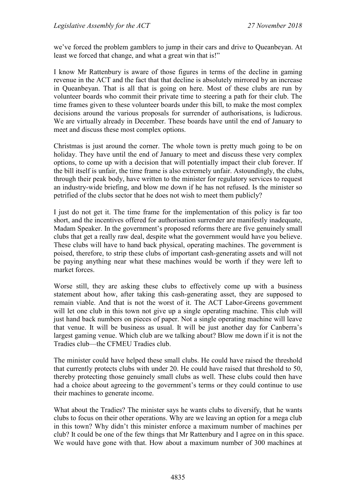we've forced the problem gamblers to jump in their cars and drive to Queanbeyan. At least we forced that change, and what a great win that is!"

I know Mr Rattenbury is aware of those figures in terms of the decline in gaming revenue in the ACT and the fact that that decline is absolutely mirrored by an increase in Queanbeyan. That is all that is going on here. Most of these clubs are run by volunteer boards who commit their private time to steering a path for their club. The time frames given to these volunteer boards under this bill, to make the most complex decisions around the various proposals for surrender of authorisations, is ludicrous. We are virtually already in December. These boards have until the end of January to meet and discuss these most complex options.

Christmas is just around the corner. The whole town is pretty much going to be on holiday. They have until the end of January to meet and discuss these very complex options, to come up with a decision that will potentially impact their club forever. If the bill itself is unfair, the time frame is also extremely unfair. Astoundingly, the clubs, through their peak body, have written to the minister for regulatory services to request an industry-wide briefing, and blow me down if he has not refused. Is the minister so petrified of the clubs sector that he does not wish to meet them publicly?

I just do not get it. The time frame for the implementation of this policy is far too short, and the incentives offered for authorisation surrender are manifestly inadequate, Madam Speaker. In the government's proposed reforms there are five genuinely small clubs that get a really raw deal, despite what the government would have you believe. These clubs will have to hand back physical, operating machines. The government is poised, therefore, to strip these clubs of important cash-generating assets and will not be paying anything near what these machines would be worth if they were left to market forces.

Worse still, they are asking these clubs to effectively come up with a business statement about how, after taking this cash-generating asset, they are supposed to remain viable. And that is not the worst of it. The ACT Labor-Greens government will let one club in this town not give up a single operating machine. This club will just hand back numbers on pieces of paper. Not a single operating machine will leave that venue. It will be business as usual. It will be just another day for Canberra's largest gaming venue. Which club are we talking about? Blow me down if it is not the Tradies club—the CFMEU Tradies club.

The minister could have helped these small clubs. He could have raised the threshold that currently protects clubs with under 20. He could have raised that threshold to 50, thereby protecting those genuinely small clubs as well. These clubs could then have had a choice about agreeing to the government's terms or they could continue to use their machines to generate income.

What about the Tradies? The minister says he wants clubs to diversify, that he wants clubs to focus on their other operations. Why are we leaving an option for a mega club in this town? Why didn't this minister enforce a maximum number of machines per club? It could be one of the few things that Mr Rattenbury and I agree on in this space. We would have gone with that. How about a maximum number of 300 machines at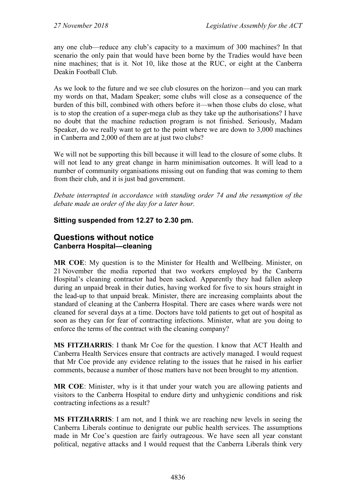any one club—reduce any club's capacity to a maximum of 300 machines? In that scenario the only pain that would have been borne by the Tradies would have been nine machines; that is it. Not 10, like those at the RUC, or eight at the Canberra Deakin Football Club.

As we look to the future and we see club closures on the horizon—and you can mark my words on that, Madam Speaker; some clubs will close as a consequence of the burden of this bill, combined with others before it—when those clubs do close, what is to stop the creation of a super-mega club as they take up the authorisations? I have no doubt that the machine reduction program is not finished. Seriously, Madam Speaker, do we really want to get to the point where we are down to 3,000 machines in Canberra and 2,000 of them are at just two clubs?

We will not be supporting this bill because it will lead to the closure of some clubs. It will not lead to any great change in harm minimisation outcomes. It will lead to a number of community organisations missing out on funding that was coming to them from their club, and it is just bad government.

*Debate interrupted in accordance with standing order 74 and the resumption of the debate made an order of the day for a later hour.*

### **Sitting suspended from 12.27 to 2.30 pm.**

### **Questions without notice Canberra Hospital—cleaning**

**MR COE**: My question is to the Minister for Health and Wellbeing. Minister, on 21 November the media reported that two workers employed by the Canberra Hospital's cleaning contractor had been sacked. Apparently they had fallen asleep during an unpaid break in their duties, having worked for five to six hours straight in the lead-up to that unpaid break. Minister, there are increasing complaints about the standard of cleaning at the Canberra Hospital. There are cases where wards were not cleaned for several days at a time. Doctors have told patients to get out of hospital as soon as they can for fear of contracting infections. Minister, what are you doing to enforce the terms of the contract with the cleaning company?

**MS FITZHARRIS**: I thank Mr Coe for the question. I know that ACT Health and Canberra Health Services ensure that contracts are actively managed. I would request that Mr Coe provide any evidence relating to the issues that he raised in his earlier comments, because a number of those matters have not been brought to my attention.

**MR COE**: Minister, why is it that under your watch you are allowing patients and visitors to the Canberra Hospital to endure dirty and unhygienic conditions and risk contracting infections as a result?

**MS FITZHARRIS**: I am not, and I think we are reaching new levels in seeing the Canberra Liberals continue to denigrate our public health services. The assumptions made in Mr Coe's question are fairly outrageous. We have seen all year constant political, negative attacks and I would request that the Canberra Liberals think very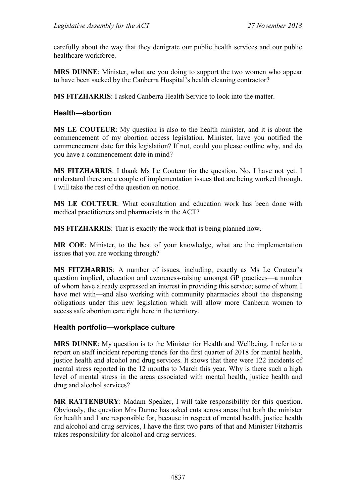carefully about the way that they denigrate our public health services and our public healthcare workforce.

**MRS DUNNE**: Minister, what are you doing to support the two women who appear to have been sacked by the Canberra Hospital's health cleaning contractor?

**MS FITZHARRIS**: I asked Canberra Health Service to look into the matter.

### **Health—abortion**

**MS LE COUTEUR**: My question is also to the health minister, and it is about the commencement of my abortion access legislation. Minister, have you notified the commencement date for this legislation? If not, could you please outline why, and do you have a commencement date in mind?

**MS FITZHARRIS**: I thank Ms Le Couteur for the question. No, I have not yet. I understand there are a couple of implementation issues that are being worked through. I will take the rest of the question on notice.

**MS LE COUTEUR**: What consultation and education work has been done with medical practitioners and pharmacists in the ACT?

**MS FITZHARRIS**: That is exactly the work that is being planned now.

**MR COE**: Minister, to the best of your knowledge, what are the implementation issues that you are working through?

**MS FITZHARRIS**: A number of issues, including, exactly as Ms Le Couteur's question implied, education and awareness-raising amongst GP practices—a number of whom have already expressed an interest in providing this service; some of whom I have met with—and also working with community pharmacies about the dispensing obligations under this new legislation which will allow more Canberra women to access safe abortion care right here in the territory.

### **Health portfolio—workplace culture**

**MRS DUNNE**: My question is to the Minister for Health and Wellbeing. I refer to a report on staff incident reporting trends for the first quarter of 2018 for mental health, justice health and alcohol and drug services. It shows that there were 122 incidents of mental stress reported in the 12 months to March this year. Why is there such a high level of mental stress in the areas associated with mental health, justice health and drug and alcohol services?

**MR RATTENBURY**: Madam Speaker, I will take responsibility for this question. Obviously, the question Mrs Dunne has asked cuts across areas that both the minister for health and I are responsible for, because in respect of mental health, justice health and alcohol and drug services, I have the first two parts of that and Minister Fitzharris takes responsibility for alcohol and drug services.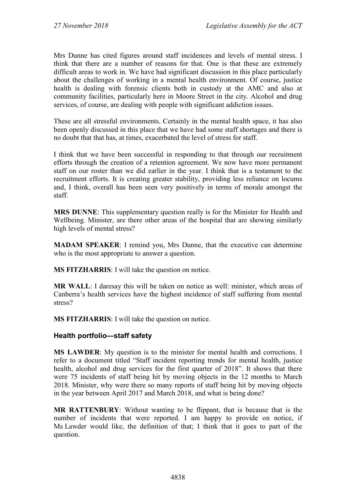Mrs Dunne has cited figures around staff incidences and levels of mental stress. I think that there are a number of reasons for that. One is that these are extremely difficult areas to work in. We have had significant discussion in this place particularly about the challenges of working in a mental health environment. Of course, justice health is dealing with forensic clients both in custody at the AMC and also at community facilities, particularly here in Moore Street in the city. Alcohol and drug services, of course, are dealing with people with significant addiction issues.

These are all stressful environments. Certainly in the mental health space, it has also been openly discussed in this place that we have had some staff shortages and there is no doubt that that has, at times, exacerbated the level of stress for staff.

I think that we have been successful in responding to that through our recruitment efforts through the creation of a retention agreement. We now have more permanent staff on our roster than we did earlier in the year. I think that is a testament to the recruitment efforts. It is creating greater stability, providing less reliance on locums and, I think, overall has been seen very positively in terms of morale amongst the staff.

**MRS DUNNE**: This supplementary question really is for the Minister for Health and Wellbeing. Minister, are there other areas of the hospital that are showing similarly high levels of mental stress?

**MADAM SPEAKER**: I remind you, Mrs Dunne, that the executive can determine who is the most appropriate to answer a question.

**MS FITZHARRIS**: I will take the question on notice.

**MR WALL**: I daresay this will be taken on notice as well: minister, which areas of Canberra's health services have the highest incidence of staff suffering from mental stress?

**MS FITZHARRIS**: I will take the question on notice.

### **Health portfolio—staff safety**

**MS LAWDER**: My question is to the minister for mental health and corrections. I refer to a document titled "Staff incident reporting trends for mental health, justice health, alcohol and drug services for the first quarter of 2018". It shows that there were 75 incidents of staff being hit by moving objects in the 12 months to March 2018. Minister, why were there so many reports of staff being hit by moving objects in the year between April 2017 and March 2018, and what is being done?

**MR RATTENBURY**: Without wanting to be flippant, that is because that is the number of incidents that were reported. I am happy to provide on notice, if Ms Lawder would like, the definition of that; I think that it goes to part of the question.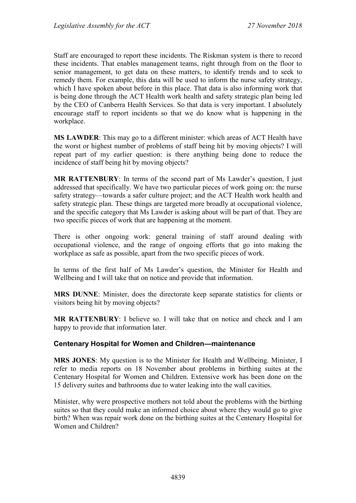Staff are encouraged to report these incidents. The Riskman system is there to record these incidents. That enables management teams, right through from on the floor to senior management, to get data on these matters, to identify trends and to seek to remedy them. For example, this data will be used to inform the nurse safety strategy, which I have spoken about before in this place. That data is also informing work that is being done through the ACT Health work health and safety strategic plan being led by the CEO of Canberra Health Services. So that data is very important. I absolutely encourage staff to report incidents so that we do know what is happening in the workplace.

**MS LAWDER**: This may go to a different minister: which areas of ACT Health have the worst or highest number of problems of staff being hit by moving objects? I will repeat part of my earlier question: is there anything being done to reduce the incidence of staff being hit by moving objects?

**MR RATTENBURY**: In terms of the second part of Ms Lawder's question, I just addressed that specifically. We have two particular pieces of work going on: the nurse safety strategy—towards a safer culture project; and the ACT Health work health and safety strategic plan. These things are targeted more broadly at occupational violence, and the specific category that Ms Lawder is asking about will be part of that. They are two specific pieces of work that are happening at the moment.

There is other ongoing work: general training of staff around dealing with occupational violence, and the range of ongoing efforts that go into making the workplace as safe as possible, apart from the two specific pieces of work.

In terms of the first half of Ms Lawder's question, the Minister for Health and Wellbeing and I will take that on notice and provide that information.

**MRS DUNNE**: Minister, does the directorate keep separate statistics for clients or visitors being hit by moving objects?

**MR RATTENBURY**: I believe so. I will take that on notice and check and I am happy to provide that information later.

#### **Centenary Hospital for Women and Children—maintenance**

**MRS JONES**: My question is to the Minister for Health and Wellbeing. Minister, I refer to media reports on 18 November about problems in birthing suites at the Centenary Hospital for Women and Children. Extensive work has been done on the 15 delivery suites and bathrooms due to water leaking into the wall cavities.

Minister, why were prospective mothers not told about the problems with the birthing suites so that they could make an informed choice about where they would go to give birth? When was repair work done on the birthing suites at the Centenary Hospital for Women and Children?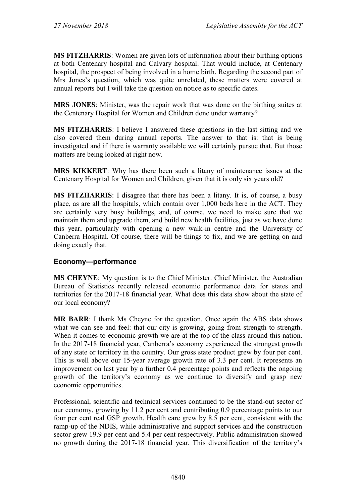**MS FITZHARRIS**: Women are given lots of information about their birthing options at both Centenary hospital and Calvary hospital. That would include, at Centenary hospital, the prospect of being involved in a home birth. Regarding the second part of Mrs Jones's question, which was quite unrelated, these matters were covered at annual reports but I will take the question on notice as to specific dates.

**MRS JONES**: Minister, was the repair work that was done on the birthing suites at the Centenary Hospital for Women and Children done under warranty?

**MS FITZHARRIS**: I believe I answered these questions in the last sitting and we also covered them during annual reports. The answer to that is: that is being investigated and if there is warranty available we will certainly pursue that. But those matters are being looked at right now.

**MRS KIKKERT**: Why has there been such a litany of maintenance issues at the Centenary Hospital for Women and Children, given that it is only six years old?

**MS FITZHARRIS**: I disagree that there has been a litany. It is, of course, a busy place, as are all the hospitals, which contain over 1,000 beds here in the ACT. They are certainly very busy buildings, and, of course, we need to make sure that we maintain them and upgrade them, and build new health facilities, just as we have done this year, particularly with opening a new walk-in centre and the University of Canberra Hospital. Of course, there will be things to fix, and we are getting on and doing exactly that.

### **Economy—performance**

**MS CHEYNE**: My question is to the Chief Minister. Chief Minister, the Australian Bureau of Statistics recently released economic performance data for states and territories for the 2017-18 financial year. What does this data show about the state of our local economy?

**MR BARR**: I thank Ms Cheyne for the question. Once again the ABS data shows what we can see and feel: that our city is growing, going from strength to strength. When it comes to economic growth we are at the top of the class around this nation. In the 2017-18 financial year, Canberra's economy experienced the strongest growth of any state or territory in the country. Our gross state product grew by four per cent. This is well above our 15-year average growth rate of 3.3 per cent. It represents an improvement on last year by a further 0.4 percentage points and reflects the ongoing growth of the territory's economy as we continue to diversify and grasp new economic opportunities.

Professional, scientific and technical services continued to be the stand-out sector of our economy, growing by 11.2 per cent and contributing 0.9 percentage points to our four per cent real GSP growth. Health care grew by 8.5 per cent, consistent with the ramp-up of the NDIS, while administrative and support services and the construction sector grew 19.9 per cent and 5.4 per cent respectively. Public administration showed no growth during the 2017-18 financial year. This diversification of the territory's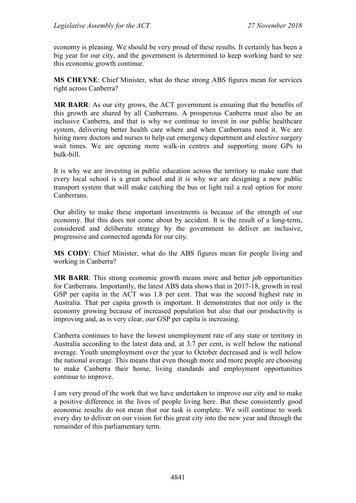economy is pleasing. We should be very proud of these results. It certainly has been a big year for our city, and the government is determined to keep working hard to see this economic growth continue.

**MS CHEYNE**: Chief Minister, what do these strong ABS figures mean for services right across Canberra?

**MR BARR**: As our city grows, the ACT government is ensuring that the benefits of this growth are shared by all Canberrans. A prosperous Canberra must also be an inclusive Canberra, and that is why we continue to invest in our public healthcare system, delivering better health care where and when Canberrans need it. We are hiring more doctors and nurses to help cut emergency department and elective surgery wait times. We are opening more walk-in centres and supporting more GPs to bulk-bill.

It is why we are investing in public education across the territory to make sure that every local school is a great school and it is why we are designing a new public transport system that will make catching the bus or light rail a real option for more Canberrans.

Our ability to make these important investments is because of the strength of our economy. But this does not come about by accident. It is the result of a long-term, considered and deliberate strategy by the government to deliver an inclusive, progressive and connected agenda for our city.

**MS CODY**: Chief Minister, what do the ABS figures mean for people living and working in Canberra?

**MR BARR**: This strong economic growth means more and better job opportunities for Canberrans. Importantly, the latest ABS data shows that in 2017-18, growth in real GSP per capita in the ACT was 1.8 per cent. That was the second highest rate in Australia. That per capita growth is important. It demonstrates that not only is the economy growing because of increased population but also that our productivity is improving and, as is very clear, our GSP per capita is increasing.

Canberra continues to have the lowest unemployment rate of any state or territory in Australia according to the latest data and, at 3.7 per cent, is well below the national average. Youth unemployment over the year to October decreased and is well below the national average. This means that even though more and more people are choosing to make Canberra their home, living standards and employment opportunities continue to improve.

I am very proud of the work that we have undertaken to improve our city and to make a positive difference in the lives of people living here. But these consistently good economic results do not mean that our task is complete. We will continue to work every day to deliver on our vision for this great city into the new year and through the remainder of this parliamentary term.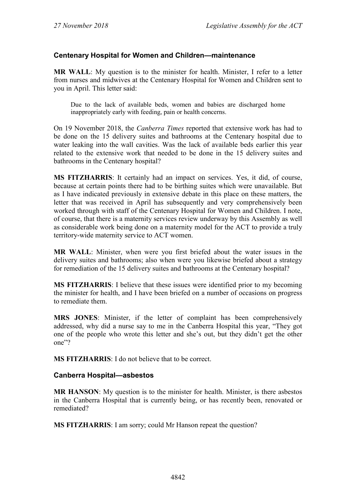### **Centenary Hospital for Women and Children—maintenance**

**MR WALL**: My question is to the minister for health. Minister, I refer to a letter from nurses and midwives at the Centenary Hospital for Women and Children sent to you in April. This letter said:

Due to the lack of available beds, women and babies are discharged home inappropriately early with feeding, pain or health concerns.

On 19 November 2018, the *Canberra Times* reported that extensive work has had to be done on the 15 delivery suites and bathrooms at the Centenary hospital due to water leaking into the wall cavities. Was the lack of available beds earlier this year related to the extensive work that needed to be done in the 15 delivery suites and bathrooms in the Centenary hospital?

**MS FITZHARRIS**: It certainly had an impact on services. Yes, it did, of course, because at certain points there had to be birthing suites which were unavailable. But as I have indicated previously in extensive debate in this place on these matters, the letter that was received in April has subsequently and very comprehensively been worked through with staff of the Centenary Hospital for Women and Children. I note, of course, that there is a maternity services review underway by this Assembly as well as considerable work being done on a maternity model for the ACT to provide a truly territory-wide maternity service to ACT women.

**MR WALL**: Minister, when were you first briefed about the water issues in the delivery suites and bathrooms; also when were you likewise briefed about a strategy for remediation of the 15 delivery suites and bathrooms at the Centenary hospital?

**MS FITZHARRIS**: I believe that these issues were identified prior to my becoming the minister for health, and I have been briefed on a number of occasions on progress to remediate them.

**MRS JONES**: Minister, if the letter of complaint has been comprehensively addressed, why did a nurse say to me in the Canberra Hospital this year, "They got one of the people who wrote this letter and she's out, but they didn't get the other one"?

**MS FITZHARRIS**: I do not believe that to be correct.

#### **Canberra Hospital—asbestos**

**MR HANSON**: My question is to the minister for health. Minister, is there asbestos in the Canberra Hospital that is currently being, or has recently been, renovated or remediated?

**MS FITZHARRIS**: I am sorry; could Mr Hanson repeat the question?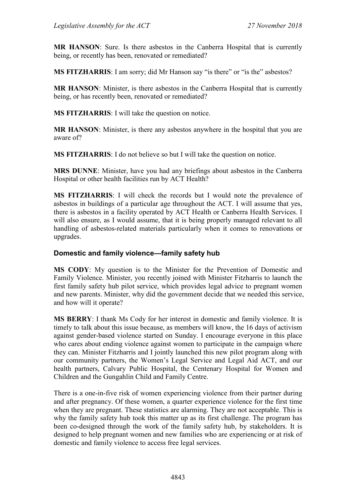**MR HANSON**: Sure. Is there asbestos in the Canberra Hospital that is currently being, or recently has been, renovated or remediated?

**MS FITZHARRIS**: I am sorry; did Mr Hanson say "is there" or "is the" asbestos?

**MR HANSON**: Minister, is there asbestos in the Canberra Hospital that is currently being, or has recently been, renovated or remediated?

**MS FITZHARRIS**: I will take the question on notice.

**MR HANSON**: Minister, is there any asbestos anywhere in the hospital that you are aware of?

**MS FITZHARRIS**: I do not believe so but I will take the question on notice.

**MRS DUNNE**: Minister, have you had any briefings about asbestos in the Canberra Hospital or other health facilities run by ACT Health?

**MS FITZHARRIS**: I will check the records but I would note the prevalence of asbestos in buildings of a particular age throughout the ACT. I will assume that yes, there is asbestos in a facility operated by ACT Health or Canberra Health Services. I will also ensure, as I would assume, that it is being properly managed relevant to all handling of asbestos-related materials particularly when it comes to renovations or upgrades.

#### **Domestic and family violence—family safety hub**

**MS CODY**: My question is to the Minister for the Prevention of Domestic and Family Violence. Minister, you recently joined with Minister Fitzharris to launch the first family safety hub pilot service, which provides legal advice to pregnant women and new parents. Minister, why did the government decide that we needed this service, and how will it operate?

**MS BERRY**: I thank Ms Cody for her interest in domestic and family violence. It is timely to talk about this issue because, as members will know, the 16 days of activism against gender-based violence started on Sunday. I encourage everyone in this place who cares about ending violence against women to participate in the campaign where they can. Minister Fitzharris and I jointly launched this new pilot program along with our community partners, the Women's Legal Service and Legal Aid ACT, and our health partners, Calvary Public Hospital, the Centenary Hospital for Women and Children and the Gungahlin Child and Family Centre.

There is a one-in-five risk of women experiencing violence from their partner during and after pregnancy. Of these women, a quarter experience violence for the first time when they are pregnant. These statistics are alarming. They are not acceptable. This is why the family safety hub took this matter up as its first challenge. The program has been co-designed through the work of the family safety hub, by stakeholders. It is designed to help pregnant women and new families who are experiencing or at risk of domestic and family violence to access free legal services.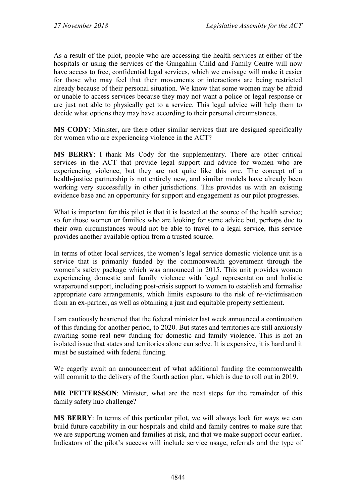As a result of the pilot, people who are accessing the health services at either of the hospitals or using the services of the Gungahlin Child and Family Centre will now have access to free, confidential legal services, which we envisage will make it easier for those who may feel that their movements or interactions are being restricted already because of their personal situation. We know that some women may be afraid or unable to access services because they may not want a police or legal response or are just not able to physically get to a service. This legal advice will help them to decide what options they may have according to their personal circumstances.

**MS CODY**: Minister, are there other similar services that are designed specifically for women who are experiencing violence in the ACT?

**MS BERRY**: I thank Ms Cody for the supplementary. There are other critical services in the ACT that provide legal support and advice for women who are experiencing violence, but they are not quite like this one. The concept of a health-justice partnership is not entirely new, and similar models have already been working very successfully in other jurisdictions. This provides us with an existing evidence base and an opportunity for support and engagement as our pilot progresses.

What is important for this pilot is that it is located at the source of the health service; so for those women or families who are looking for some advice but, perhaps due to their own circumstances would not be able to travel to a legal service, this service provides another available option from a trusted source.

In terms of other local services, the women's legal service domestic violence unit is a service that is primarily funded by the commonwealth government through the women's safety package which was announced in 2015. This unit provides women experiencing domestic and family violence with legal representation and holistic wraparound support, including post-crisis support to women to establish and formalise appropriate care arrangements, which limits exposure to the risk of re-victimisation from an ex-partner, as well as obtaining a just and equitable property settlement.

I am cautiously heartened that the federal minister last week announced a continuation of this funding for another period, to 2020. But states and territories are still anxiously awaiting some real new funding for domestic and family violence. This is not an isolated issue that states and territories alone can solve. It is expensive, it is hard and it must be sustained with federal funding.

We eagerly await an announcement of what additional funding the commonwealth will commit to the delivery of the fourth action plan, which is due to roll out in 2019.

**MR PETTERSSON**: Minister, what are the next steps for the remainder of this family safety hub challenge?

**MS BERRY**: In terms of this particular pilot, we will always look for ways we can build future capability in our hospitals and child and family centres to make sure that we are supporting women and families at risk, and that we make support occur earlier. Indicators of the pilot's success will include service usage, referrals and the type of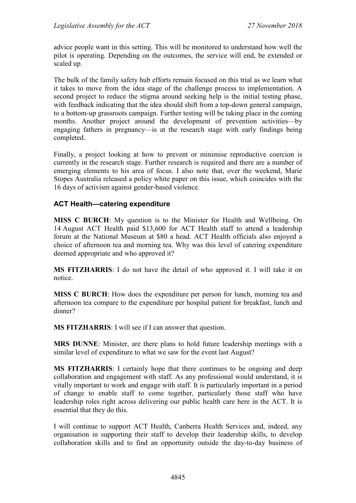advice people want in this setting. This will be monitored to understand how well the pilot is operating. Depending on the outcomes, the service will end, be extended or scaled up.

The bulk of the family safety hub efforts remain focused on this trial as we learn what it takes to move from the idea stage of the challenge process to implementation. A second project to reduce the stigma around seeking help is the initial testing phase, with feedback indicating that the idea should shift from a top-down general campaign, to a bottom-up grassroots campaign. Further testing will be taking place in the coming months. Another project around the development of prevention activities—by engaging fathers in pregnancy—is at the research stage with early findings being completed.

Finally, a project looking at how to prevent or minimise reproductive coercion is currently in the research stage. Further research is required and there are a number of emerging elements to his area of focus. I also note that, over the weekend, Marie Stopes Australia released a policy white paper on this issue, which coincides with the 16 days of activism against gender-based violence.

### **ACT Health—catering expenditure**

**MISS C BURCH**: My question is to the Minister for Health and Wellbeing. On 14 August ACT Health paid \$13,600 for ACT Health staff to attend a leadership forum at the National Museum at \$80 a head. ACT Health officials also enjoyed a choice of afternoon tea and morning tea. Why was this level of catering expenditure deemed appropriate and who approved it?

**MS FITZHARRIS**: I do not have the detail of who approved it. I will take it on notice.

**MISS C BURCH**: How does the expenditure per person for lunch, morning tea and afternoon tea compare to the expenditure per hospital patient for breakfast, lunch and dinner?

**MS FITZHARRIS**: I will see if I can answer that question.

**MRS DUNNE**: Minister, are there plans to hold future leadership meetings with a similar level of expenditure to what we saw for the event last August?

**MS FITZHARRIS**: I certainly hope that there continues to be ongoing and deep collaboration and engagement with staff. As any professional would understand, it is vitally important to work and engage with staff. It is particularly important in a period of change to enable staff to come together, particularly those staff who have leadership roles right across delivering our public health care here in the ACT. It is essential that they do this.

I will continue to support ACT Health, Canberra Health Services and, indeed, any organisation in supporting their staff to develop their leadership skills, to develop collaboration skills and to find an opportunity outside the day-to-day business of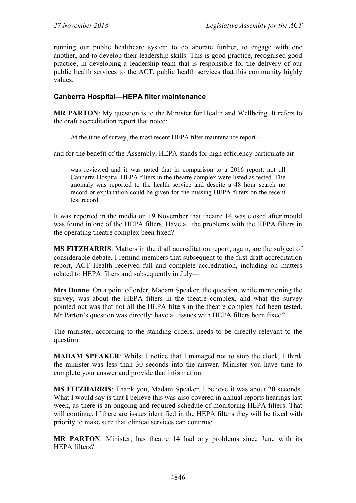running our public healthcare system to collaborate further, to engage with one another, and to develop their leadership skills. This is good practice, recognised good practice, in developing a leadership team that is responsible for the delivery of our public health services to the ACT, public health services that this community highly values.

### **Canberra Hospital—HEPA filter maintenance**

**MR PARTON**: My question is to the Minister for Health and Wellbeing. It refers to the draft accreditation report that noted:

At the time of survey, the most recent HEPA filter maintenance report—

and for the benefit of the Assembly, HEPA stands for high efficiency particulate air—

was reviewed and it was noted that in comparison to a 2016 report, not all Canberra Hospital HEPA filters in the theatre complex were listed as tested. The anomaly was reported to the health service and despite a 48 hour search no record or explanation could be given for the missing HEPA filters on the recent test record.

It was reported in the media on 19 November that theatre 14 was closed after mould was found in one of the HEPA filters. Have all the problems with the HEPA filters in the operating theatre complex been fixed?

**MS FITZHARRIS**: Matters in the draft accreditation report, again, are the subject of considerable debate. I remind members that subsequent to the first draft accreditation report, ACT Health received full and complete accreditation, including on matters related to HEPA filters and subsequently in July—

**Mrs Dunne**: On a point of order, Madam Speaker, the question, while mentioning the survey, was about the HEPA filters in the theatre complex, and what the survey pointed out was that not all the HEPA filters in the theatre complex had been tested. Mr Parton's question was directly: have all issues with HEPA filters been fixed?

The minister, according to the standing orders, needs to be directly relevant to the question.

**MADAM SPEAKER**: Whilst I notice that I managed not to stop the clock, I think the minister was less than 30 seconds into the answer. Minister you have time to complete your answer and provide that information.

**MS FITZHARRIS**: Thank you, Madam Speaker. I believe it was about 20 seconds. What I would say is that I believe this was also covered in annual reports hearings last week, as there is an ongoing and required schedule of monitoring HEPA filters. That will continue. If there are issues identified in the HEPA filters they will be fixed with priority to make sure that clinical services can continue.

**MR PARTON**: Minister, has theatre 14 had any problems since June with its HEPA filters?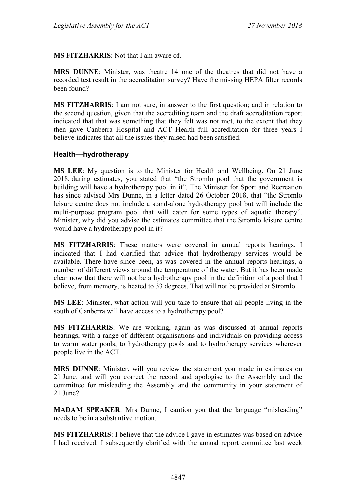**MS FITZHARRIS**: Not that I am aware of.

**MRS DUNNE**: Minister, was theatre 14 one of the theatres that did not have a recorded test result in the accreditation survey? Have the missing HEPA filter records been found?

**MS FITZHARRIS**: I am not sure, in answer to the first question; and in relation to the second question, given that the accrediting team and the draft accreditation report indicated that that was something that they felt was not met, to the extent that they then gave Canberra Hospital and ACT Health full accreditation for three years I believe indicates that all the issues they raised had been satisfied.

#### **Health—hydrotherapy**

**MS LEE**: My question is to the Minister for Health and Wellbeing. On 21 June 2018, during estimates, you stated that "the Stromlo pool that the government is building will have a hydrotherapy pool in it". The Minister for Sport and Recreation has since advised Mrs Dunne, in a letter dated 26 October 2018, that "the Stromlo leisure centre does not include a stand-alone hydrotherapy pool but will include the multi-purpose program pool that will cater for some types of aquatic therapy". Minister, why did you advise the estimates committee that the Stromlo leisure centre would have a hydrotherapy pool in it?

**MS FITZHARRIS**: These matters were covered in annual reports hearings. I indicated that I had clarified that advice that hydrotherapy services would be available. There have since been, as was covered in the annual reports hearings, a number of different views around the temperature of the water. But it has been made clear now that there will not be a hydrotherapy pool in the definition of a pool that I believe, from memory, is heated to 33 degrees. That will not be provided at Stromlo.

**MS LEE**: Minister, what action will you take to ensure that all people living in the south of Canberra will have access to a hydrotherapy pool?

**MS FITZHARRIS**: We are working, again as was discussed at annual reports hearings, with a range of different organisations and individuals on providing access to warm water pools, to hydrotherapy pools and to hydrotherapy services wherever people live in the ACT.

**MRS DUNNE**: Minister, will you review the statement you made in estimates on 21 June, and will you correct the record and apologise to the Assembly and the committee for misleading the Assembly and the community in your statement of 21 June?

**MADAM SPEAKER**: Mrs Dunne, I caution you that the language "misleading" needs to be in a substantive motion.

**MS FITZHARRIS**: I believe that the advice I gave in estimates was based on advice I had received. I subsequently clarified with the annual report committee last week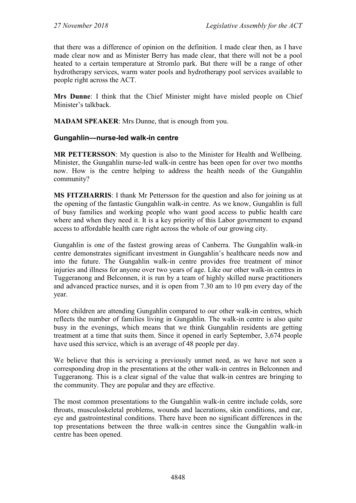that there was a difference of opinion on the definition. I made clear then, as I have made clear now and as Minister Berry has made clear, that there will not be a pool heated to a certain temperature at Stromlo park. But there will be a range of other hydrotherapy services, warm water pools and hydrotherapy pool services available to people right across the ACT.

**Mrs Dunne**: I think that the Chief Minister might have misled people on Chief Minister's talkback.

**MADAM SPEAKER**: Mrs Dunne, that is enough from you.

### **Gungahlin—nurse-led walk-in centre**

**MR PETTERSSON**: My question is also to the Minister for Health and Wellbeing. Minister, the Gungahlin nurse-led walk-in centre has been open for over two months now. How is the centre helping to address the health needs of the Gungahlin community?

**MS FITZHARRIS**: I thank Mr Pettersson for the question and also for joining us at the opening of the fantastic Gungahlin walk-in centre. As we know, Gungahlin is full of busy families and working people who want good access to public health care where and when they need it. It is a key priority of this Labor government to expand access to affordable health care right across the whole of our growing city.

Gungahlin is one of the fastest growing areas of Canberra. The Gungahlin walk-in centre demonstrates significant investment in Gungahlin's healthcare needs now and into the future. The Gungahlin walk-in centre provides free treatment of minor injuries and illness for anyone over two years of age. Like our other walk-in centres in Tuggeranong and Belconnen, it is run by a team of highly skilled nurse practitioners and advanced practice nurses, and it is open from 7.30 am to 10 pm every day of the year.

More children are attending Gungahlin compared to our other walk-in centres, which reflects the number of families living in Gungahlin. The walk-in centre is also quite busy in the evenings, which means that we think Gungahlin residents are getting treatment at a time that suits them. Since it opened in early September, 3,674 people have used this service, which is an average of 48 people per day.

We believe that this is servicing a previously unmet need, as we have not seen a corresponding drop in the presentations at the other walk-in centres in Belconnen and Tuggeranong. This is a clear signal of the value that walk-in centres are bringing to the community. They are popular and they are effective.

The most common presentations to the Gungahlin walk-in centre include colds, sore throats, musculoskeletal problems, wounds and lacerations, skin conditions, and ear, eye and gastrointestinal conditions. There have been no significant differences in the top presentations between the three walk-in centres since the Gungahlin walk-in centre has been opened.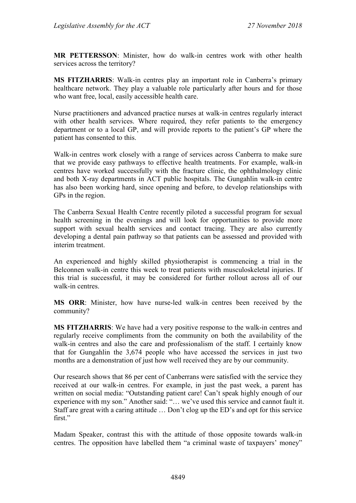**MR PETTERSSON**: Minister, how do walk-in centres work with other health services across the territory?

**MS FITZHARRIS**: Walk-in centres play an important role in Canberra's primary healthcare network. They play a valuable role particularly after hours and for those who want free, local, easily accessible health care.

Nurse practitioners and advanced practice nurses at walk-in centres regularly interact with other health services. Where required, they refer patients to the emergency department or to a local GP, and will provide reports to the patient's GP where the patient has consented to this.

Walk-in centres work closely with a range of services across Canberra to make sure that we provide easy pathways to effective health treatments. For example, walk-in centres have worked successfully with the fracture clinic, the ophthalmology clinic and both X-ray departments in ACT public hospitals. The Gungahlin walk-in centre has also been working hard, since opening and before, to develop relationships with GPs in the region.

The Canberra Sexual Health Centre recently piloted a successful program for sexual health screening in the evenings and will look for opportunities to provide more support with sexual health services and contact tracing. They are also currently developing a dental pain pathway so that patients can be assessed and provided with interim treatment.

An experienced and highly skilled physiotherapist is commencing a trial in the Belconnen walk-in centre this week to treat patients with musculoskeletal injuries. If this trial is successful, it may be considered for further rollout across all of our walk-in centres.

**MS ORR**: Minister, how have nurse-led walk-in centres been received by the community?

**MS FITZHARRIS**: We have had a very positive response to the walk-in centres and regularly receive compliments from the community on both the availability of the walk-in centres and also the care and professionalism of the staff. I certainly know that for Gungahlin the 3,674 people who have accessed the services in just two months are a demonstration of just how well received they are by our community.

Our research shows that 86 per cent of Canberrans were satisfied with the service they received at our walk-in centres. For example, in just the past week, a parent has written on social media: "Outstanding patient care! Can't speak highly enough of our experience with my son." Another said: "… we've used this service and cannot fault it. Staff are great with a caring attitude … Don't clog up the ED's and opt for this service first."

Madam Speaker, contrast this with the attitude of those opposite towards walk-in centres. The opposition have labelled them "a criminal waste of taxpayers' money"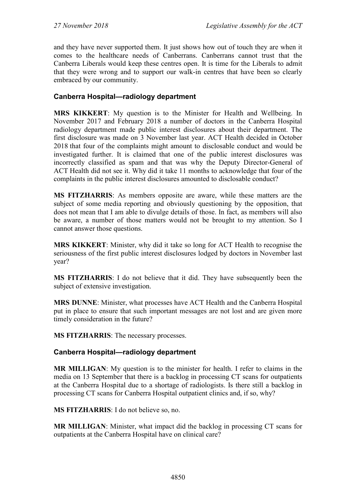and they have never supported them. It just shows how out of touch they are when it comes to the healthcare needs of Canberrans. Canberrans cannot trust that the Canberra Liberals would keep these centres open. It is time for the Liberals to admit that they were wrong and to support our walk-in centres that have been so clearly embraced by our community.

### **Canberra Hospital—radiology department**

**MRS KIKKERT**: My question is to the Minister for Health and Wellbeing. In November 2017 and February 2018 a number of doctors in the Canberra Hospital radiology department made public interest disclosures about their department. The first disclosure was made on 3 November last year. ACT Health decided in October 2018 that four of the complaints might amount to disclosable conduct and would be investigated further. It is claimed that one of the public interest disclosures was incorrectly classified as spam and that was why the Deputy Director-General of ACT Health did not see it. Why did it take 11 months to acknowledge that four of the complaints in the public interest disclosures amounted to disclosable conduct?

**MS FITZHARRIS**: As members opposite are aware, while these matters are the subject of some media reporting and obviously questioning by the opposition, that does not mean that I am able to divulge details of those. In fact, as members will also be aware, a number of those matters would not be brought to my attention. So I cannot answer those questions.

**MRS KIKKERT**: Minister, why did it take so long for ACT Health to recognise the seriousness of the first public interest disclosures lodged by doctors in November last year?

**MS FITZHARRIS**: I do not believe that it did. They have subsequently been the subject of extensive investigation.

**MRS DUNNE**: Minister, what processes have ACT Health and the Canberra Hospital put in place to ensure that such important messages are not lost and are given more timely consideration in the future?

**MS FITZHARRIS**: The necessary processes.

### **Canberra Hospital—radiology department**

**MR MILLIGAN**: My question is to the minister for health. I refer to claims in the media on 13 September that there is a backlog in processing CT scans for outpatients at the Canberra Hospital due to a shortage of radiologists. Is there still a backlog in processing CT scans for Canberra Hospital outpatient clinics and, if so, why?

**MS FITZHARRIS**: I do not believe so, no.

**MR MILLIGAN**: Minister, what impact did the backlog in processing CT scans for outpatients at the Canberra Hospital have on clinical care?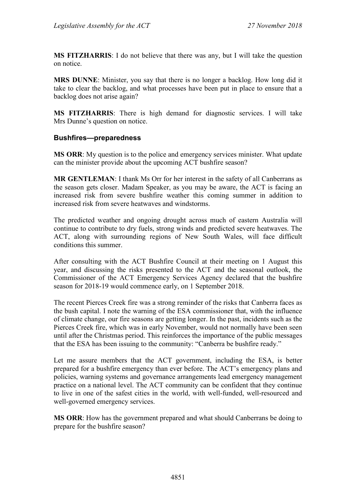**MS FITZHARRIS**: I do not believe that there was any, but I will take the question on notice.

**MRS DUNNE**: Minister, you say that there is no longer a backlog. How long did it take to clear the backlog, and what processes have been put in place to ensure that a backlog does not arise again?

**MS FITZHARRIS**: There is high demand for diagnostic services. I will take Mrs Dunne's question on notice.

#### **Bushfires—preparedness**

**MS ORR**: My question is to the police and emergency services minister. What update can the minister provide about the upcoming ACT bushfire season?

**MR GENTLEMAN**: I thank Ms Orr for her interest in the safety of all Canberrans as the season gets closer. Madam Speaker, as you may be aware, the ACT is facing an increased risk from severe bushfire weather this coming summer in addition to increased risk from severe heatwaves and windstorms.

The predicted weather and ongoing drought across much of eastern Australia will continue to contribute to dry fuels, strong winds and predicted severe heatwaves. The ACT, along with surrounding regions of New South Wales, will face difficult conditions this summer.

After consulting with the ACT Bushfire Council at their meeting on 1 August this year, and discussing the risks presented to the ACT and the seasonal outlook, the Commissioner of the ACT Emergency Services Agency declared that the bushfire season for 2018-19 would commence early, on 1 September 2018.

The recent Pierces Creek fire was a strong reminder of the risks that Canberra faces as the bush capital. I note the warning of the ESA commissioner that, with the influence of climate change, our fire seasons are getting longer. In the past, incidents such as the Pierces Creek fire, which was in early November, would not normally have been seen until after the Christmas period. This reinforces the importance of the public messages that the ESA has been issuing to the community: "Canberra be bushfire ready."

Let me assure members that the ACT government, including the ESA, is better prepared for a bushfire emergency than ever before. The ACT's emergency plans and policies, warning systems and governance arrangements lead emergency management practice on a national level. The ACT community can be confident that they continue to live in one of the safest cities in the world, with well-funded, well-resourced and well-governed emergency services.

**MS ORR**: How has the government prepared and what should Canberrans be doing to prepare for the bushfire season?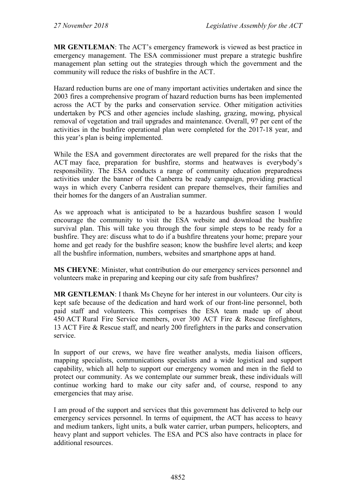**MR GENTLEMAN**: The ACT's emergency framework is viewed as best practice in emergency management. The ESA commissioner must prepare a strategic bushfire management plan setting out the strategies through which the government and the community will reduce the risks of bushfire in the ACT.

Hazard reduction burns are one of many important activities undertaken and since the 2003 fires a comprehensive program of hazard reduction burns has been implemented across the ACT by the parks and conservation service. Other mitigation activities undertaken by PCS and other agencies include slashing, grazing, mowing, physical removal of vegetation and trail upgrades and maintenance. Overall, 97 per cent of the activities in the bushfire operational plan were completed for the 2017-18 year, and this year's plan is being implemented.

While the ESA and government directorates are well prepared for the risks that the ACT may face, preparation for bushfire, storms and heatwaves is everybody's responsibility. The ESA conducts a range of community education preparedness activities under the banner of the Canberra be ready campaign, providing practical ways in which every Canberra resident can prepare themselves, their families and their homes for the dangers of an Australian summer.

As we approach what is anticipated to be a hazardous bushfire season I would encourage the community to visit the ESA website and download the bushfire survival plan. This will take you through the four simple steps to be ready for a bushfire. They are: discuss what to do if a bushfire threatens your home; prepare your home and get ready for the bushfire season; know the bushfire level alerts; and keep all the bushfire information, numbers, websites and smartphone apps at hand.

**MS CHEYNE**: Minister, what contribution do our emergency services personnel and volunteers make in preparing and keeping our city safe from bushfires?

**MR GENTLEMAN**: I thank Ms Cheyne for her interest in our volunteers. Our city is kept safe because of the dedication and hard work of our front-line personnel, both paid staff and volunteers. This comprises the ESA team made up of about 450 ACT Rural Fire Service members, over 300 ACT Fire & Rescue firefighters, 13 ACT Fire & Rescue staff, and nearly 200 firefighters in the parks and conservation service.

In support of our crews, we have fire weather analysts, media liaison officers, mapping specialists, communications specialists and a wide logistical and support capability, which all help to support our emergency women and men in the field to protect our community. As we contemplate our summer break, these individuals will continue working hard to make our city safer and, of course, respond to any emergencies that may arise.

I am proud of the support and services that this government has delivered to help our emergency services personnel. In terms of equipment, the ACT has access to heavy and medium tankers, light units, a bulk water carrier, urban pumpers, helicopters, and heavy plant and support vehicles. The ESA and PCS also have contracts in place for additional resources.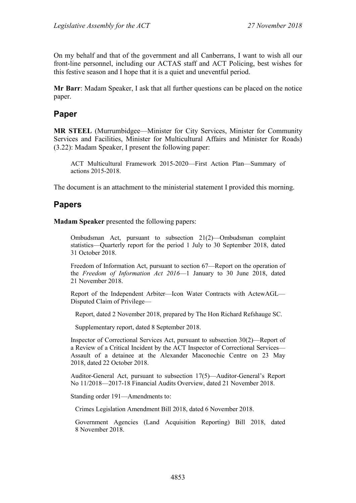On my behalf and that of the government and all Canberrans, I want to wish all our front-line personnel, including our ACTAS staff and ACT Policing, best wishes for this festive season and I hope that it is a quiet and uneventful period.

**Mr Barr**: Madam Speaker, I ask that all further questions can be placed on the notice paper.

## **Paper**

**MR STEEL** (Murrumbidgee—Minister for City Services, Minister for Community Services and Facilities, Minister for Multicultural Affairs and Minister for Roads) (3.22): Madam Speaker, I present the following paper:

ACT Multicultural Framework 2015-2020—First Action Plan—Summary of actions 2015-2018.

The document is an attachment to the ministerial statement I provided this morning.

## **Papers**

**Madam Speaker** presented the following papers:

Ombudsman Act, pursuant to subsection 21(2)—Ombudsman complaint statistics—Quarterly report for the period 1 July to 30 September 2018, dated 31 October 2018.

Freedom of Information Act, pursuant to section 67—Report on the operation of the *Freedom of Information Act 2016*—1 January to 30 June 2018, dated 21 November 2018.

Report of the Independent Arbiter—Icon Water Contracts with ActewAGL— Disputed Claim of Privilege—

Report, dated 2 November 2018, prepared by The Hon Richard Refshauge SC.

Supplementary report, dated 8 September 2018.

Inspector of Correctional Services Act, pursuant to subsection 30(2)—Report of a Review of a Critical Incident by the ACT Inspector of Correctional Services— Assault of a detainee at the Alexander Maconochie Centre on 23 May 2018, dated 22 October 2018.

Auditor-General Act, pursuant to subsection 17(5)—Auditor-General's Report No 11/2018—2017-18 Financial Audits Overview, dated 21 November 2018.

Standing order 191—Amendments to:

Crimes Legislation Amendment Bill 2018, dated 6 November 2018.

Government Agencies (Land Acquisition Reporting) Bill 2018, dated 8 November 2018.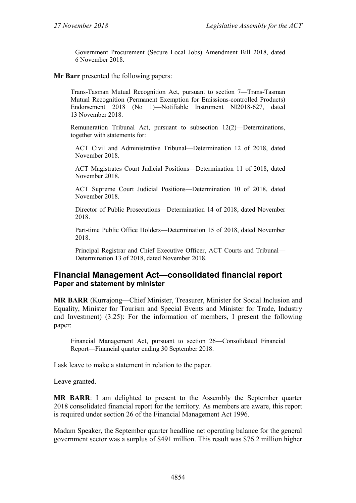Government Procurement (Secure Local Jobs) Amendment Bill 2018, dated 6 November 2018.

#### **Mr Barr** presented the following papers:

Trans-Tasman Mutual Recognition Act, pursuant to section 7—Trans-Tasman Mutual Recognition (Permanent Exemption for Emissions-controlled Products) Endorsement 2018 (No 1)—Notifiable Instrument NI2018-627, dated 13 November 2018.

Remuneration Tribunal Act, pursuant to subsection 12(2)—Determinations, together with statements for:

ACT Civil and Administrative Tribunal—Determination 12 of 2018, dated November 2018.

ACT Magistrates Court Judicial Positions—Determination 11 of 2018, dated November 2018.

ACT Supreme Court Judicial Positions—Determination 10 of 2018, dated November 2018.

Director of Public Prosecutions—Determination 14 of 2018, dated November 2018.

Part-time Public Office Holders—Determination 15 of 2018, dated November 2018.

Principal Registrar and Chief Executive Officer, ACT Courts and Tribunal— Determination 13 of 2018, dated November 2018.

### **Financial Management Act—consolidated financial report Paper and statement by minister**

**MR BARR** (Kurrajong—Chief Minister, Treasurer, Minister for Social Inclusion and Equality, Minister for Tourism and Special Events and Minister for Trade, Industry and Investment) (3.25): For the information of members, I present the following paper:

Financial Management Act, pursuant to section 26—Consolidated Financial Report—Financial quarter ending 30 September 2018.

I ask leave to make a statement in relation to the paper.

Leave granted.

**MR BARR**: I am delighted to present to the Assembly the September quarter 2018 consolidated financial report for the territory. As members are aware, this report is required under section 26 of the Financial Management Act 1996.

Madam Speaker, the September quarter headline net operating balance for the general government sector was a surplus of \$491 million. This result was \$76.2 million higher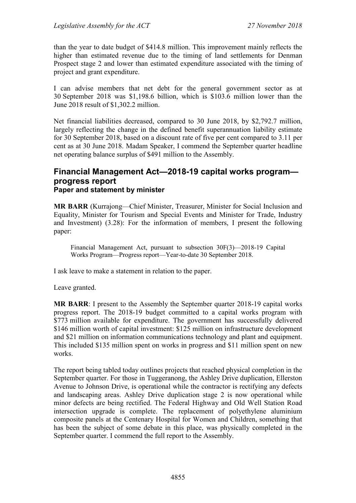than the year to date budget of \$414.8 million. This improvement mainly reflects the higher than estimated revenue due to the timing of land settlements for Denman Prospect stage 2 and lower than estimated expenditure associated with the timing of project and grant expenditure.

I can advise members that net debt for the general government sector as at 30 September 2018 was \$1,198.6 billion, which is \$103.6 million lower than the June 2018 result of \$1,302.2 million.

Net financial liabilities decreased, compared to 30 June 2018, by \$2,792.7 million, largely reflecting the change in the defined benefit superannuation liability estimate for 30 September 2018, based on a discount rate of five per cent compared to 3.11 per cent as at 30 June 2018. Madam Speaker, I commend the September quarter headline net operating balance surplus of \$491 million to the Assembly.

### **Financial Management Act—2018-19 capital works program progress report Paper and statement by minister**

**MR BARR** (Kurrajong—Chief Minister, Treasurer, Minister for Social Inclusion and Equality, Minister for Tourism and Special Events and Minister for Trade, Industry and Investment) (3.28): For the information of members, I present the following paper:

Financial Management Act, pursuant to subsection 30F(3)—2018-19 Capital Works Program—Progress report—Year-to-date 30 September 2018.

I ask leave to make a statement in relation to the paper.

Leave granted.

**MR BARR**: I present to the Assembly the September quarter 2018-19 capital works progress report. The 2018-19 budget committed to a capital works program with \$773 million available for expenditure. The government has successfully delivered \$146 million worth of capital investment: \$125 million on infrastructure development and \$21 million on information communications technology and plant and equipment. This included \$135 million spent on works in progress and \$11 million spent on new works.

The report being tabled today outlines projects that reached physical completion in the September quarter. For those in Tuggeranong, the Ashley Drive duplication, Ellerston Avenue to Johnson Drive, is operational while the contractor is rectifying any defects and landscaping areas. Ashley Drive duplication stage 2 is now operational while minor defects are being rectified. The Federal Highway and Old Well Station Road intersection upgrade is complete. The replacement of polyethylene aluminium composite panels at the Centenary Hospital for Women and Children, something that has been the subject of some debate in this place, was physically completed in the September quarter. I commend the full report to the Assembly.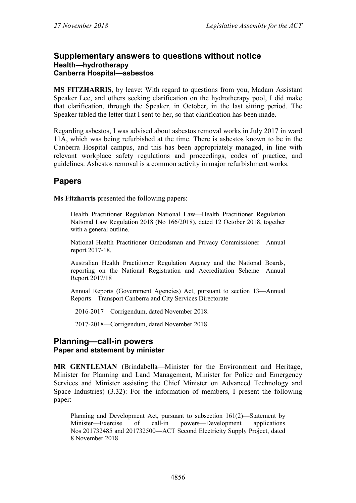#### **Supplementary answers to questions without notice Health—hydrotherapy Canberra Hospital—asbestos**

**MS FITZHARRIS**, by leave: With regard to questions from you, Madam Assistant Speaker Lee, and others seeking clarification on the hydrotherapy pool, I did make that clarification, through the Speaker, in October, in the last sitting period. The Speaker tabled the letter that I sent to her, so that clarification has been made.

Regarding asbestos, I was advised about asbestos removal works in July 2017 in ward 11A, which was being refurbished at the time. There is asbestos known to be in the Canberra Hospital campus, and this has been appropriately managed, in line with relevant workplace safety regulations and proceedings, codes of practice, and guidelines. Asbestos removal is a common activity in major refurbishment works.

# **Papers**

**Ms Fitzharris** presented the following papers:

Health Practitioner Regulation National Law—Health Practitioner Regulation National Law Regulation 2018 (No 166/2018), dated 12 October 2018, together with a general outline.

National Health Practitioner Ombudsman and Privacy Commissioner—Annual report 2017-18.

Australian Health Practitioner Regulation Agency and the National Boards, reporting on the National Registration and Accreditation Scheme—Annual Report 2017/18

Annual Reports (Government Agencies) Act, pursuant to section 13—Annual Reports—Transport Canberra and City Services Directorate—

2016-2017—Corrigendum, dated November 2018.

2017-2018—Corrigendum, dated November 2018.

### **Planning—call-in powers Paper and statement by minister**

**MR GENTLEMAN** (Brindabella—Minister for the Environment and Heritage, Minister for Planning and Land Management, Minister for Police and Emergency Services and Minister assisting the Chief Minister on Advanced Technology and Space Industries) (3.32): For the information of members, I present the following paper:

Planning and Development Act, pursuant to subsection 161(2)—Statement by Minister—Exercise of call-in powers—Development applications Nos 201732485 and 201732500—ACT Second Electricity Supply Project, dated 8 November 2018.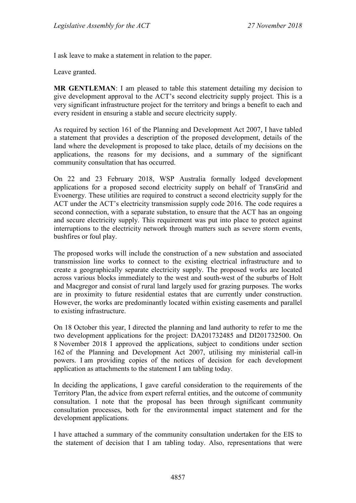I ask leave to make a statement in relation to the paper.

Leave granted.

**MR GENTLEMAN**: I am pleased to table this statement detailing my decision to give development approval to the ACT's second electricity supply project. This is a very significant infrastructure project for the territory and brings a benefit to each and every resident in ensuring a stable and secure electricity supply.

As required by section 161 of the Planning and Development Act 2007, I have tabled a statement that provides a description of the proposed development, details of the land where the development is proposed to take place, details of my decisions on the applications, the reasons for my decisions, and a summary of the significant community consultation that has occurred.

On 22 and 23 February 2018, WSP Australia formally lodged development applications for a proposed second electricity supply on behalf of TransGrid and Evoenergy. These utilities are required to construct a second electricity supply for the ACT under the ACT's electricity transmission supply code 2016. The code requires a second connection, with a separate substation, to ensure that the ACT has an ongoing and secure electricity supply. This requirement was put into place to protect against interruptions to the electricity network through matters such as severe storm events, bushfires or foul play.

The proposed works will include the construction of a new substation and associated transmission line works to connect to the existing electrical infrastructure and to create a geographically separate electricity supply. The proposed works are located across various blocks immediately to the west and south-west of the suburbs of Holt and Macgregor and consist of rural land largely used for grazing purposes. The works are in proximity to future residential estates that are currently under construction. However, the works are predominantly located within existing easements and parallel to existing infrastructure.

On 18 October this year, I directed the planning and land authority to refer to me the two development applications for the project: DA201732485 and DI201732500. On 8 November 2018 I approved the applications, subject to conditions under section 162 of the Planning and Development Act 2007, utilising my ministerial call-in powers. I am providing copies of the notices of decision for each development application as attachments to the statement I am tabling today.

In deciding the applications, I gave careful consideration to the requirements of the Territory Plan, the advice from expert referral entities, and the outcome of community consultation. I note that the proposal has been through significant community consultation processes, both for the environmental impact statement and for the development applications.

I have attached a summary of the community consultation undertaken for the EIS to the statement of decision that I am tabling today. Also, representations that were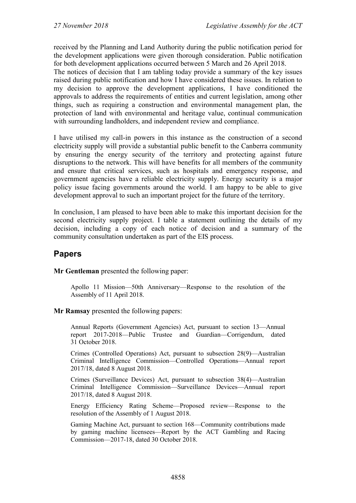received by the Planning and Land Authority during the public notification period for the development applications were given thorough consideration. Public notification for both development applications occurred between 5 March and 26 April 2018.

The notices of decision that I am tabling today provide a summary of the key issues raised during public notification and how I have considered these issues. In relation to my decision to approve the development applications, I have conditioned the approvals to address the requirements of entities and current legislation, among other things, such as requiring a construction and environmental management plan, the protection of land with environmental and heritage value, continual communication with surrounding landholders, and independent review and compliance.

I have utilised my call-in powers in this instance as the construction of a second electricity supply will provide a substantial public benefit to the Canberra community by ensuring the energy security of the territory and protecting against future disruptions to the network. This will have benefits for all members of the community and ensure that critical services, such as hospitals and emergency response, and government agencies have a reliable electricity supply. Energy security is a major policy issue facing governments around the world. I am happy to be able to give development approval to such an important project for the future of the territory.

In conclusion, I am pleased to have been able to make this important decision for the second electricity supply project. I table a statement outlining the details of my decision, including a copy of each notice of decision and a summary of the community consultation undertaken as part of the EIS process.

## **Papers**

**Mr Gentleman** presented the following paper:

Apollo 11 Mission—50th Anniversary—Response to the resolution of the Assembly of 11 April 2018.

#### **Mr Ramsay** presented the following papers:

Annual Reports (Government Agencies) Act, pursuant to section 13—Annual report 2017-2018—Public Trustee and Guardian—Corrigendum, dated 31 October 2018.

Crimes (Controlled Operations) Act, pursuant to subsection 28(9)—Australian Criminal Intelligence Commission—Controlled Operations—Annual report 2017/18, dated 8 August 2018.

Crimes (Surveillance Devices) Act, pursuant to subsection 38(4)—Australian Criminal Intelligence Commission—Surveillance Devices—Annual report 2017/18, dated 8 August 2018.

Energy Efficiency Rating Scheme—Proposed review—Response to the resolution of the Assembly of 1 August 2018.

Gaming Machine Act, pursuant to section 168—Community contributions made by gaming machine licensees—Report by the ACT Gambling and Racing Commission—2017-18, dated 30 October 2018.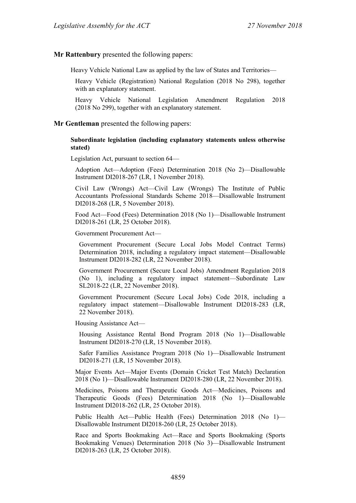**Mr Rattenbury** presented the following papers:

Heavy Vehicle National Law as applied by the law of States and Territories—

Heavy Vehicle (Registration) National Regulation (2018 No 298), together with an explanatory statement.

Heavy Vehicle National Legislation Amendment Regulation 2018 (2018 No 299), together with an explanatory statement.

**Mr Gentleman** presented the following papers:

#### **Subordinate legislation (including explanatory statements unless otherwise stated)**

Legislation Act, pursuant to section 64—

Adoption Act—Adoption (Fees) Determination 2018 (No 2)—Disallowable Instrument DI2018-267 (LR, 1 November 2018).

Civil Law (Wrongs) Act—Civil Law (Wrongs) The Institute of Public Accountants Professional Standards Scheme 2018—Disallowable Instrument DI2018-268 (LR, 5 November 2018).

Food Act—Food (Fees) Determination 2018 (No 1)—Disallowable Instrument DI2018-261 (LR, 25 October 2018).

Government Procurement Act—

Government Procurement (Secure Local Jobs Model Contract Terms) Determination 2018, including a regulatory impact statement—Disallowable Instrument DI2018-282 (LR, 22 November 2018).

Government Procurement (Secure Local Jobs) Amendment Regulation 2018 (No 1), including a regulatory impact statement—Subordinate Law SL2018-22 (LR, 22 November 2018).

Government Procurement (Secure Local Jobs) Code 2018, including a regulatory impact statement—Disallowable Instrument DI2018-283 (LR, 22 November 2018).

Housing Assistance Act—

Housing Assistance Rental Bond Program 2018 (No 1)—Disallowable Instrument DI2018-270 (LR, 15 November 2018).

Safer Families Assistance Program 2018 (No 1)—Disallowable Instrument DI2018-271 (LR, 15 November 2018).

Major Events Act—Major Events (Domain Cricket Test Match) Declaration 2018 (No 1)—Disallowable Instrument DI2018-280 (LR, 22 November 2018).

Medicines, Poisons and Therapeutic Goods Act—Medicines, Poisons and Therapeutic Goods (Fees) Determination 2018 (No 1)—Disallowable Instrument DI2018-262 (LR, 25 October 2018).

Public Health Act—Public Health (Fees) Determination 2018 (No 1)— Disallowable Instrument DI2018-260 (LR, 25 October 2018).

Race and Sports Bookmaking Act—Race and Sports Bookmaking (Sports Bookmaking Venues) Determination 2018 (No 3)—Disallowable Instrument DI2018-263 (LR, 25 October 2018).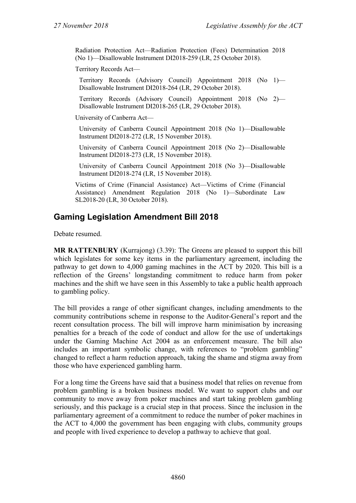Radiation Protection Act—Radiation Protection (Fees) Determination 2018 (No 1)—Disallowable Instrument DI2018-259 (LR, 25 October 2018).

Territory Records Act—

Territory Records (Advisory Council) Appointment 2018 (No 1)— Disallowable Instrument DI2018-264 (LR, 29 October 2018).

Territory Records (Advisory Council) Appointment 2018 (No 2)— Disallowable Instrument DI2018-265 (LR, 29 October 2018).

University of Canberra Act—

University of Canberra Council Appointment 2018 (No 1)—Disallowable Instrument DI2018-272 (LR, 15 November 2018).

University of Canberra Council Appointment 2018 (No 2)—Disallowable Instrument DI2018-273 (LR, 15 November 2018).

University of Canberra Council Appointment 2018 (No 3)—Disallowable Instrument DI2018-274 (LR, 15 November 2018).

Victims of Crime (Financial Assistance) Act—Victims of Crime (Financial Assistance) Amendment Regulation 2018 (No 1)—Subordinate Law SL2018-20 (LR, 30 October 2018).

# **Gaming Legislation Amendment Bill 2018**

Debate resumed.

**MR RATTENBURY** (Kurrajong) (3.39): The Greens are pleased to support this bill which legislates for some key items in the parliamentary agreement, including the pathway to get down to 4,000 gaming machines in the ACT by 2020. This bill is a reflection of the Greens' longstanding commitment to reduce harm from poker machines and the shift we have seen in this Assembly to take a public health approach to gambling policy.

The bill provides a range of other significant changes, including amendments to the community contributions scheme in response to the Auditor-General's report and the recent consultation process. The bill will improve harm minimisation by increasing penalties for a breach of the code of conduct and allow for the use of undertakings under the Gaming Machine Act 2004 as an enforcement measure. The bill also includes an important symbolic change, with references to "problem gambling" changed to reflect a harm reduction approach, taking the shame and stigma away from those who have experienced gambling harm.

For a long time the Greens have said that a business model that relies on revenue from problem gambling is a broken business model. We want to support clubs and our community to move away from poker machines and start taking problem gambling seriously, and this package is a crucial step in that process. Since the inclusion in the parliamentary agreement of a commitment to reduce the number of poker machines in the ACT to 4,000 the government has been engaging with clubs, community groups and people with lived experience to develop a pathway to achieve that goal.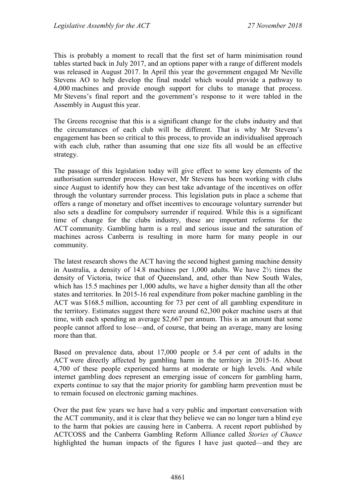This is probably a moment to recall that the first set of harm minimisation round tables started back in July 2017, and an options paper with a range of different models was released in August 2017. In April this year the government engaged Mr Neville Stevens AO to help develop the final model which would provide a pathway to 4,000 machines and provide enough support for clubs to manage that process. Mr Stevens's final report and the government's response to it were tabled in the Assembly in August this year.

The Greens recognise that this is a significant change for the clubs industry and that the circumstances of each club will be different. That is why Mr Stevens's engagement has been so critical to this process, to provide an individualised approach with each club, rather than assuming that one size fits all would be an effective strategy.

The passage of this legislation today will give effect to some key elements of the authorisation surrender process. However, Mr Stevens has been working with clubs since August to identify how they can best take advantage of the incentives on offer through the voluntary surrender process. This legislation puts in place a scheme that offers a range of monetary and offset incentives to encourage voluntary surrender but also sets a deadline for compulsory surrender if required. While this is a significant time of change for the clubs industry, these are important reforms for the ACT community. Gambling harm is a real and serious issue and the saturation of machines across Canberra is resulting in more harm for many people in our community.

The latest research shows the ACT having the second highest gaming machine density in Australia, a density of 14.8 machines per 1,000 adults. We have 2½ times the density of Victoria, twice that of Queensland, and, other than New South Wales, which has 15.5 machines per 1,000 adults, we have a higher density than all the other states and territories. In 2015-16 real expenditure from poker machine gambling in the ACT was \$168.5 million, accounting for 73 per cent of all gambling expenditure in the territory. Estimates suggest there were around 62,300 poker machine users at that time, with each spending an average \$2,667 per annum. This is an amount that some people cannot afford to lose—and, of course, that being an average, many are losing more than that.

Based on prevalence data, about 17,000 people or 5.4 per cent of adults in the ACT were directly affected by gambling harm in the territory in 2015-16. About 4,700 of these people experienced harms at moderate or high levels. And while internet gambling does represent an emerging issue of concern for gambling harm, experts continue to say that the major priority for gambling harm prevention must be to remain focused on electronic gaming machines.

Over the past few years we have had a very public and important conversation with the ACT community, and it is clear that they believe we can no longer turn a blind eye to the harm that pokies are causing here in Canberra. A recent report published by ACTCOSS and the Canberra Gambling Reform Alliance called *Stories of Chance* highlighted the human impacts of the figures I have just quoted—and they are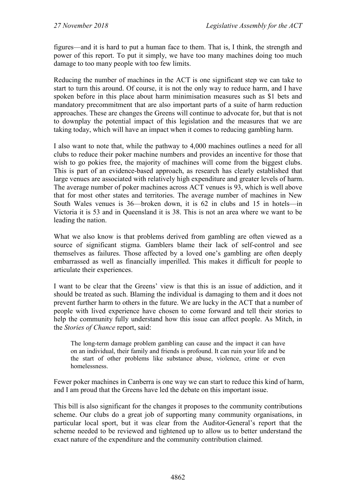figures—and it is hard to put a human face to them. That is, I think, the strength and power of this report. To put it simply, we have too many machines doing too much damage to too many people with too few limits.

Reducing the number of machines in the ACT is one significant step we can take to start to turn this around. Of course, it is not the only way to reduce harm, and I have spoken before in this place about harm minimisation measures such as \$1 bets and mandatory precommitment that are also important parts of a suite of harm reduction approaches. These are changes the Greens will continue to advocate for, but that is not to downplay the potential impact of this legislation and the measures that we are taking today, which will have an impact when it comes to reducing gambling harm.

I also want to note that, while the pathway to 4,000 machines outlines a need for all clubs to reduce their poker machine numbers and provides an incentive for those that wish to go pokies free, the majority of machines will come from the biggest clubs. This is part of an evidence-based approach, as research has clearly established that large venues are associated with relatively high expenditure and greater levels of harm. The average number of poker machines across ACT venues is 93, which is well above that for most other states and territories. The average number of machines in New South Wales venues is 36—broken down, it is 62 in clubs and 15 in hotels—in Victoria it is 53 and in Queensland it is 38. This is not an area where we want to be leading the nation.

What we also know is that problems derived from gambling are often viewed as a source of significant stigma. Gamblers blame their lack of self-control and see themselves as failures. Those affected by a loved one's gambling are often deeply embarrassed as well as financially imperilled. This makes it difficult for people to articulate their experiences.

I want to be clear that the Greens' view is that this is an issue of addiction, and it should be treated as such. Blaming the individual is damaging to them and it does not prevent further harm to others in the future. We are lucky in the ACT that a number of people with lived experience have chosen to come forward and tell their stories to help the community fully understand how this issue can affect people. As Mitch, in the *Stories of Chance* report, said:

The long-term damage problem gambling can cause and the impact it can have on an individual, their family and friends is profound. It can ruin your life and be the start of other problems like substance abuse, violence, crime or even homelessness.

Fewer poker machines in Canberra is one way we can start to reduce this kind of harm, and I am proud that the Greens have led the debate on this important issue.

This bill is also significant for the changes it proposes to the community contributions scheme. Our clubs do a great job of supporting many community organisations, in particular local sport, but it was clear from the Auditor-General's report that the scheme needed to be reviewed and tightened up to allow us to better understand the exact nature of the expenditure and the community contribution claimed.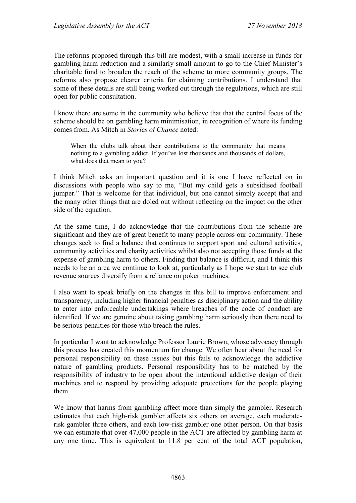The reforms proposed through this bill are modest, with a small increase in funds for gambling harm reduction and a similarly small amount to go to the Chief Minister's charitable fund to broaden the reach of the scheme to more community groups. The reforms also propose clearer criteria for claiming contributions. I understand that some of these details are still being worked out through the regulations, which are still open for public consultation.

I know there are some in the community who believe that that the central focus of the scheme should be on gambling harm minimisation, in recognition of where its funding comes from. As Mitch in *Stories of Chance* noted:

When the clubs talk about their contributions to the community that means nothing to a gambling addict. If you've lost thousands and thousands of dollars, what does that mean to you?

I think Mitch asks an important question and it is one I have reflected on in discussions with people who say to me, "But my child gets a subsidised football jumper." That is welcome for that individual, but one cannot simply accept that and the many other things that are doled out without reflecting on the impact on the other side of the equation.

At the same time, I do acknowledge that the contributions from the scheme are significant and they are of great benefit to many people across our community. These changes seek to find a balance that continues to support sport and cultural activities, community activities and charity activities whilst also not accepting those funds at the expense of gambling harm to others. Finding that balance is difficult, and I think this needs to be an area we continue to look at, particularly as I hope we start to see club revenue sources diversify from a reliance on poker machines.

I also want to speak briefly on the changes in this bill to improve enforcement and transparency, including higher financial penalties as disciplinary action and the ability to enter into enforceable undertakings where breaches of the code of conduct are identified. If we are genuine about taking gambling harm seriously then there need to be serious penalties for those who breach the rules.

In particular I want to acknowledge Professor Laurie Brown, whose advocacy through this process has created this momentum for change. We often hear about the need for personal responsibility on these issues but this fails to acknowledge the addictive nature of gambling products. Personal responsibility has to be matched by the responsibility of industry to be open about the intentional addictive design of their machines and to respond by providing adequate protections for the people playing them.

We know that harms from gambling affect more than simply the gambler. Research estimates that each high-risk gambler affects six others on average, each moderaterisk gambler three others, and each low-risk gambler one other person. On that basis we can estimate that over 47,000 people in the ACT are affected by gambling harm at any one time. This is equivalent to 11.8 per cent of the total ACT population,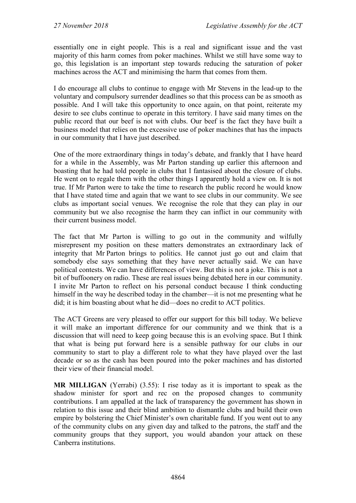essentially one in eight people. This is a real and significant issue and the vast majority of this harm comes from poker machines. Whilst we still have some way to go, this legislation is an important step towards reducing the saturation of poker machines across the ACT and minimising the harm that comes from them.

I do encourage all clubs to continue to engage with Mr Stevens in the lead-up to the voluntary and compulsory surrender deadlines so that this process can be as smooth as possible. And I will take this opportunity to once again, on that point, reiterate my desire to see clubs continue to operate in this territory. I have said many times on the public record that our beef is not with clubs. Our beef is the fact they have built a business model that relies on the excessive use of poker machines that has the impacts in our community that I have just described.

One of the more extraordinary things in today's debate, and frankly that I have heard for a while in the Assembly, was Mr Parton standing up earlier this afternoon and boasting that he had told people in clubs that I fantasised about the closure of clubs. He went on to regale them with the other things I apparently hold a view on. It is not true. If Mr Parton were to take the time to research the public record he would know that I have stated time and again that we want to see clubs in our community. We see clubs as important social venues. We recognise the role that they can play in our community but we also recognise the harm they can inflict in our community with their current business model.

The fact that Mr Parton is willing to go out in the community and wilfully misrepresent my position on these matters demonstrates an extraordinary lack of integrity that Mr Parton brings to politics. He cannot just go out and claim that somebody else says something that they have never actually said. We can have political contests. We can have differences of view. But this is not a joke. This is not a bit of buffoonery on radio. These are real issues being debated here in our community. I invite Mr Parton to reflect on his personal conduct because I think conducting himself in the way he described today in the chamber—it is not me presenting what he did; it is him boasting about what he did—does no credit to ACT politics.

The ACT Greens are very pleased to offer our support for this bill today. We believe it will make an important difference for our community and we think that is a discussion that will need to keep going because this is an evolving space. But I think that what is being put forward here is a sensible pathway for our clubs in our community to start to play a different role to what they have played over the last decade or so as the cash has been poured into the poker machines and has distorted their view of their financial model.

**MR MILLIGAN** (Yerrabi) (3.55): I rise today as it is important to speak as the shadow minister for sport and rec on the proposed changes to community contributions. I am appalled at the lack of transparency the government has shown in relation to this issue and their blind ambition to dismantle clubs and build their own empire by bolstering the Chief Minister's own charitable fund. If you went out to any of the community clubs on any given day and talked to the patrons, the staff and the community groups that they support, you would abandon your attack on these Canberra institutions.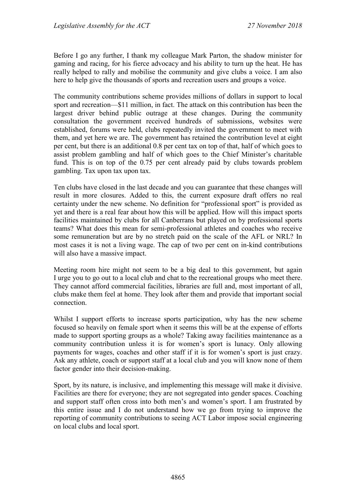Before I go any further, I thank my colleague Mark Parton, the shadow minister for gaming and racing, for his fierce advocacy and his ability to turn up the heat. He has really helped to rally and mobilise the community and give clubs a voice. I am also here to help give the thousands of sports and recreation users and groups a voice.

The community contributions scheme provides millions of dollars in support to local sport and recreation—\$11 million, in fact. The attack on this contribution has been the largest driver behind public outrage at these changes. During the community consultation the government received hundreds of submissions, websites were established, forums were held, clubs repeatedly invited the government to meet with them, and yet here we are. The government has retained the contribution level at eight per cent, but there is an additional 0.8 per cent tax on top of that, half of which goes to assist problem gambling and half of which goes to the Chief Minister's charitable fund. This is on top of the 0.75 per cent already paid by clubs towards problem gambling. Tax upon tax upon tax.

Ten clubs have closed in the last decade and you can guarantee that these changes will result in more closures. Added to this, the current exposure draft offers no real certainty under the new scheme. No definition for "professional sport" is provided as yet and there is a real fear about how this will be applied. How will this impact sports facilities maintained by clubs for all Canberrans but played on by professional sports teams? What does this mean for semi-professional athletes and coaches who receive some remuneration but are by no stretch paid on the scale of the AFL or NRL? In most cases it is not a living wage. The cap of two per cent on in-kind contributions will also have a massive impact.

Meeting room hire might not seem to be a big deal to this government, but again I urge you to go out to a local club and chat to the recreational groups who meet there. They cannot afford commercial facilities, libraries are full and, most important of all, clubs make them feel at home. They look after them and provide that important social connection.

Whilst I support efforts to increase sports participation, why has the new scheme focused so heavily on female sport when it seems this will be at the expense of efforts made to support sporting groups as a whole? Taking away facilities maintenance as a community contribution unless it is for women's sport is lunacy. Only allowing payments for wages, coaches and other staff if it is for women's sport is just crazy. Ask any athlete, coach or support staff at a local club and you will know none of them factor gender into their decision-making.

Sport, by its nature, is inclusive, and implementing this message will make it divisive. Facilities are there for everyone; they are not segregated into gender spaces. Coaching and support staff often cross into both men's and women's sport. I am frustrated by this entire issue and I do not understand how we go from trying to improve the reporting of community contributions to seeing ACT Labor impose social engineering on local clubs and local sport.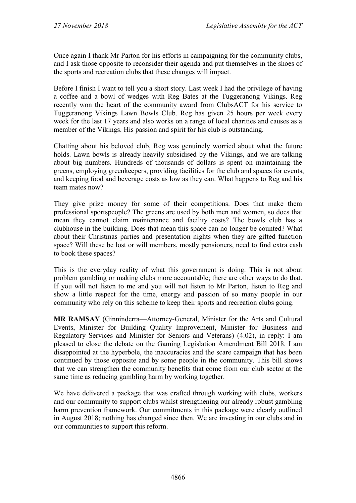Once again I thank Mr Parton for his efforts in campaigning for the community clubs, and I ask those opposite to reconsider their agenda and put themselves in the shoes of the sports and recreation clubs that these changes will impact.

Before I finish I want to tell you a short story. Last week I had the privilege of having a coffee and a bowl of wedges with Reg Bates at the Tuggeranong Vikings. Reg recently won the heart of the community award from ClubsACT for his service to Tuggeranong Vikings Lawn Bowls Club. Reg has given 25 hours per week every week for the last 17 years and also works on a range of local charities and causes as a member of the Vikings. His passion and spirit for his club is outstanding.

Chatting about his beloved club, Reg was genuinely worried about what the future holds. Lawn bowls is already heavily subsidised by the Vikings, and we are talking about big numbers. Hundreds of thousands of dollars is spent on maintaining the greens, employing greenkeepers, providing facilities for the club and spaces for events, and keeping food and beverage costs as low as they can. What happens to Reg and his team mates now?

They give prize money for some of their competitions. Does that make them professional sportspeople? The greens are used by both men and women, so does that mean they cannot claim maintenance and facility costs? The bowls club has a clubhouse in the building. Does that mean this space can no longer be counted? What about their Christmas parties and presentation nights when they are gifted function space? Will these be lost or will members, mostly pensioners, need to find extra cash to book these spaces?

This is the everyday reality of what this government is doing. This is not about problem gambling or making clubs more accountable; there are other ways to do that. If you will not listen to me and you will not listen to Mr Parton, listen to Reg and show a little respect for the time, energy and passion of so many people in our community who rely on this scheme to keep their sports and recreation clubs going.

**MR RAMSAY** (Ginninderra—Attorney-General, Minister for the Arts and Cultural Events, Minister for Building Quality Improvement, Minister for Business and Regulatory Services and Minister for Seniors and Veterans) (4.02), in reply: I am pleased to close the debate on the Gaming Legislation Amendment Bill 2018. I am disappointed at the hyperbole, the inaccuracies and the scare campaign that has been continued by those opposite and by some people in the community. This bill shows that we can strengthen the community benefits that come from our club sector at the same time as reducing gambling harm by working together.

We have delivered a package that was crafted through working with clubs, workers and our community to support clubs whilst strengthening our already robust gambling harm prevention framework. Our commitments in this package were clearly outlined in August 2018; nothing has changed since then. We are investing in our clubs and in our communities to support this reform.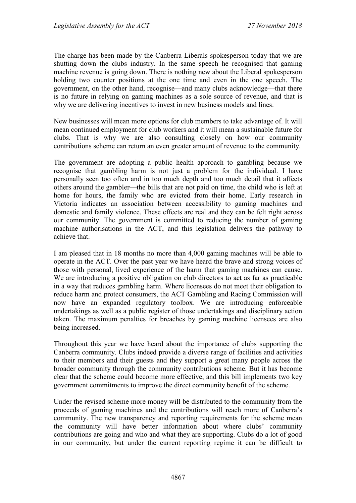The charge has been made by the Canberra Liberals spokesperson today that we are shutting down the clubs industry. In the same speech he recognised that gaming machine revenue is going down. There is nothing new about the Liberal spokesperson holding two counter positions at the one time and even in the one speech. The government, on the other hand, recognise—and many clubs acknowledge—that there is no future in relying on gaming machines as a sole source of revenue, and that is why we are delivering incentives to invest in new business models and lines.

New businesses will mean more options for club members to take advantage of. It will mean continued employment for club workers and it will mean a sustainable future for clubs. That is why we are also consulting closely on how our community contributions scheme can return an even greater amount of revenue to the community.

The government are adopting a public health approach to gambling because we recognise that gambling harm is not just a problem for the individual. I have personally seen too often and in too much depth and too much detail that it affects others around the gambler—the bills that are not paid on time, the child who is left at home for hours, the family who are evicted from their home. Early research in Victoria indicates an association between accessibility to gaming machines and domestic and family violence. These effects are real and they can be felt right across our community. The government is committed to reducing the number of gaming machine authorisations in the ACT, and this legislation delivers the pathway to achieve that.

I am pleased that in 18 months no more than 4,000 gaming machines will be able to operate in the ACT. Over the past year we have heard the brave and strong voices of those with personal, lived experience of the harm that gaming machines can cause. We are introducing a positive obligation on club directors to act as far as practicable in a way that reduces gambling harm. Where licensees do not meet their obligation to reduce harm and protect consumers, the ACT Gambling and Racing Commission will now have an expanded regulatory toolbox. We are introducing enforceable undertakings as well as a public register of those undertakings and disciplinary action taken. The maximum penalties for breaches by gaming machine licensees are also being increased.

Throughout this year we have heard about the importance of clubs supporting the Canberra community. Clubs indeed provide a diverse range of facilities and activities to their members and their guests and they support a great many people across the broader community through the community contributions scheme. But it has become clear that the scheme could become more effective, and this bill implements two key government commitments to improve the direct community benefit of the scheme.

Under the revised scheme more money will be distributed to the community from the proceeds of gaming machines and the contributions will reach more of Canberra's community. The new transparency and reporting requirements for the scheme mean the community will have better information about where clubs' community contributions are going and who and what they are supporting. Clubs do a lot of good in our community, but under the current reporting regime it can be difficult to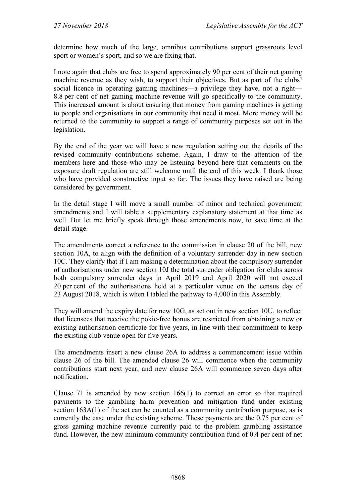determine how much of the large, omnibus contributions support grassroots level sport or women's sport, and so we are fixing that.

I note again that clubs are free to spend approximately 90 per cent of their net gaming machine revenue as they wish, to support their objectives. But as part of the clubs' social licence in operating gaming machines—a privilege they have, not a right— 8.8 per cent of net gaming machine revenue will go specifically to the community. This increased amount is about ensuring that money from gaming machines is getting to people and organisations in our community that need it most. More money will be returned to the community to support a range of community purposes set out in the legislation.

By the end of the year we will have a new regulation setting out the details of the revised community contributions scheme. Again, I draw to the attention of the members here and those who may be listening beyond here that comments on the exposure draft regulation are still welcome until the end of this week. I thank those who have provided constructive input so far. The issues they have raised are being considered by government.

In the detail stage I will move a small number of minor and technical government amendments and I will table a supplementary explanatory statement at that time as well. But let me briefly speak through those amendments now, to save time at the detail stage.

The amendments correct a reference to the commission in clause 20 of the bill, new section 10A, to align with the definition of a voluntary surrender day in new section 10C. They clarify that if I am making a determination about the compulsory surrender of authorisations under new section 10J the total surrender obligation for clubs across both compulsory surrender days in April 2019 and April 2020 will not exceed 20 per cent of the authorisations held at a particular venue on the census day of 23 August 2018, which is when I tabled the pathway to 4,000 in this Assembly.

They will amend the expiry date for new 10G, as set out in new section 10U, to reflect that licensees that receive the pokie-free bonus are restricted from obtaining a new or existing authorisation certificate for five years, in line with their commitment to keep the existing club venue open for five years.

The amendments insert a new clause 26A to address a commencement issue within clause 26 of the bill. The amended clause 26 will commence when the community contributions start next year, and new clause 26A will commence seven days after notification.

Clause 71 is amended by new section 166(1) to correct an error so that required payments to the gambling harm prevention and mitigation fund under existing section 163A(1) of the act can be counted as a community contribution purpose, as is currently the case under the existing scheme. These payments are the 0.75 per cent of gross gaming machine revenue currently paid to the problem gambling assistance fund. However, the new minimum community contribution fund of 0.4 per cent of net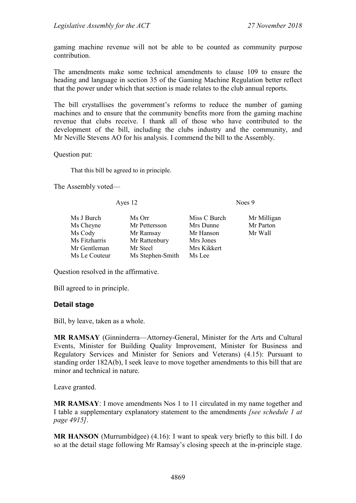gaming machine revenue will not be able to be counted as community purpose contribution.

The amendments make some technical amendments to clause 109 to ensure the heading and language in section 35 of the Gaming Machine Regulation better reflect that the power under which that section is made relates to the club annual reports.

The bill crystallises the government's reforms to reduce the number of gaming machines and to ensure that the community benefits more from the gaming machine revenue that clubs receive. I thank all of those who have contributed to the development of the bill, including the clubs industry and the community, and Mr Neville Stevens AO for his analysis. I commend the bill to the Assembly.

Question put:

That this bill be agreed to in principle.

The Assembly voted—

Ayes 12 Noes 9

| Ms J Burch    | Ms Orr           | Miss C Burch | Mr Milligan |
|---------------|------------------|--------------|-------------|
| Ms Cheyne     | Mr Pettersson    | Mrs Dunne    | Mr Parton   |
| Ms Cody       | Mr Ramsay        | Mr Hanson    | Mr Wall     |
| Ms Fitzharris | Mr Rattenbury    | Mrs Jones    |             |
| Mr Gentleman  | Mr Steel         | Mrs Kikkert  |             |
| Ms Le Couteur | Ms Stephen-Smith | Ms Lee       |             |

Question resolved in the affirmative.

Bill agreed to in principle.

#### **Detail stage**

Bill, by leave, taken as a whole.

**MR RAMSAY** (Ginninderra—Attorney-General, Minister for the Arts and Cultural Events, Minister for Building Quality Improvement, Minister for Business and Regulatory Services and Minister for Seniors and Veterans) (4.15): Pursuant to standing order 182A(b), I seek leave to move together amendments to this bill that are minor and technical in nature.

Leave granted.

**MR RAMSAY**: I move amendments Nos 1 to 11 circulated in my name together and I table a supplementary explanatory statement to the amendments *[see schedule 1 at page 4915]*.

**MR HANSON** (Murrumbidgee) (4.16): I want to speak very briefly to this bill. I do so at the detail stage following Mr Ramsay's closing speech at the in-principle stage.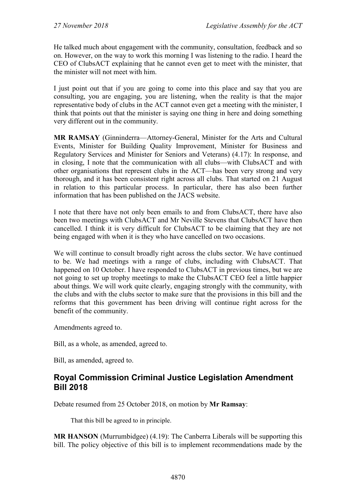He talked much about engagement with the community, consultation, feedback and so on. However, on the way to work this morning I was listening to the radio. I heard the CEO of ClubsACT explaining that he cannot even get to meet with the minister, that the minister will not meet with him.

I just point out that if you are going to come into this place and say that you are consulting, you are engaging, you are listening, when the reality is that the major representative body of clubs in the ACT cannot even get a meeting with the minister, I think that points out that the minister is saying one thing in here and doing something very different out in the community.

**MR RAMSAY** (Ginninderra—Attorney-General, Minister for the Arts and Cultural Events, Minister for Building Quality Improvement, Minister for Business and Regulatory Services and Minister for Seniors and Veterans) (4.17): In response, and in closing, I note that the communication with all clubs—with ClubsACT and with other organisations that represent clubs in the ACT—has been very strong and very thorough, and it has been consistent right across all clubs. That started on 21 August in relation to this particular process. In particular, there has also been further information that has been published on the JACS website.

I note that there have not only been emails to and from ClubsACT, there have also been two meetings with ClubsACT and Mr Neville Stevens that ClubsACT have then cancelled. I think it is very difficult for ClubsACT to be claiming that they are not being engaged with when it is they who have cancelled on two occasions.

We will continue to consult broadly right across the clubs sector. We have continued to be. We had meetings with a range of clubs, including with ClubsACT. That happened on 10 October. I have responded to ClubsACT in previous times, but we are not going to set up trophy meetings to make the ClubsACT CEO feel a little happier about things. We will work quite clearly, engaging strongly with the community, with the clubs and with the clubs sector to make sure that the provisions in this bill and the reforms that this government has been driving will continue right across for the benefit of the community.

Amendments agreed to.

Bill, as a whole, as amended, agreed to.

Bill, as amended, agreed to.

## **Royal Commission Criminal Justice Legislation Amendment Bill 2018**

Debate resumed from 25 October 2018, on motion by **Mr Ramsay**:

That this bill be agreed to in principle.

**MR HANSON** (Murrumbidgee) (4.19): The Canberra Liberals will be supporting this bill. The policy objective of this bill is to implement recommendations made by the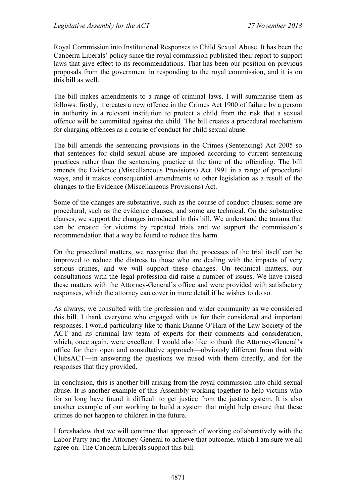Royal Commission into Institutional Responses to Child Sexual Abuse. It has been the Canberra Liberals' policy since the royal commission published their report to support laws that give effect to its recommendations. That has been our position on previous proposals from the government in responding to the royal commission, and it is on this bill as well.

The bill makes amendments to a range of criminal laws. I will summarise them as follows: firstly, it creates a new offence in the Crimes Act 1900 of failure by a person in authority in a relevant institution to protect a child from the risk that a sexual offence will be committed against the child. The bill creates a procedural mechanism for charging offences as a course of conduct for child sexual abuse.

The bill amends the sentencing provisions in the Crimes (Sentencing) Act 2005 so that sentences for child sexual abuse are imposed according to current sentencing practices rather than the sentencing practice at the time of the offending. The bill amends the Evidence (Miscellaneous Provisions) Act 1991 in a range of procedural ways, and it makes consequential amendments to other legislation as a result of the changes to the Evidence (Miscellaneous Provisions) Act.

Some of the changes are substantive, such as the course of conduct clauses; some are procedural, such as the evidence clauses; and some are technical. On the substantive clauses, we support the changes introduced in this bill. We understand the trauma that can be created for victims by repeated trials and we support the commission's recommendation that a way be found to reduce this harm.

On the procedural matters, we recognise that the processes of the trial itself can be improved to reduce the distress to those who are dealing with the impacts of very serious crimes, and we will support these changes. On technical matters, our consultations with the legal profession did raise a number of issues. We have raised these matters with the Attorney-General's office and were provided with satisfactory responses, which the attorney can cover in more detail if he wishes to do so.

As always, we consulted with the profession and wider community as we considered this bill. I thank everyone who engaged with us for their considered and important responses. I would particularly like to thank Dianne O'Hara of the Law Society of the ACT and its criminal law team of experts for their comments and consideration, which, once again, were excellent. I would also like to thank the Attorney-General's office for their open and consultative approach—obviously different from that with ClubsACT—in answering the questions we raised with them directly, and for the responses that they provided.

In conclusion, this is another bill arising from the royal commission into child sexual abuse. It is another example of this Assembly working together to help victims who for so long have found it difficult to get justice from the justice system. It is also another example of our working to build a system that might help ensure that these crimes do not happen to children in the future.

I foreshadow that we will continue that approach of working collaboratively with the Labor Party and the Attorney-General to achieve that outcome, which I am sure we all agree on. The Canberra Liberals support this bill.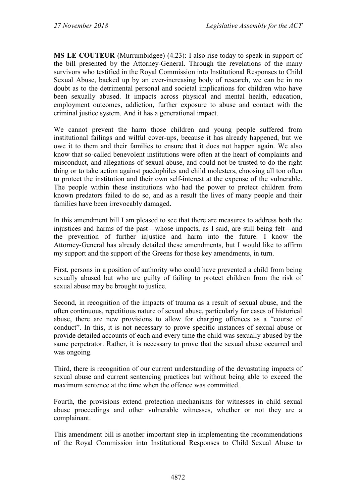**MS LE COUTEUR** (Murrumbidgee) (4.23): I also rise today to speak in support of the bill presented by the Attorney-General. Through the revelations of the many survivors who testified in the Royal Commission into Institutional Responses to Child Sexual Abuse, backed up by an ever-increasing body of research, we can be in no doubt as to the detrimental personal and societal implications for children who have been sexually abused. It impacts across physical and mental health, education, employment outcomes, addiction, further exposure to abuse and contact with the criminal justice system. And it has a generational impact.

We cannot prevent the harm those children and young people suffered from institutional failings and wilful cover-ups, because it has already happened, but we owe it to them and their families to ensure that it does not happen again. We also know that so-called benevolent institutions were often at the heart of complaints and misconduct, and allegations of sexual abuse, and could not be trusted to do the right thing or to take action against paedophiles and child molesters, choosing all too often to protect the institution and their own self-interest at the expense of the vulnerable. The people within these institutions who had the power to protect children from known predators failed to do so, and as a result the lives of many people and their families have been irrevocably damaged.

In this amendment bill I am pleased to see that there are measures to address both the injustices and harms of the past—whose impacts, as I said, are still being felt—and the prevention of further injustice and harm into the future. I know the Attorney-General has already detailed these amendments, but I would like to affirm my support and the support of the Greens for those key amendments, in turn.

First, persons in a position of authority who could have prevented a child from being sexually abused but who are guilty of failing to protect children from the risk of sexual abuse may be brought to justice.

Second, in recognition of the impacts of trauma as a result of sexual abuse, and the often continuous, repetitious nature of sexual abuse, particularly for cases of historical abuse, there are new provisions to allow for charging offences as a "course of conduct". In this, it is not necessary to prove specific instances of sexual abuse or provide detailed accounts of each and every time the child was sexually abused by the same perpetrator. Rather, it is necessary to prove that the sexual abuse occurred and was ongoing.

Third, there is recognition of our current understanding of the devastating impacts of sexual abuse and current sentencing practices but without being able to exceed the maximum sentence at the time when the offence was committed.

Fourth, the provisions extend protection mechanisms for witnesses in child sexual abuse proceedings and other vulnerable witnesses, whether or not they are a complainant.

This amendment bill is another important step in implementing the recommendations of the Royal Commission into Institutional Responses to Child Sexual Abuse to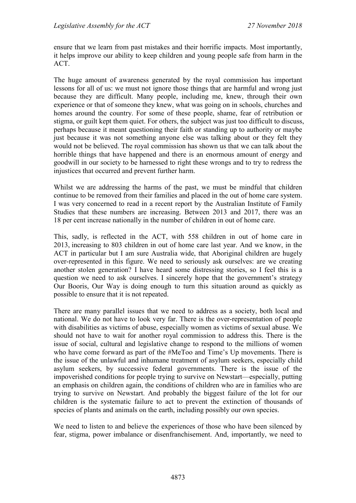ensure that we learn from past mistakes and their horrific impacts. Most importantly, it helps improve our ability to keep children and young people safe from harm in the ACT.

The huge amount of awareness generated by the royal commission has important lessons for all of us: we must not ignore those things that are harmful and wrong just because they are difficult. Many people, including me, knew, through their own experience or that of someone they knew, what was going on in schools, churches and homes around the country. For some of these people, shame, fear of retribution or stigma, or guilt kept them quiet. For others, the subject was just too difficult to discuss, perhaps because it meant questioning their faith or standing up to authority or maybe just because it was not something anyone else was talking about or they felt they would not be believed. The royal commission has shown us that we can talk about the horrible things that have happened and there is an enormous amount of energy and goodwill in our society to be harnessed to right these wrongs and to try to redress the injustices that occurred and prevent further harm.

Whilst we are addressing the harms of the past, we must be mindful that children continue to be removed from their families and placed in the out of home care system. I was very concerned to read in a recent report by the Australian Institute of Family Studies that these numbers are increasing. Between 2013 and 2017, there was an 18 per cent increase nationally in the number of children in out of home care.

This, sadly, is reflected in the ACT, with 558 children in out of home care in 2013, increasing to 803 children in out of home care last year. And we know, in the ACT in particular but I am sure Australia wide, that Aboriginal children are hugely over-represented in this figure. We need to seriously ask ourselves: are we creating another stolen generation? I have heard some distressing stories, so I feel this is a question we need to ask ourselves. I sincerely hope that the government's strategy Our Booris, Our Way is doing enough to turn this situation around as quickly as possible to ensure that it is not repeated.

There are many parallel issues that we need to address as a society, both local and national. We do not have to look very far. There is the over-representation of people with disabilities as victims of abuse, especially women as victims of sexual abuse. We should not have to wait for another royal commission to address this. There is the issue of social, cultural and legislative change to respond to the millions of women who have come forward as part of the #MeToo and Time's Up movements. There is the issue of the unlawful and inhumane treatment of asylum seekers, especially child asylum seekers, by successive federal governments. There is the issue of the impoverished conditions for people trying to survive on Newstart—especially, putting an emphasis on children again, the conditions of children who are in families who are trying to survive on Newstart. And probably the biggest failure of the lot for our children is the systematic failure to act to prevent the extinction of thousands of species of plants and animals on the earth, including possibly our own species.

We need to listen to and believe the experiences of those who have been silenced by fear, stigma, power imbalance or disenfranchisement. And, importantly, we need to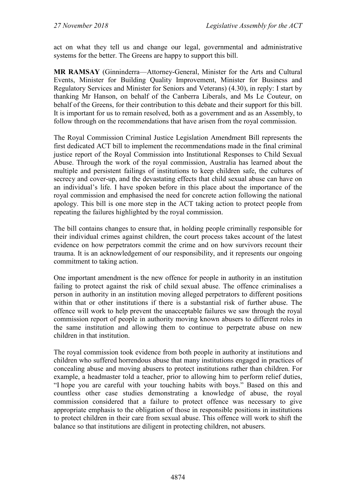act on what they tell us and change our legal, governmental and administrative systems for the better. The Greens are happy to support this bill.

**MR RAMSAY** (Ginninderra—Attorney-General, Minister for the Arts and Cultural Events, Minister for Building Quality Improvement, Minister for Business and Regulatory Services and Minister for Seniors and Veterans) (4.30), in reply: I start by thanking Mr Hanson, on behalf of the Canberra Liberals, and Ms Le Couteur, on behalf of the Greens, for their contribution to this debate and their support for this bill. It is important for us to remain resolved, both as a government and as an Assembly, to follow through on the recommendations that have arisen from the royal commission.

The Royal Commission Criminal Justice Legislation Amendment Bill represents the first dedicated ACT bill to implement the recommendations made in the final criminal justice report of the Royal Commission into Institutional Responses to Child Sexual Abuse. Through the work of the royal commission, Australia has learned about the multiple and persistent failings of institutions to keep children safe, the cultures of secrecy and cover-up, and the devastating effects that child sexual abuse can have on an individual's life. I have spoken before in this place about the importance of the royal commission and emphasised the need for concrete action following the national apology. This bill is one more step in the ACT taking action to protect people from repeating the failures highlighted by the royal commission.

The bill contains changes to ensure that, in holding people criminally responsible for their individual crimes against children, the court process takes account of the latest evidence on how perpetrators commit the crime and on how survivors recount their trauma. It is an acknowledgement of our responsibility, and it represents our ongoing commitment to taking action.

One important amendment is the new offence for people in authority in an institution failing to protect against the risk of child sexual abuse. The offence criminalises a person in authority in an institution moving alleged perpetrators to different positions within that or other institutions if there is a substantial risk of further abuse. The offence will work to help prevent the unacceptable failures we saw through the royal commission report of people in authority moving known abusers to different roles in the same institution and allowing them to continue to perpetrate abuse on new children in that institution.

The royal commission took evidence from both people in authority at institutions and children who suffered horrendous abuse that many institutions engaged in practices of concealing abuse and moving abusers to protect institutions rather than children. For example, a headmaster told a teacher, prior to allowing him to perform relief duties, "I hope you are careful with your touching habits with boys." Based on this and countless other case studies demonstrating a knowledge of abuse, the royal commission considered that a failure to protect offence was necessary to give appropriate emphasis to the obligation of those in responsible positions in institutions to protect children in their care from sexual abuse. This offence will work to shift the balance so that institutions are diligent in protecting children, not abusers.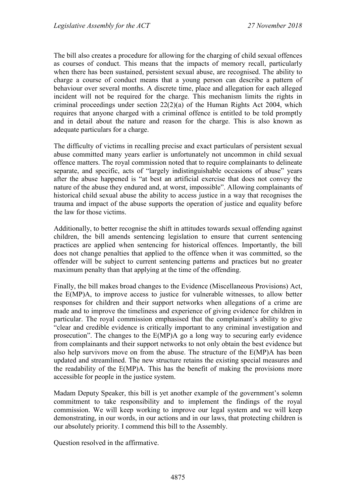The bill also creates a procedure for allowing for the charging of child sexual offences as courses of conduct. This means that the impacts of memory recall, particularly when there has been sustained, persistent sexual abuse, are recognised. The ability to charge a course of conduct means that a young person can describe a pattern of behaviour over several months. A discrete time, place and allegation for each alleged incident will not be required for the charge. This mechanism limits the rights in criminal proceedings under section 22(2)(a) of the Human Rights Act 2004, which requires that anyone charged with a criminal offence is entitled to be told promptly and in detail about the nature and reason for the charge. This is also known as adequate particulars for a charge.

The difficulty of victims in recalling precise and exact particulars of persistent sexual abuse committed many years earlier is unfortunately not uncommon in child sexual offence matters. The royal commission noted that to require complainants to delineate separate, and specific, acts of "largely indistinguishable occasions of abuse" years after the abuse happened is "at best an artificial exercise that does not convey the nature of the abuse they endured and, at worst, impossible". Allowing complainants of historical child sexual abuse the ability to access justice in a way that recognises the trauma and impact of the abuse supports the operation of justice and equality before the law for those victims.

Additionally, to better recognise the shift in attitudes towards sexual offending against children, the bill amends sentencing legislation to ensure that current sentencing practices are applied when sentencing for historical offences. Importantly, the bill does not change penalties that applied to the offence when it was committed, so the offender will be subject to current sentencing patterns and practices but no greater maximum penalty than that applying at the time of the offending.

Finally, the bill makes broad changes to the Evidence (Miscellaneous Provisions) Act, the E(MP)A, to improve access to justice for vulnerable witnesses, to allow better responses for children and their support networks when allegations of a crime are made and to improve the timeliness and experience of giving evidence for children in particular. The royal commission emphasised that the complainant's ability to give "clear and credible evidence is critically important to any criminal investigation and prosecution". The changes to the E(MP)A go a long way to securing early evidence from complainants and their support networks to not only obtain the best evidence but also help survivors move on from the abuse. The structure of the E(MP)A has been updated and streamlined. The new structure retains the existing special measures and the readability of the E(MP)A. This has the benefit of making the provisions more accessible for people in the justice system.

Madam Deputy Speaker, this bill is yet another example of the government's solemn commitment to take responsibility and to implement the findings of the royal commission. We will keep working to improve our legal system and we will keep demonstrating, in our words, in our actions and in our laws, that protecting children is our absolutely priority. I commend this bill to the Assembly.

Question resolved in the affirmative.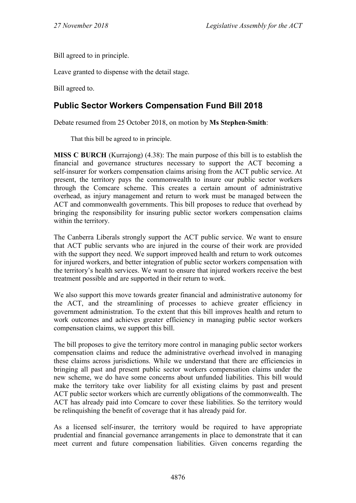Bill agreed to in principle.

Leave granted to dispense with the detail stage.

Bill agreed to.

# **Public Sector Workers Compensation Fund Bill 2018**

Debate resumed from 25 October 2018, on motion by **Ms Stephen-Smith**:

That this bill be agreed to in principle.

**MISS C BURCH** (Kurrajong) (4.38): The main purpose of this bill is to establish the financial and governance structures necessary to support the ACT becoming a self-insurer for workers compensation claims arising from the ACT public service. At present, the territory pays the commonwealth to insure our public sector workers through the Comcare scheme. This creates a certain amount of administrative overhead, as injury management and return to work must be managed between the ACT and commonwealth governments. This bill proposes to reduce that overhead by bringing the responsibility for insuring public sector workers compensation claims within the territory.

The Canberra Liberals strongly support the ACT public service. We want to ensure that ACT public servants who are injured in the course of their work are provided with the support they need. We support improved health and return to work outcomes for injured workers, and better integration of public sector workers compensation with the territory's health services. We want to ensure that injured workers receive the best treatment possible and are supported in their return to work.

We also support this move towards greater financial and administrative autonomy for the ACT, and the streamlining of processes to achieve greater efficiency in government administration. To the extent that this bill improves health and return to work outcomes and achieves greater efficiency in managing public sector workers compensation claims, we support this bill.

The bill proposes to give the territory more control in managing public sector workers compensation claims and reduce the administrative overhead involved in managing these claims across jurisdictions. While we understand that there are efficiencies in bringing all past and present public sector workers compensation claims under the new scheme, we do have some concerns about unfunded liabilities. This bill would make the territory take over liability for all existing claims by past and present ACT public sector workers which are currently obligations of the commonwealth. The ACT has already paid into Comcare to cover these liabilities. So the territory would be relinquishing the benefit of coverage that it has already paid for.

As a licensed self-insurer, the territory would be required to have appropriate prudential and financial governance arrangements in place to demonstrate that it can meet current and future compensation liabilities. Given concerns regarding the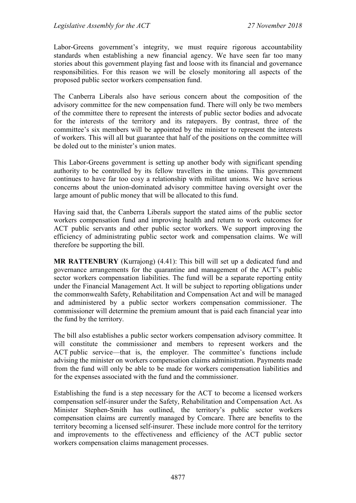Labor-Greens government's integrity, we must require rigorous accountability standards when establishing a new financial agency. We have seen far too many stories about this government playing fast and loose with its financial and governance responsibilities. For this reason we will be closely monitoring all aspects of the proposed public sector workers compensation fund.

The Canberra Liberals also have serious concern about the composition of the advisory committee for the new compensation fund. There will only be two members of the committee there to represent the interests of public sector bodies and advocate for the interests of the territory and its ratepayers. By contrast, three of the committee's six members will be appointed by the minister to represent the interests of workers. This will all but guarantee that half of the positions on the committee will be doled out to the minister's union mates.

This Labor-Greens government is setting up another body with significant spending authority to be controlled by its fellow travellers in the unions. This government continues to have far too cosy a relationship with militant unions. We have serious concerns about the union-dominated advisory committee having oversight over the large amount of public money that will be allocated to this fund.

Having said that, the Canberra Liberals support the stated aims of the public sector workers compensation fund and improving health and return to work outcomes for ACT public servants and other public sector workers. We support improving the efficiency of administrating public sector work and compensation claims. We will therefore be supporting the bill.

**MR RATTENBURY** (Kurrajong) (4.41): This bill will set up a dedicated fund and governance arrangements for the quarantine and management of the ACT's public sector workers compensation liabilities. The fund will be a separate reporting entity under the Financial Management Act. It will be subject to reporting obligations under the commonwealth Safety, Rehabilitation and Compensation Act and will be managed and administered by a public sector workers compensation commissioner. The commissioner will determine the premium amount that is paid each financial year into the fund by the territory.

The bill also establishes a public sector workers compensation advisory committee. It will constitute the commissioner and members to represent workers and the ACT public service—that is, the employer. The committee's functions include advising the minister on workers compensation claims administration. Payments made from the fund will only be able to be made for workers compensation liabilities and for the expenses associated with the fund and the commissioner.

Establishing the fund is a step necessary for the ACT to become a licensed workers compensation self-insurer under the Safety, Rehabilitation and Compensation Act. As Minister Stephen-Smith has outlined, the territory's public sector workers compensation claims are currently managed by Comcare. There are benefits to the territory becoming a licensed self-insurer. These include more control for the territory and improvements to the effectiveness and efficiency of the ACT public sector workers compensation claims management processes.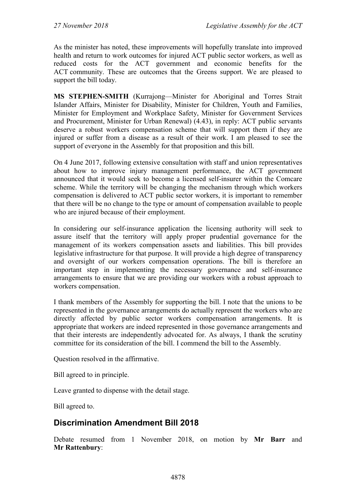As the minister has noted, these improvements will hopefully translate into improved health and return to work outcomes for injured ACT public sector workers, as well as reduced costs for the ACT government and economic benefits for the ACT community. These are outcomes that the Greens support. We are pleased to support the bill today.

**MS STEPHEN-SMITH** (Kurrajong—Minister for Aboriginal and Torres Strait Islander Affairs, Minister for Disability, Minister for Children, Youth and Families, Minister for Employment and Workplace Safety, Minister for Government Services and Procurement, Minister for Urban Renewal) (4.43), in reply: ACT public servants deserve a robust workers compensation scheme that will support them if they are injured or suffer from a disease as a result of their work. I am pleased to see the support of everyone in the Assembly for that proposition and this bill.

On 4 June 2017, following extensive consultation with staff and union representatives about how to improve injury management performance, the ACT government announced that it would seek to become a licensed self-insurer within the Comcare scheme. While the territory will be changing the mechanism through which workers compensation is delivered to ACT public sector workers, it is important to remember that there will be no change to the type or amount of compensation available to people who are injured because of their employment.

In considering our self-insurance application the licensing authority will seek to assure itself that the territory will apply proper prudential governance for the management of its workers compensation assets and liabilities. This bill provides legislative infrastructure for that purpose. It will provide a high degree of transparency and oversight of our workers compensation operations. The bill is therefore an important step in implementing the necessary governance and self-insurance arrangements to ensure that we are providing our workers with a robust approach to workers compensation.

I thank members of the Assembly for supporting the bill. I note that the unions to be represented in the governance arrangements do actually represent the workers who are directly affected by public sector workers compensation arrangements. It is appropriate that workers are indeed represented in those governance arrangements and that their interests are independently advocated for. As always, I thank the scrutiny committee for its consideration of the bill. I commend the bill to the Assembly.

Question resolved in the affirmative.

Bill agreed to in principle.

Leave granted to dispense with the detail stage.

Bill agreed to.

## **Discrimination Amendment Bill 2018**

Debate resumed from 1 November 2018, on motion by **Mr Barr** and **Mr Rattenbury**: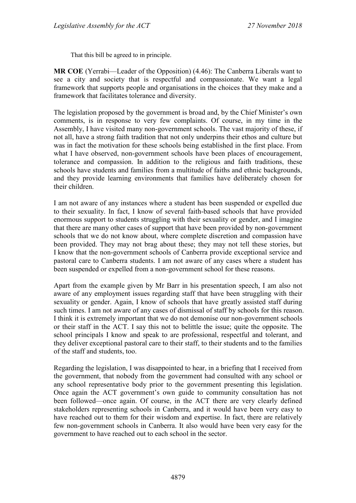That this bill be agreed to in principle.

**MR COE** (Yerrabi—Leader of the Opposition) (4.46): The Canberra Liberals want to see a city and society that is respectful and compassionate. We want a legal framework that supports people and organisations in the choices that they make and a framework that facilitates tolerance and diversity.

The legislation proposed by the government is broad and, by the Chief Minister's own comments, is in response to very few complaints. Of course, in my time in the Assembly, I have visited many non-government schools. The vast majority of these, if not all, have a strong faith tradition that not only underpins their ethos and culture but was in fact the motivation for these schools being established in the first place. From what I have observed, non-government schools have been places of encouragement, tolerance and compassion. In addition to the religious and faith traditions, these schools have students and families from a multitude of faiths and ethnic backgrounds, and they provide learning environments that families have deliberately chosen for their children.

I am not aware of any instances where a student has been suspended or expelled due to their sexuality. In fact, I know of several faith-based schools that have provided enormous support to students struggling with their sexuality or gender, and I imagine that there are many other cases of support that have been provided by non-government schools that we do not know about, where complete discretion and compassion have been provided. They may not brag about these; they may not tell these stories, but I know that the non-government schools of Canberra provide exceptional service and pastoral care to Canberra students. I am not aware of any cases where a student has been suspended or expelled from a non-government school for these reasons.

Apart from the example given by Mr Barr in his presentation speech, I am also not aware of any employment issues regarding staff that have been struggling with their sexuality or gender. Again, I know of schools that have greatly assisted staff during such times. I am not aware of any cases of dismissal of staff by schools for this reason. I think it is extremely important that we do not demonise our non-government schools or their staff in the ACT. I say this not to belittle the issue; quite the opposite. The school principals I know and speak to are professional, respectful and tolerant, and they deliver exceptional pastoral care to their staff, to their students and to the families of the staff and students, too.

Regarding the legislation, I was disappointed to hear, in a briefing that I received from the government, that nobody from the government had consulted with any school or any school representative body prior to the government presenting this legislation. Once again the ACT government's own guide to community consultation has not been followed—once again. Of course, in the ACT there are very clearly defined stakeholders representing schools in Canberra, and it would have been very easy to have reached out to them for their wisdom and expertise. In fact, there are relatively few non-government schools in Canberra. It also would have been very easy for the government to have reached out to each school in the sector.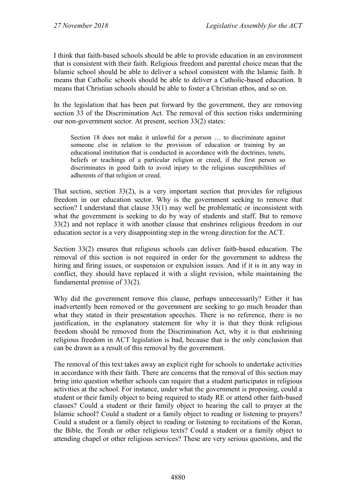I think that faith-based schools should be able to provide education in an environment that is consistent with their faith. Religious freedom and parental choice mean that the Islamic school should be able to deliver a school consistent with the Islamic faith. It means that Catholic schools should be able to deliver a Catholic-based education. It means that Christian schools should be able to foster a Christian ethos, and so on.

In the legislation that has been put forward by the government, they are removing section 33 of the Discrimination Act. The removal of this section risks undermining our non-government sector. At present, section 33(2) states:

Section 18 does not make it unlawful for a person … to discriminate against someone else in relation to the provision of education or training by an educational institution that is conducted in accordance with the doctrines, tenets, beliefs or teachings of a particular religion or creed, if the first person so discriminates in good faith to avoid injury to the religious susceptibilities of adherents of that religion or creed.

That section, section 33(2), is a very important section that provides for religious freedom in our education sector. Why is the government seeking to remove that section? I understand that clause 33(1) may well be problematic or inconsistent with what the government is seeking to do by way of students and staff. But to remove 33(2) and not replace it with another clause that enshrines religious freedom in our education sector is a very disappointing step in the wrong direction for the ACT.

Section 33(2) ensures that religious schools can deliver faith-based education. The removal of this section is not required in order for the government to address the hiring and firing issues, or suspension or expulsion issues. And if it is in any way in conflict, they should have replaced it with a slight revision, while maintaining the fundamental premise of 33(2).

Why did the government remove this clause, perhaps unnecessarily? Either it has inadvertently been removed or the government are seeking to go much broader than what they stated in their presentation speeches. There is no reference, there is no justification, in the explanatory statement for why it is that they think religious freedom should be removed from the Discrimination Act, why it is that enshrining religious freedom in ACT legislation is bad, because that is the only conclusion that can be drawn as a result of this removal by the government.

The removal of this text takes away an explicit right for schools to undertake activities in accordance with their faith. There are concerns that the removal of this section may bring into question whether schools can require that a student participates in religious activities at the school. For instance, under what the government is proposing, could a student or their family object to being required to study RE or attend other faith-based classes? Could a student or their family object to hearing the call to prayer at the Islamic school? Could a student or a family object to reading or listening to prayers? Could a student or a family object to reading or listening to recitations of the Koran, the Bible, the Torah or other religious texts? Could a student or a family object to attending chapel or other religious services? These are very serious questions, and the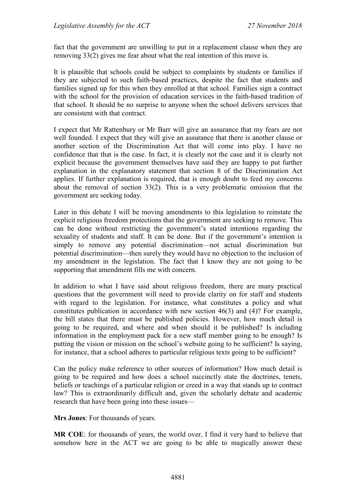fact that the government are unwilling to put in a replacement clause when they are removing 33(2) gives me fear about what the real intention of this move is.

It is plausible that schools could be subject to complaints by students or families if they are subjected to such faith-based practices, despite the fact that students and families signed up for this when they enrolled at that school. Families sign a contract with the school for the provision of education services in the faith-based tradition of that school. It should be no surprise to anyone when the school delivers services that are consistent with that contract.

I expect that Mr Rattenbury or Mr Barr will give an assurance that my fears are not well founded. I expect that they will give an assurance that there is another clause or another section of the Discrimination Act that will come into play. I have no confidence that that is the case. In fact, it is clearly not the case and it is clearly not explicit because the government themselves have said they are happy to put further explanation in the explanatory statement that section 8 of the Discrimination Act applies. If further explanation is required, that is enough doubt to feed my concerns about the removal of section 33(2). This is a very problematic omission that the government are seeking today.

Later in this debate I will be moving amendments to this legislation to reinstate the explicit religious freedom protections that the government are seeking to remove. This can be done without restricting the government's stated intentions regarding the sexuality of students and staff. It can be done. But if the government's intention is simply to remove any potential discrimination—not actual discrimination but potential discrimination—then surely they would have no objection to the inclusion of my amendment in the legislation. The fact that I know they are not going to be supporting that amendment fills me with concern.

In addition to what I have said about religious freedom, there are many practical questions that the government will need to provide clarity on for staff and students with regard to the legislation. For instance, what constitutes a policy and what constitutes publication in accordance with new section 46(3) and (4)? For example, the bill states that there must be published policies. However, how much detail is going to be required, and where and when should it be published? Is including information in the employment pack for a new staff member going to be enough? Is putting the vision or mission on the school's website going to be sufficient? Is saying, for instance, that a school adheres to particular religious texts going to be sufficient?

Can the policy make reference to other sources of information? How much detail is going to be required and how does a school succinctly state the doctrines, tenets, beliefs or teachings of a particular religion or creed in a way that stands up to contract law? This is extraordinarily difficult and, given the scholarly debate and academic research that have been going into these issues—

**Mrs Jones**: For thousands of years.

**MR COE**: for thousands of years, the world over, I find it very hard to believe that somehow here in the ACT we are going to be able to magically answer these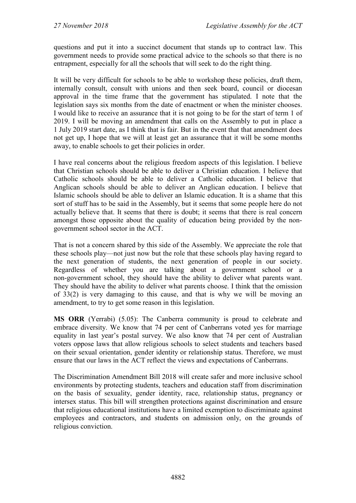questions and put it into a succinct document that stands up to contract law. This government needs to provide some practical advice to the schools so that there is no entrapment, especially for all the schools that will seek to do the right thing.

It will be very difficult for schools to be able to workshop these policies, draft them, internally consult, consult with unions and then seek board, council or diocesan approval in the time frame that the government has stipulated. I note that the legislation says six months from the date of enactment or when the minister chooses. I would like to receive an assurance that it is not going to be for the start of term 1 of 2019. I will be moving an amendment that calls on the Assembly to put in place a 1 July 2019 start date, as I think that is fair. But in the event that that amendment does not get up, I hope that we will at least get an assurance that it will be some months away, to enable schools to get their policies in order.

I have real concerns about the religious freedom aspects of this legislation. I believe that Christian schools should be able to deliver a Christian education. I believe that Catholic schools should be able to deliver a Catholic education. I believe that Anglican schools should be able to deliver an Anglican education. I believe that Islamic schools should be able to deliver an Islamic education. It is a shame that this sort of stuff has to be said in the Assembly, but it seems that some people here do not actually believe that. It seems that there is doubt; it seems that there is real concern amongst those opposite about the quality of education being provided by the nongovernment school sector in the ACT.

That is not a concern shared by this side of the Assembly. We appreciate the role that these schools play—not just now but the role that these schools play having regard to the next generation of students, the next generation of people in our society. Regardless of whether you are talking about a government school or a non-government school, they should have the ability to deliver what parents want. They should have the ability to deliver what parents choose. I think that the omission of 33(2) is very damaging to this cause, and that is why we will be moving an amendment, to try to get some reason in this legislation.

**MS ORR** (Yerrabi) (5.05): The Canberra community is proud to celebrate and embrace diversity. We know that 74 per cent of Canberrans voted yes for marriage equality in last year's postal survey. We also know that 74 per cent of Australian voters oppose laws that allow religious schools to select students and teachers based on their sexual orientation, gender identity or relationship status. Therefore, we must ensure that our laws in the ACT reflect the views and expectations of Canberrans.

The Discrimination Amendment Bill 2018 will create safer and more inclusive school environments by protecting students, teachers and education staff from discrimination on the basis of sexuality, gender identity, race, relationship status, pregnancy or intersex status. This bill will strengthen protections against discrimination and ensure that religious educational institutions have a limited exemption to discriminate against employees and contractors, and students on admission only, on the grounds of religious conviction.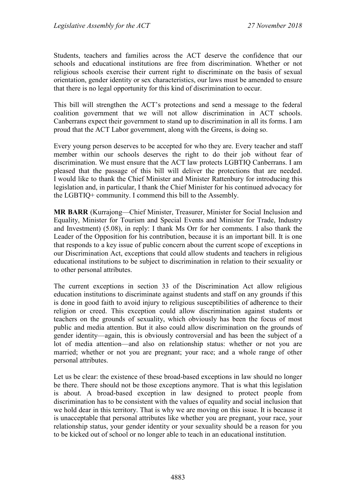Students, teachers and families across the ACT deserve the confidence that our schools and educational institutions are free from discrimination. Whether or not religious schools exercise their current right to discriminate on the basis of sexual orientation, gender identity or sex characteristics, our laws must be amended to ensure that there is no legal opportunity for this kind of discrimination to occur.

This bill will strengthen the ACT's protections and send a message to the federal coalition government that we will not allow discrimination in ACT schools. Canberrans expect their government to stand up to discrimination in all its forms. I am proud that the ACT Labor government, along with the Greens, is doing so.

Every young person deserves to be accepted for who they are. Every teacher and staff member within our schools deserves the right to do their job without fear of discrimination. We must ensure that the ACT law protects LGBTIQ Canberrans. I am pleased that the passage of this bill will deliver the protections that are needed. I would like to thank the Chief Minister and Minister Rattenbury for introducing this legislation and, in particular, I thank the Chief Minister for his continued advocacy for the LGBTIQ+ community. I commend this bill to the Assembly.

**MR BARR** (Kurrajong—Chief Minister, Treasurer, Minister for Social Inclusion and Equality, Minister for Tourism and Special Events and Minister for Trade, Industry and Investment) (5.08), in reply: I thank Ms Orr for her comments. I also thank the Leader of the Opposition for his contribution, because it is an important bill. It is one that responds to a key issue of public concern about the current scope of exceptions in our Discrimination Act, exceptions that could allow students and teachers in religious educational institutions to be subject to discrimination in relation to their sexuality or to other personal attributes.

The current exceptions in section 33 of the Discrimination Act allow religious education institutions to discriminate against students and staff on any grounds if this is done in good faith to avoid injury to religious susceptibilities of adherence to their religion or creed. This exception could allow discrimination against students or teachers on the grounds of sexuality, which obviously has been the focus of most public and media attention. But it also could allow discrimination on the grounds of gender identity—again, this is obviously controversial and has been the subject of a lot of media attention—and also on relationship status: whether or not you are married; whether or not you are pregnant; your race; and a whole range of other personal attributes.

Let us be clear: the existence of these broad-based exceptions in law should no longer be there. There should not be those exceptions anymore. That is what this legislation is about. A broad-based exception in law designed to protect people from discrimination has to be consistent with the values of equality and social inclusion that we hold dear in this territory. That is why we are moving on this issue. It is because it is unacceptable that personal attributes like whether you are pregnant, your race, your relationship status, your gender identity or your sexuality should be a reason for you to be kicked out of school or no longer able to teach in an educational institution.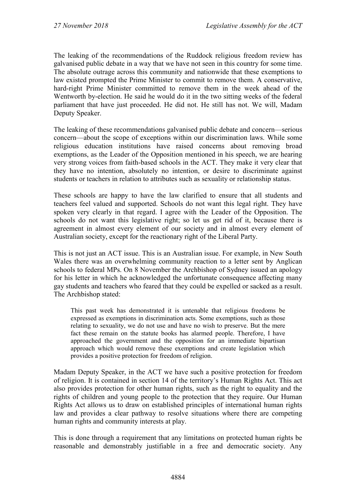The leaking of the recommendations of the Ruddock religious freedom review has galvanised public debate in a way that we have not seen in this country for some time. The absolute outrage across this community and nationwide that these exemptions to law existed prompted the Prime Minister to commit to remove them. A conservative, hard-right Prime Minister committed to remove them in the week ahead of the Wentworth by-election. He said he would do it in the two sitting weeks of the federal parliament that have just proceeded. He did not. He still has not. We will, Madam Deputy Speaker.

The leaking of these recommendations galvanised public debate and concern—serious concern—about the scope of exceptions within our discrimination laws. While some religious education institutions have raised concerns about removing broad exemptions, as the Leader of the Opposition mentioned in his speech, we are hearing very strong voices from faith-based schools in the ACT. They make it very clear that they have no intention, absolutely no intention, or desire to discriminate against students or teachers in relation to attributes such as sexuality or relationship status.

These schools are happy to have the law clarified to ensure that all students and teachers feel valued and supported. Schools do not want this legal right. They have spoken very clearly in that regard. I agree with the Leader of the Opposition. The schools do not want this legislative right; so let us get rid of it, because there is agreement in almost every element of our society and in almost every element of Australian society, except for the reactionary right of the Liberal Party.

This is not just an ACT issue. This is an Australian issue. For example, in New South Wales there was an overwhelming community reaction to a letter sent by Anglican schools to federal MPs. On 8 November the Archbishop of Sydney issued an apology for his letter in which he acknowledged the unfortunate consequence affecting many gay students and teachers who feared that they could be expelled or sacked as a result. The Archbishop stated:

This past week has demonstrated it is untenable that religious freedoms be expressed as exemptions in discrimination acts. Some exemptions, such as those relating to sexuality, we do not use and have no wish to preserve. But the mere fact these remain on the statute books has alarmed people. Therefore, I have approached the government and the opposition for an immediate bipartisan approach which would remove these exemptions and create legislation which provides a positive protection for freedom of religion.

Madam Deputy Speaker, in the ACT we have such a positive protection for freedom of religion. It is contained in section 14 of the territory's Human Rights Act. This act also provides protection for other human rights, such as the right to equality and the rights of children and young people to the protection that they require. Our Human Rights Act allows us to draw on established principles of international human rights law and provides a clear pathway to resolve situations where there are competing human rights and community interests at play.

This is done through a requirement that any limitations on protected human rights be reasonable and demonstrably justifiable in a free and democratic society. Any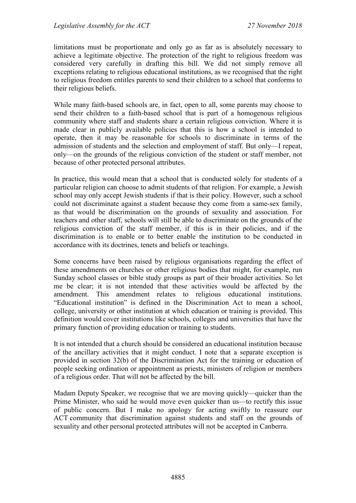limitations must be proportionate and only go as far as is absolutely necessary to achieve a legitimate objective. The protection of the right to religious freedom was considered very carefully in drafting this bill. We did not simply remove all exceptions relating to religious educational institutions, as we recognised that the right to religious freedom entitles parents to send their children to a school that conforms to their religious beliefs.

While many faith-based schools are, in fact, open to all, some parents may choose to send their children to a faith-based school that is part of a homogenous religious community where staff and students share a certain religious conviction. Where it is made clear in publicly available policies that this is how a school is intended to operate, then it may be reasonable for schools to discriminate in terms of the admission of students and the selection and employment of staff. But only—I repeat, only—on the grounds of the religious conviction of the student or staff member, not because of other protected personal attributes.

In practice, this would mean that a school that is conducted solely for students of a particular religion can choose to admit students of that religion. For example, a Jewish school may only accept Jewish students if that is their policy. However, such a school could not discriminate against a student because they come from a same-sex family, as that would be discrimination on the grounds of sexuality and association. For teachers and other staff, schools will still be able to discriminate on the grounds of the religious conviction of the staff member, if this is in their policies, and if the discrimination is to enable or to better enable the institution to be conducted in accordance with its doctrines, tenets and beliefs or teachings.

Some concerns have been raised by religious organisations regarding the effect of these amendments on churches or other religious bodies that might, for example, run Sunday school classes or bible study groups as part of their broader activities. So let me be clear; it is not intended that these activities would be affected by the amendment. This amendment relates to religious educational institutions. "Educational institution" is defined in the Discrimination Act to mean a school, college, university or other institution at which education or training is provided. This definition would cover institutions like schools, colleges and universities that have the primary function of providing education or training to students.

It is not intended that a church should be considered an educational institution because of the ancillary activities that it might conduct. I note that a separate exception is provided in section 32(b) of the Discrimination Act for the training or education of people seeking ordination or appointment as priests, ministers of religion or members of a religious order. That will not be affected by the bill.

Madam Deputy Speaker, we recognise that we are moving quickly—quicker than the Prime Minister, who said he would move even quicker than us—to rectify this issue of public concern. But I make no apology for acting swiftly to reassure our ACT community that discrimination against students and staff on the grounds of sexuality and other personal protected attributes will not be accepted in Canberra.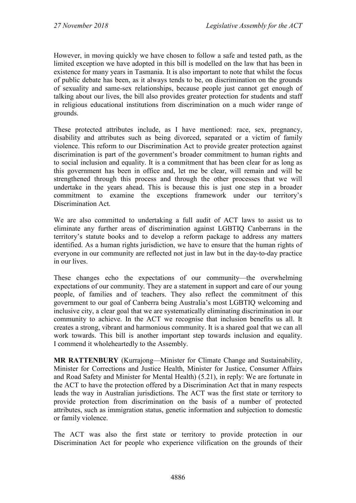However, in moving quickly we have chosen to follow a safe and tested path, as the limited exception we have adopted in this bill is modelled on the law that has been in existence for many years in Tasmania. It is also important to note that whilst the focus of public debate has been, as it always tends to be, on discrimination on the grounds of sexuality and same-sex relationships, because people just cannot get enough of talking about our lives, the bill also provides greater protection for students and staff in religious educational institutions from discrimination on a much wider range of grounds.

These protected attributes include, as I have mentioned: race, sex, pregnancy, disability and attributes such as being divorced, separated or a victim of family violence. This reform to our Discrimination Act to provide greater protection against discrimination is part of the government's broader commitment to human rights and to social inclusion and equality. It is a commitment that has been clear for as long as this government has been in office and, let me be clear, will remain and will be strengthened through this process and through the other processes that we will undertake in the years ahead. This is because this is just one step in a broader commitment to examine the exceptions framework under our territory's Discrimination Act.

We are also committed to undertaking a full audit of ACT laws to assist us to eliminate any further areas of discrimination against LGBTIQ Canberrans in the territory's statute books and to develop a reform package to address any matters identified. As a human rights jurisdiction, we have to ensure that the human rights of everyone in our community are reflected not just in law but in the day-to-day practice in our lives.

These changes echo the expectations of our community—the overwhelming expectations of our community. They are a statement in support and care of our young people, of families and of teachers. They also reflect the commitment of this government to our goal of Canberra being Australia's most LGBTIQ welcoming and inclusive city, a clear goal that we are systematically eliminating discrimination in our community to achieve. In the ACT we recognise that inclusion benefits us all. It creates a strong, vibrant and harmonious community. It is a shared goal that we can all work towards. This bill is another important step towards inclusion and equality. I commend it wholeheartedly to the Assembly.

**MR RATTENBURY** (Kurrajong—Minister for Climate Change and Sustainability, Minister for Corrections and Justice Health, Minister for Justice, Consumer Affairs and Road Safety and Minister for Mental Health) (5.21), in reply: We are fortunate in the ACT to have the protection offered by a Discrimination Act that in many respects leads the way in Australian jurisdictions. The ACT was the first state or territory to provide protection from discrimination on the basis of a number of protected attributes, such as immigration status, genetic information and subjection to domestic or family violence.

The ACT was also the first state or territory to provide protection in our Discrimination Act for people who experience vilification on the grounds of their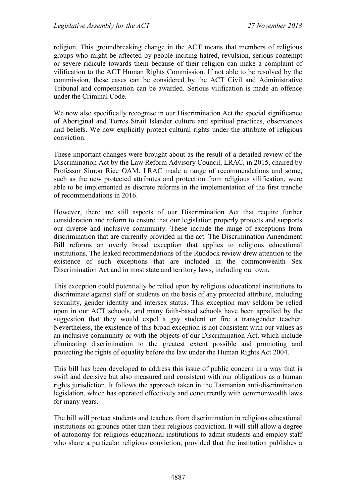religion. This groundbreaking change in the ACT means that members of religious groups who might be affected by people inciting hatred, revulsion, serious contempt or severe ridicule towards them because of their religion can make a complaint of vilification to the ACT Human Rights Commission. If not able to be resolved by the commission, these cases can be considered by the ACT Civil and Administrative Tribunal and compensation can be awarded. Serious vilification is made an offence under the Criminal Code.

We now also specifically recognise in our Discrimination Act the special significance of Aboriginal and Torres Strait Islander culture and spiritual practices, observances and beliefs. We now explicitly protect cultural rights under the attribute of religious conviction.

These important changes were brought about as the result of a detailed review of the Discrimination Act by the Law Reform Advisory Council, LRAC, in 2015, chaired by Professor Simon Rice OAM. LRAC made a range of recommendations and some, such as the new protected attributes and protection from religious vilification, were able to be implemented as discrete reforms in the implementation of the first tranche of recommendations in 2016.

However, there are still aspects of our Discrimination Act that require further consideration and reform to ensure that our legislation properly protects and supports our diverse and inclusive community. These include the range of exceptions from discrimination that are currently provided in the act. The Discrimination Amendment Bill reforms an overly broad exception that applies to religious educational institutions. The leaked recommendations of the Ruddock review drew attention to the existence of such exceptions that are included in the commonwealth Sex Discrimination Act and in most state and territory laws, including our own.

This exception could potentially be relied upon by religious educational institutions to discriminate against staff or students on the basis of any protected attribute, including sexuality, gender identity and intersex status. This exception may seldom be relied upon in our ACT schools, and many faith-based schools have been appalled by the suggestion that they would expel a gay student or fire a transgender teacher. Nevertheless, the existence of this broad exception is not consistent with our values as an inclusive community or with the objects of our Discrimination Act, which include eliminating discrimination to the greatest extent possible and promoting and protecting the rights of equality before the law under the Human Rights Act 2004.

This bill has been developed to address this issue of public concern in a way that is swift and decisive but also measured and consistent with our obligations as a human rights jurisdiction. It follows the approach taken in the Tasmanian anti-discrimination legislation, which has operated effectively and concurrently with commonwealth laws for many years.

The bill will protect students and teachers from discrimination in religious educational institutions on grounds other than their religious conviction. It will still allow a degree of autonomy for religious educational institutions to admit students and employ staff who share a particular religious conviction, provided that the institution publishes a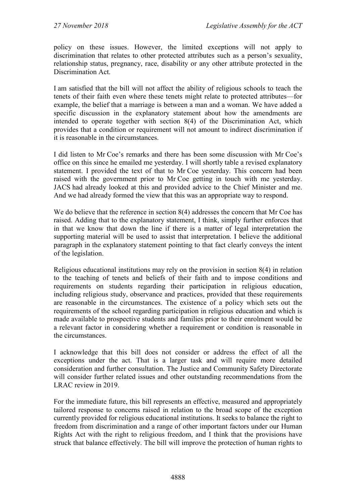policy on these issues. However, the limited exceptions will not apply to discrimination that relates to other protected attributes such as a person's sexuality, relationship status, pregnancy, race, disability or any other attribute protected in the Discrimination Act.

I am satisfied that the bill will not affect the ability of religious schools to teach the tenets of their faith even where these tenets might relate to protected attributes—for example, the belief that a marriage is between a man and a woman. We have added a specific discussion in the explanatory statement about how the amendments are intended to operate together with section 8(4) of the Discrimination Act, which provides that a condition or requirement will not amount to indirect discrimination if it is reasonable in the circumstances.

I did listen to Mr Coe's remarks and there has been some discussion with Mr Coe's office on this since he emailed me yesterday. I will shortly table a revised explanatory statement. I provided the text of that to Mr Coe yesterday. This concern had been raised with the government prior to Mr Coe getting in touch with me yesterday. JACS had already looked at this and provided advice to the Chief Minister and me. And we had already formed the view that this was an appropriate way to respond.

We do believe that the reference in section 8(4) addresses the concern that Mr Coe has raised. Adding that to the explanatory statement, I think, simply further enforces that in that we know that down the line if there is a matter of legal interpretation the supporting material will be used to assist that interpretation. I believe the additional paragraph in the explanatory statement pointing to that fact clearly conveys the intent of the legislation.

Religious educational institutions may rely on the provision in section 8(4) in relation to the teaching of tenets and beliefs of their faith and to impose conditions and requirements on students regarding their participation in religious education, including religious study, observance and practices, provided that these requirements are reasonable in the circumstances. The existence of a policy which sets out the requirements of the school regarding participation in religious education and which is made available to prospective students and families prior to their enrolment would be a relevant factor in considering whether a requirement or condition is reasonable in the circumstances.

I acknowledge that this bill does not consider or address the effect of all the exceptions under the act. That is a larger task and will require more detailed consideration and further consultation. The Justice and Community Safety Directorate will consider further related issues and other outstanding recommendations from the LRAC review in 2019.

For the immediate future, this bill represents an effective, measured and appropriately tailored response to concerns raised in relation to the broad scope of the exception currently provided for religious educational institutions. It seeks to balance the right to freedom from discrimination and a range of other important factors under our Human Rights Act with the right to religious freedom, and I think that the provisions have struck that balance effectively. The bill will improve the protection of human rights to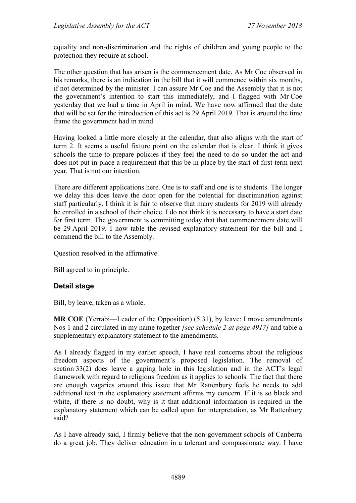equality and non-discrimination and the rights of children and young people to the protection they require at school.

The other question that has arisen is the commencement date. As Mr Coe observed in his remarks, there is an indication in the bill that it will commence within six months, if not determined by the minister. I can assure Mr Coe and the Assembly that it is not the government's intention to start this immediately, and I flagged with Mr Coe yesterday that we had a time in April in mind. We have now affirmed that the date that will be set for the introduction of this act is 29 April 2019. That is around the time frame the government had in mind.

Having looked a little more closely at the calendar, that also aligns with the start of term 2. It seems a useful fixture point on the calendar that is clear. I think it gives schools the time to prepare policies if they feel the need to do so under the act and does not put in place a requirement that this be in place by the start of first term next year. That is not our intention.

There are different applications here. One is to staff and one is to students. The longer we delay this does leave the door open for the potential for discrimination against staff particularly. I think it is fair to observe that many students for 2019 will already be enrolled in a school of their choice. I do not think it is necessary to have a start date for first term. The government is committing today that that commencement date will be 29 April 2019. I now table the revised explanatory statement for the bill and I commend the bill to the Assembly.

Question resolved in the affirmative.

Bill agreed to in principle.

#### **Detail stage**

Bill, by leave, taken as a whole.

**MR COE** (Yerrabi—Leader of the Opposition) (5.31), by leave: I move amendments Nos 1 and 2 circulated in my name together *[see schedule 2 at page 4917]* and table a supplementary explanatory statement to the amendments.

As I already flagged in my earlier speech, I have real concerns about the religious freedom aspects of the government's proposed legislation. The removal of section 33(2) does leave a gaping hole in this legislation and in the ACT's legal framework with regard to religious freedom as it applies to schools. The fact that there are enough vagaries around this issue that Mr Rattenbury feels he needs to add additional text in the explanatory statement affirms my concern. If it is so black and white, if there is no doubt, why is it that additional information is required in the explanatory statement which can be called upon for interpretation, as Mr Rattenbury said?

As I have already said, I firmly believe that the non-government schools of Canberra do a great job. They deliver education in a tolerant and compassionate way. I have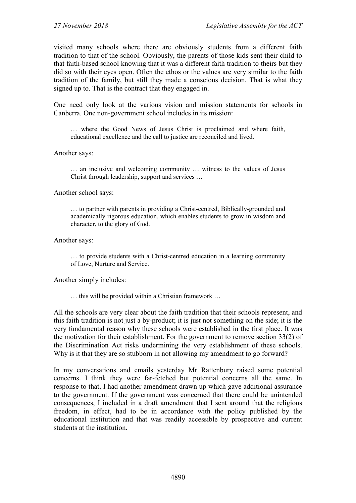visited many schools where there are obviously students from a different faith tradition to that of the school. Obviously, the parents of those kids sent their child to that faith-based school knowing that it was a different faith tradition to theirs but they did so with their eyes open. Often the ethos or the values are very similar to the faith tradition of the family, but still they made a conscious decision. That is what they signed up to. That is the contract that they engaged in.

One need only look at the various vision and mission statements for schools in Canberra. One non-government school includes in its mission:

… where the Good News of Jesus Christ is proclaimed and where faith, educational excellence and the call to justice are reconciled and lived.

Another says:

… an inclusive and welcoming community … witness to the values of Jesus Christ through leadership, support and services …

Another school says:

… to partner with parents in providing a Christ-centred, Biblically-grounded and academically rigorous education, which enables students to grow in wisdom and character, to the glory of God.

Another says:

… to provide students with a Christ-centred education in a learning community of Love, Nurture and Service.

Another simply includes:

… this will be provided within a Christian framework …

All the schools are very clear about the faith tradition that their schools represent, and this faith tradition is not just a by-product; it is just not something on the side; it is the very fundamental reason why these schools were established in the first place. It was the motivation for their establishment. For the government to remove section 33(2) of the Discrimination Act risks undermining the very establishment of these schools. Why is it that they are so stubborn in not allowing my amendment to go forward?

In my conversations and emails yesterday Mr Rattenbury raised some potential concerns. I think they were far-fetched but potential concerns all the same. In response to that, I had another amendment drawn up which gave additional assurance to the government. If the government was concerned that there could be unintended consequences, I included in a draft amendment that I sent around that the religious freedom, in effect, had to be in accordance with the policy published by the educational institution and that was readily accessible by prospective and current students at the institution.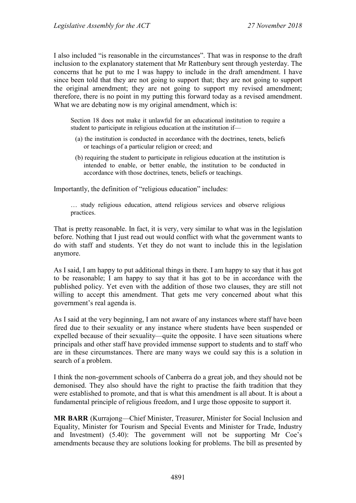I also included "is reasonable in the circumstances". That was in response to the draft inclusion to the explanatory statement that Mr Rattenbury sent through yesterday. The concerns that he put to me I was happy to include in the draft amendment. I have since been told that they are not going to support that; they are not going to support the original amendment; they are not going to support my revised amendment; therefore, there is no point in my putting this forward today as a revised amendment. What we are debating now is my original amendment, which is:

Section 18 does not make it unlawful for an educational institution to require a student to participate in religious education at the institution if—

- (a) the institution is conducted in accordance with the doctrines, tenets, beliefs or teachings of a particular religion or creed; and
- (b) requiring the student to participate in religious education at the institution is intended to enable, or better enable, the institution to be conducted in accordance with those doctrines, tenets, beliefs or teachings.

Importantly, the definition of "religious education" includes:

… study religious education, attend religious services and observe religious practices.

That is pretty reasonable. In fact, it is very, very similar to what was in the legislation before. Nothing that I just read out would conflict with what the government wants to do with staff and students. Yet they do not want to include this in the legislation anymore.

As I said, I am happy to put additional things in there. I am happy to say that it has got to be reasonable; I am happy to say that it has got to be in accordance with the published policy. Yet even with the addition of those two clauses, they are still not willing to accept this amendment. That gets me very concerned about what this government's real agenda is.

As I said at the very beginning, I am not aware of any instances where staff have been fired due to their sexuality or any instance where students have been suspended or expelled because of their sexuality—quite the opposite. I have seen situations where principals and other staff have provided immense support to students and to staff who are in these circumstances. There are many ways we could say this is a solution in search of a problem.

I think the non-government schools of Canberra do a great job, and they should not be demonised. They also should have the right to practise the faith tradition that they were established to promote, and that is what this amendment is all about. It is about a fundamental principle of religious freedom, and I urge those opposite to support it.

**MR BARR** (Kurrajong—Chief Minister, Treasurer, Minister for Social Inclusion and Equality, Minister for Tourism and Special Events and Minister for Trade, Industry and Investment) (5.40): The government will not be supporting Mr Coe's amendments because they are solutions looking for problems. The bill as presented by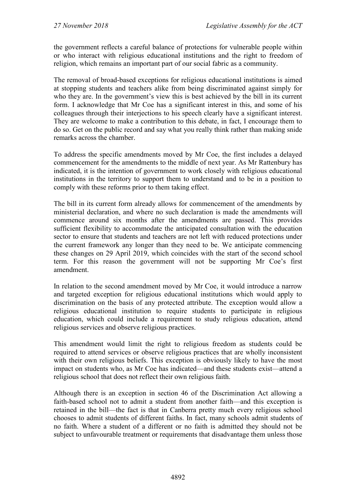the government reflects a careful balance of protections for vulnerable people within or who interact with religious educational institutions and the right to freedom of religion, which remains an important part of our social fabric as a community.

The removal of broad-based exceptions for religious educational institutions is aimed at stopping students and teachers alike from being discriminated against simply for who they are. In the government's view this is best achieved by the bill in its current form. I acknowledge that Mr Coe has a significant interest in this, and some of his colleagues through their interjections to his speech clearly have a significant interest. They are welcome to make a contribution to this debate, in fact, I encourage them to do so. Get on the public record and say what you really think rather than making snide remarks across the chamber.

To address the specific amendments moved by Mr Coe, the first includes a delayed commencement for the amendments to the middle of next year. As Mr Rattenbury has indicated, it is the intention of government to work closely with religious educational institutions in the territory to support them to understand and to be in a position to comply with these reforms prior to them taking effect.

The bill in its current form already allows for commencement of the amendments by ministerial declaration, and where no such declaration is made the amendments will commence around six months after the amendments are passed. This provides sufficient flexibility to accommodate the anticipated consultation with the education sector to ensure that students and teachers are not left with reduced protections under the current framework any longer than they need to be. We anticipate commencing these changes on 29 April 2019, which coincides with the start of the second school term. For this reason the government will not be supporting Mr Coe's first amendment.

In relation to the second amendment moved by Mr Coe, it would introduce a narrow and targeted exception for religious educational institutions which would apply to discrimination on the basis of any protected attribute. The exception would allow a religious educational institution to require students to participate in religious education, which could include a requirement to study religious education, attend religious services and observe religious practices.

This amendment would limit the right to religious freedom as students could be required to attend services or observe religious practices that are wholly inconsistent with their own religious beliefs. This exception is obviously likely to have the most impact on students who, as Mr Coe has indicated—and these students exist—attend a religious school that does not reflect their own religious faith.

Although there is an exception in section 46 of the Discrimination Act allowing a faith-based school not to admit a student from another faith—and this exception is retained in the bill—the fact is that in Canberra pretty much every religious school chooses to admit students of different faiths. In fact, many schools admit students of no faith. Where a student of a different or no faith is admitted they should not be subject to unfavourable treatment or requirements that disadvantage them unless those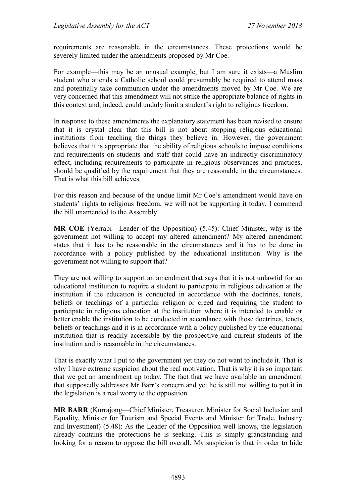requirements are reasonable in the circumstances. These protections would be severely limited under the amendments proposed by Mr Coe.

For example—this may be an unusual example, but I am sure it exists—a Muslim student who attends a Catholic school could presumably be required to attend mass and potentially take communion under the amendments moved by Mr Coe. We are very concerned that this amendment will not strike the appropriate balance of rights in this context and, indeed, could unduly limit a student's right to religious freedom.

In response to these amendments the explanatory statement has been revised to ensure that it is crystal clear that this bill is not about stopping religious educational institutions from teaching the things they believe in. However, the government believes that it is appropriate that the ability of religious schools to impose conditions and requirements on students and staff that could have an indirectly discriminatory effect, including requirements to participate in religious observances and practices, should be qualified by the requirement that they are reasonable in the circumstances. That is what this bill achieves.

For this reason and because of the undue limit Mr Coe's amendment would have on students' rights to religious freedom, we will not be supporting it today. I commend the bill unamended to the Assembly.

**MR COE** (Yerrabi—Leader of the Opposition) (5.45): Chief Minister, why is the government not willing to accept my altered amendment? My altered amendment states that it has to be reasonable in the circumstances and it has to be done in accordance with a policy published by the educational institution. Why is the government not willing to support that?

They are not willing to support an amendment that says that it is not unlawful for an educational institution to require a student to participate in religious education at the institution if the education is conducted in accordance with the doctrines, tenets, beliefs or teachings of a particular religion or creed and requiring the student to participate in religious education at the institution where it is intended to enable or better enable the institution to be conducted in accordance with those doctrines, tenets, beliefs or teachings and it is in accordance with a policy published by the educational institution that is readily accessible by the prospective and current students of the institution and is reasonable in the circumstances.

That is exactly what I put to the government yet they do not want to include it. That is why I have extreme suspicion about the real motivation. That is why it is so important that we get an amendment up today. The fact that we have available an amendment that supposedly addresses Mr Barr's concern and yet he is still not willing to put it in the legislation is a real worry to the opposition.

**MR BARR** (Kurrajong—Chief Minister, Treasurer, Minister for Social Inclusion and Equality, Minister for Tourism and Special Events and Minister for Trade, Industry and Investment) (5.48): As the Leader of the Opposition well knows, the legislation already contains the protections he is seeking. This is simply grandstanding and looking for a reason to oppose the bill overall. My suspicion is that in order to hide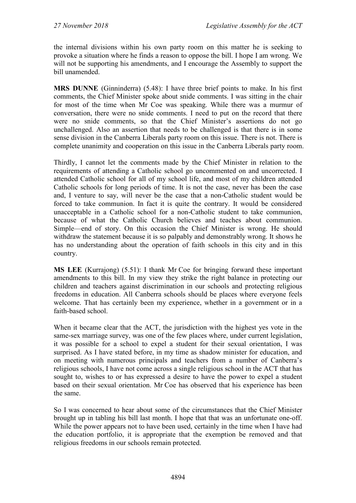the internal divisions within his own party room on this matter he is seeking to provoke a situation where he finds a reason to oppose the bill. I hope I am wrong. We will not be supporting his amendments, and I encourage the Assembly to support the bill unamended.

**MRS DUNNE** (Ginninderra) (5.48): I have three brief points to make. In his first comments, the Chief Minister spoke about snide comments. I was sitting in the chair for most of the time when Mr Coe was speaking. While there was a murmur of conversation, there were no snide comments. I need to put on the record that there were no snide comments, so that the Chief Minister's assertions do not go unchallenged. Also an assertion that needs to be challenged is that there is in some sense division in the Canberra Liberals party room on this issue. There is not. There is complete unanimity and cooperation on this issue in the Canberra Liberals party room.

Thirdly, I cannot let the comments made by the Chief Minister in relation to the requirements of attending a Catholic school go uncommented on and uncorrected. I attended Catholic school for all of my school life, and most of my children attended Catholic schools for long periods of time. It is not the case, never has been the case and, I venture to say, will never be the case that a non-Catholic student would be forced to take communion. In fact it is quite the contrary. It would be considered unacceptable in a Catholic school for a non-Catholic student to take communion, because of what the Catholic Church believes and teaches about communion. Simple—end of story. On this occasion the Chief Minister is wrong. He should withdraw the statement because it is so palpably and demonstrably wrong. It shows he has no understanding about the operation of faith schools in this city and in this country.

**MS LEE** (Kurrajong) (5.51): I thank Mr Coe for bringing forward these important amendments to this bill. In my view they strike the right balance in protecting our children and teachers against discrimination in our schools and protecting religious freedoms in education. All Canberra schools should be places where everyone feels welcome. That has certainly been my experience, whether in a government or in a faith-based school.

When it became clear that the ACT, the jurisdiction with the highest yes vote in the same-sex marriage survey, was one of the few places where, under current legislation, it was possible for a school to expel a student for their sexual orientation, I was surprised. As I have stated before, in my time as shadow minister for education, and on meeting with numerous principals and teachers from a number of Canberra's religious schools, I have not come across a single religious school in the ACT that has sought to, wishes to or has expressed a desire to have the power to expel a student based on their sexual orientation. Mr Coe has observed that his experience has been the same.

So I was concerned to hear about some of the circumstances that the Chief Minister brought up in tabling his bill last month. I hope that that was an unfortunate one-off. While the power appears not to have been used, certainly in the time when I have had the education portfolio, it is appropriate that the exemption be removed and that religious freedoms in our schools remain protected.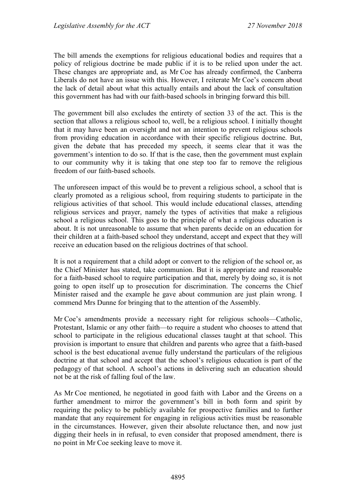The bill amends the exemptions for religious educational bodies and requires that a policy of religious doctrine be made public if it is to be relied upon under the act. These changes are appropriate and, as Mr Coe has already confirmed, the Canberra Liberals do not have an issue with this. However, I reiterate Mr Coe's concern about the lack of detail about what this actually entails and about the lack of consultation this government has had with our faith-based schools in bringing forward this bill.

The government bill also excludes the entirety of section 33 of the act. This is the section that allows a religious school to, well, be a religious school. I initially thought that it may have been an oversight and not an intention to prevent religious schools from providing education in accordance with their specific religious doctrine. But, given the debate that has preceded my speech, it seems clear that it was the government's intention to do so. If that is the case, then the government must explain to our community why it is taking that one step too far to remove the religious freedom of our faith-based schools.

The unforeseen impact of this would be to prevent a religious school, a school that is clearly promoted as a religious school, from requiring students to participate in the religious activities of that school. This would include educational classes, attending religious services and prayer, namely the types of activities that make a religious school a religious school. This goes to the principle of what a religious education is about. It is not unreasonable to assume that when parents decide on an education for their children at a faith-based school they understand, accept and expect that they will receive an education based on the religious doctrines of that school.

It is not a requirement that a child adopt or convert to the religion of the school or, as the Chief Minister has stated, take communion. But it is appropriate and reasonable for a faith-based school to require participation and that, merely by doing so, it is not going to open itself up to prosecution for discrimination. The concerns the Chief Minister raised and the example he gave about communion are just plain wrong. I commend Mrs Dunne for bringing that to the attention of the Assembly.

Mr Coe's amendments provide a necessary right for religious schools—Catholic, Protestant, Islamic or any other faith—to require a student who chooses to attend that school to participate in the religious educational classes taught at that school. This provision is important to ensure that children and parents who agree that a faith-based school is the best educational avenue fully understand the particulars of the religious doctrine at that school and accept that the school's religious education is part of the pedagogy of that school. A school's actions in delivering such an education should not be at the risk of falling foul of the law.

As Mr Coe mentioned, he negotiated in good faith with Labor and the Greens on a further amendment to mirror the government's bill in both form and spirit by requiring the policy to be publicly available for prospective families and to further mandate that any requirement for engaging in religious activities must be reasonable in the circumstances. However, given their absolute reluctance then, and now just digging their heels in in refusal, to even consider that proposed amendment, there is no point in Mr Coe seeking leave to move it.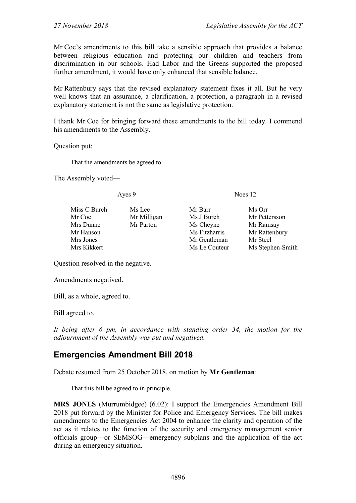Mr Coe's amendments to this bill take a sensible approach that provides a balance between religious education and protecting our children and teachers from discrimination in our schools. Had Labor and the Greens supported the proposed further amendment, it would have only enhanced that sensible balance.

Mr Rattenbury says that the revised explanatory statement fixes it all. But he very well knows that an assurance, a clarification, a protection, a paragraph in a revised explanatory statement is not the same as legislative protection.

I thank Mr Coe for bringing forward these amendments to the bill today. I commend his amendments to the Assembly.

Question put:

That the amendments be agreed to.

The Assembly voted—

Ayes 9 Noes 12

| Miss C Burch | Ms Lee      | Mr Barr       | Ms Orr           |
|--------------|-------------|---------------|------------------|
| Mr Coe       | Mr Milligan | Ms J Burch    | Mr Pettersson    |
| Mrs Dunne    | Mr Parton   | Ms Cheyne     | Mr Ramsay        |
| Mr Hanson    |             | Ms Fitzharris | Mr Rattenbury    |
| Mrs Jones    |             | Mr Gentleman  | Mr Steel         |
| Mrs Kikkert  |             | Ms Le Couteur | Ms Stephen-Smith |
|              |             |               |                  |

Question resolved in the negative.

Amendments negatived.

Bill, as a whole, agreed to.

Bill agreed to.

*It being after 6 pm, in accordance with standing order 34, the motion for the adjournment of the Assembly was put and negatived.*

#### **Emergencies Amendment Bill 2018**

Debate resumed from 25 October 2018, on motion by **Mr Gentleman**:

That this bill be agreed to in principle.

**MRS JONES** (Murrumbidgee) (6.02): I support the Emergencies Amendment Bill 2018 put forward by the Minister for Police and Emergency Services. The bill makes amendments to the Emergencies Act 2004 to enhance the clarity and operation of the act as it relates to the function of the security and emergency management senior officials group—or SEMSOG—emergency subplans and the application of the act during an emergency situation.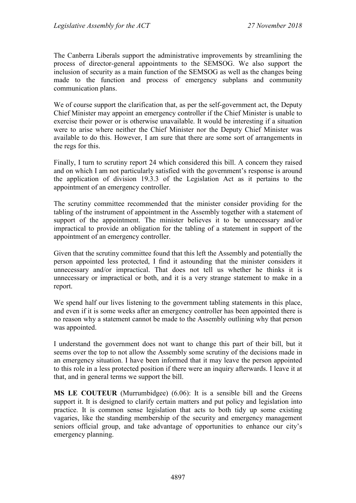The Canberra Liberals support the administrative improvements by streamlining the process of director-general appointments to the SEMSOG. We also support the inclusion of security as a main function of the SEMSOG as well as the changes being made to the function and process of emergency subplans and community communication plans.

We of course support the clarification that, as per the self-government act, the Deputy Chief Minister may appoint an emergency controller if the Chief Minister is unable to exercise their power or is otherwise unavailable. It would be interesting if a situation were to arise where neither the Chief Minister nor the Deputy Chief Minister was available to do this. However, I am sure that there are some sort of arrangements in the regs for this.

Finally, I turn to scrutiny report 24 which considered this bill. A concern they raised and on which I am not particularly satisfied with the government's response is around the application of division 19.3.3 of the Legislation Act as it pertains to the appointment of an emergency controller.

The scrutiny committee recommended that the minister consider providing for the tabling of the instrument of appointment in the Assembly together with a statement of support of the appointment. The minister believes it to be unnecessary and/or impractical to provide an obligation for the tabling of a statement in support of the appointment of an emergency controller.

Given that the scrutiny committee found that this left the Assembly and potentially the person appointed less protected, I find it astounding that the minister considers it unnecessary and/or impractical. That does not tell us whether he thinks it is unnecessary or impractical or both, and it is a very strange statement to make in a report.

We spend half our lives listening to the government tabling statements in this place, and even if it is some weeks after an emergency controller has been appointed there is no reason why a statement cannot be made to the Assembly outlining why that person was appointed.

I understand the government does not want to change this part of their bill, but it seems over the top to not allow the Assembly some scrutiny of the decisions made in an emergency situation. I have been informed that it may leave the person appointed to this role in a less protected position if there were an inquiry afterwards. I leave it at that, and in general terms we support the bill.

**MS LE COUTEUR** (Murrumbidgee) (6.06): It is a sensible bill and the Greens support it. It is designed to clarify certain matters and put policy and legislation into practice. It is common sense legislation that acts to both tidy up some existing vagaries, like the standing membership of the security and emergency management seniors official group, and take advantage of opportunities to enhance our city's emergency planning.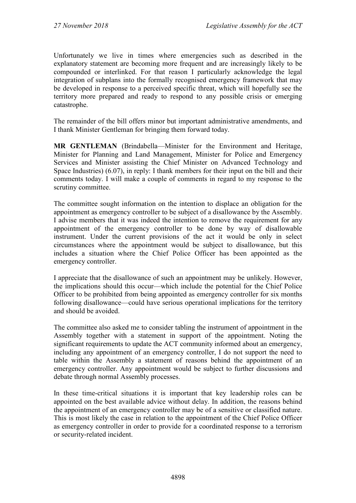Unfortunately we live in times where emergencies such as described in the explanatory statement are becoming more frequent and are increasingly likely to be compounded or interlinked. For that reason I particularly acknowledge the legal integration of subplans into the formally recognised emergency framework that may be developed in response to a perceived specific threat, which will hopefully see the territory more prepared and ready to respond to any possible crisis or emerging catastrophe.

The remainder of the bill offers minor but important administrative amendments, and I thank Minister Gentleman for bringing them forward today.

**MR GENTLEMAN** (Brindabella—Minister for the Environment and Heritage, Minister for Planning and Land Management, Minister for Police and Emergency Services and Minister assisting the Chief Minister on Advanced Technology and Space Industries) (6.07), in reply: I thank members for their input on the bill and their comments today. I will make a couple of comments in regard to my response to the scrutiny committee.

The committee sought information on the intention to displace an obligation for the appointment as emergency controller to be subject of a disallowance by the Assembly. I advise members that it was indeed the intention to remove the requirement for any appointment of the emergency controller to be done by way of disallowable instrument. Under the current provisions of the act it would be only in select circumstances where the appointment would be subject to disallowance, but this includes a situation where the Chief Police Officer has been appointed as the emergency controller.

I appreciate that the disallowance of such an appointment may be unlikely. However, the implications should this occur—which include the potential for the Chief Police Officer to be prohibited from being appointed as emergency controller for six months following disallowance—could have serious operational implications for the territory and should be avoided.

The committee also asked me to consider tabling the instrument of appointment in the Assembly together with a statement in support of the appointment. Noting the significant requirements to update the ACT community informed about an emergency, including any appointment of an emergency controller, I do not support the need to table within the Assembly a statement of reasons behind the appointment of an emergency controller. Any appointment would be subject to further discussions and debate through normal Assembly processes.

In these time-critical situations it is important that key leadership roles can be appointed on the best available advice without delay. In addition, the reasons behind the appointment of an emergency controller may be of a sensitive or classified nature. This is most likely the case in relation to the appointment of the Chief Police Officer as emergency controller in order to provide for a coordinated response to a terrorism or security-related incident.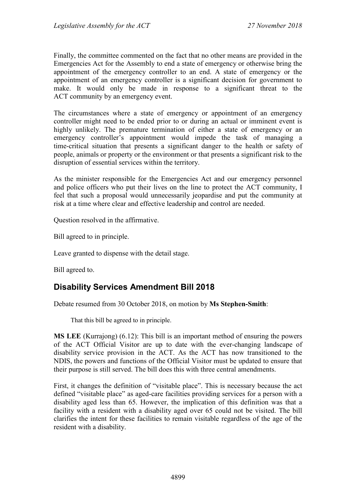Finally, the committee commented on the fact that no other means are provided in the Emergencies Act for the Assembly to end a state of emergency or otherwise bring the appointment of the emergency controller to an end. A state of emergency or the appointment of an emergency controller is a significant decision for government to make. It would only be made in response to a significant threat to the ACT community by an emergency event.

The circumstances where a state of emergency or appointment of an emergency controller might need to be ended prior to or during an actual or imminent event is highly unlikely. The premature termination of either a state of emergency or an emergency controller's appointment would impede the task of managing a time-critical situation that presents a significant danger to the health or safety of people, animals or property or the environment or that presents a significant risk to the disruption of essential services within the territory.

As the minister responsible for the Emergencies Act and our emergency personnel and police officers who put their lives on the line to protect the ACT community, I feel that such a proposal would unnecessarily jeopardise and put the community at risk at a time where clear and effective leadership and control are needed.

Question resolved in the affirmative.

Bill agreed to in principle.

Leave granted to dispense with the detail stage.

Bill agreed to.

## **Disability Services Amendment Bill 2018**

Debate resumed from 30 October 2018, on motion by **Ms Stephen-Smith**:

That this bill be agreed to in principle.

**MS LEE** (Kurrajong) (6.12): This bill is an important method of ensuring the powers of the ACT Official Visitor are up to date with the ever-changing landscape of disability service provision in the ACT. As the ACT has now transitioned to the NDIS, the powers and functions of the Official Visitor must be updated to ensure that their purpose is still served. The bill does this with three central amendments.

First, it changes the definition of "visitable place". This is necessary because the act defined "visitable place" as aged-care facilities providing services for a person with a disability aged less than 65. However, the implication of this definition was that a facility with a resident with a disability aged over 65 could not be visited. The bill clarifies the intent for these facilities to remain visitable regardless of the age of the resident with a disability.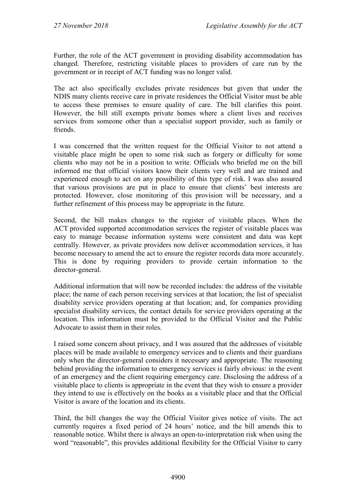Further, the role of the ACT government in providing disability accommodation has changed. Therefore, restricting visitable places to providers of care run by the government or in receipt of ACT funding was no longer valid.

The act also specifically excludes private residences but given that under the NDIS many clients receive care in private residences the Official Visitor must be able to access these premises to ensure quality of care. The bill clarifies this point. However, the bill still exempts private homes where a client lives and receives services from someone other than a specialist support provider, such as family or friends.

I was concerned that the written request for the Official Visitor to not attend a visitable place might be open to some risk such as forgery or difficulty for some clients who may not be in a position to write. Officials who briefed me on the bill informed me that official visitors know their clients very well and are trained and experienced enough to act on any possibility of this type of risk. I was also assured that various provisions are put in place to ensure that clients' best interests are protected. However, close monitoring of this provision will be necessary, and a further refinement of this process may be appropriate in the future.

Second, the bill makes changes to the register of visitable places. When the ACT provided supported accommodation services the register of visitable places was easy to manage because information systems were consistent and data was kept centrally. However, as private providers now deliver accommodation services, it has become necessary to amend the act to ensure the register records data more accurately. This is done by requiring providers to provide certain information to the director-general.

Additional information that will now be recorded includes: the address of the visitable place; the name of each person receiving services at that location; the list of specialist disability service providers operating at that location; and, for companies providing specialist disability services, the contact details for service providers operating at the location. This information must be provided to the Official Visitor and the Public Advocate to assist them in their roles.

I raised some concern about privacy, and I was assured that the addresses of visitable places will be made available to emergency services and to clients and their guardians only when the director-general considers it necessary and appropriate. The reasoning behind providing the information to emergency services is fairly obvious: in the event of an emergency and the client requiring emergency care. Disclosing the address of a visitable place to clients is appropriate in the event that they wish to ensure a provider they intend to use is effectively on the books as a visitable place and that the Official Visitor is aware of the location and its clients.

Third, the bill changes the way the Official Visitor gives notice of visits. The act currently requires a fixed period of 24 hours' notice, and the bill amends this to reasonable notice. Whilst there is always an open-to-interpretation risk when using the word "reasonable", this provides additional flexibility for the Official Visitor to carry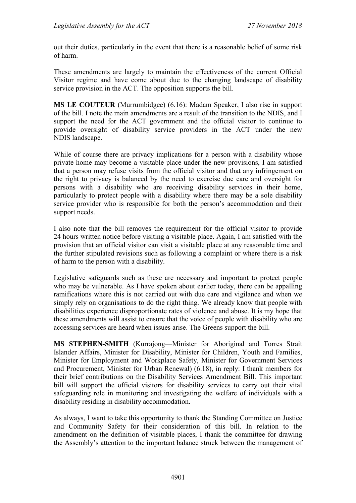out their duties, particularly in the event that there is a reasonable belief of some risk of harm.

These amendments are largely to maintain the effectiveness of the current Official Visitor regime and have come about due to the changing landscape of disability service provision in the ACT. The opposition supports the bill.

**MS LE COUTEUR** (Murrumbidgee) (6.16): Madam Speaker, I also rise in support of the bill. I note the main amendments are a result of the transition to the NDIS, and I support the need for the ACT government and the official visitor to continue to provide oversight of disability service providers in the ACT under the new NDIS landscape.

While of course there are privacy implications for a person with a disability whose private home may become a visitable place under the new provisions, I am satisfied that a person may refuse visits from the official visitor and that any infringement on the right to privacy is balanced by the need to exercise due care and oversight for persons with a disability who are receiving disability services in their home, particularly to protect people with a disability where there may be a sole disability service provider who is responsible for both the person's accommodation and their support needs.

I also note that the bill removes the requirement for the official visitor to provide 24 hours written notice before visiting a visitable place. Again, I am satisfied with the provision that an official visitor can visit a visitable place at any reasonable time and the further stipulated revisions such as following a complaint or where there is a risk of harm to the person with a disability.

Legislative safeguards such as these are necessary and important to protect people who may be vulnerable. As I have spoken about earlier today, there can be appalling ramifications where this is not carried out with due care and vigilance and when we simply rely on organisations to do the right thing. We already know that people with disabilities experience disproportionate rates of violence and abuse. It is my hope that these amendments will assist to ensure that the voice of people with disability who are accessing services are heard when issues arise. The Greens support the bill.

**MS STEPHEN-SMITH** (Kurrajong—Minister for Aboriginal and Torres Strait Islander Affairs, Minister for Disability, Minister for Children, Youth and Families, Minister for Employment and Workplace Safety, Minister for Government Services and Procurement, Minister for Urban Renewal) (6.18), in reply: I thank members for their brief contributions on the Disability Services Amendment Bill. This important bill will support the official visitors for disability services to carry out their vital safeguarding role in monitoring and investigating the welfare of individuals with a disability residing in disability accommodation.

As always, I want to take this opportunity to thank the Standing Committee on Justice and Community Safety for their consideration of this bill. In relation to the amendment on the definition of visitable places, I thank the committee for drawing the Assembly's attention to the important balance struck between the management of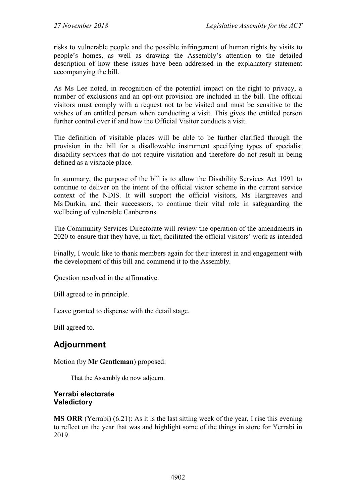risks to vulnerable people and the possible infringement of human rights by visits to people's homes, as well as drawing the Assembly's attention to the detailed description of how these issues have been addressed in the explanatory statement accompanying the bill.

As Ms Lee noted, in recognition of the potential impact on the right to privacy, a number of exclusions and an opt-out provision are included in the bill. The official visitors must comply with a request not to be visited and must be sensitive to the wishes of an entitled person when conducting a visit. This gives the entitled person further control over if and how the Official Visitor conducts a visit.

The definition of visitable places will be able to be further clarified through the provision in the bill for a disallowable instrument specifying types of specialist disability services that do not require visitation and therefore do not result in being defined as a visitable place.

In summary, the purpose of the bill is to allow the Disability Services Act 1991 to continue to deliver on the intent of the official visitor scheme in the current service context of the NDIS. It will support the official visitors, Ms Hargreaves and Ms Durkin, and their successors, to continue their vital role in safeguarding the wellbeing of vulnerable Canberrans.

The Community Services Directorate will review the operation of the amendments in 2020 to ensure that they have, in fact, facilitated the official visitors' work as intended.

Finally, I would like to thank members again for their interest in and engagement with the development of this bill and commend it to the Assembly.

Question resolved in the affirmative.

Bill agreed to in principle.

Leave granted to dispense with the detail stage.

Bill agreed to.

# **Adjournment**

Motion (by **Mr Gentleman**) proposed:

That the Assembly do now adjourn.

#### **Yerrabi electorate Valedictory**

**MS ORR** (Yerrabi) (6.21): As it is the last sitting week of the year, I rise this evening to reflect on the year that was and highlight some of the things in store for Yerrabi in 2019.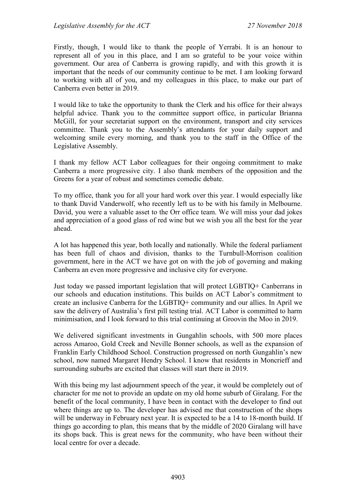Firstly, though, I would like to thank the people of Yerrabi. It is an honour to represent all of you in this place, and I am so grateful to be your voice within government. Our area of Canberra is growing rapidly, and with this growth it is important that the needs of our community continue to be met. I am looking forward to working with all of you, and my colleagues in this place, to make our part of Canberra even better in 2019.

I would like to take the opportunity to thank the Clerk and his office for their always helpful advice. Thank you to the committee support office, in particular Brianna McGill, for your secretariat support on the environment, transport and city services committee. Thank you to the Assembly's attendants for your daily support and welcoming smile every morning, and thank you to the staff in the Office of the Legislative Assembly.

I thank my fellow ACT Labor colleagues for their ongoing commitment to make Canberra a more progressive city. I also thank members of the opposition and the Greens for a year of robust and sometimes comedic debate.

To my office, thank you for all your hard work over this year. I would especially like to thank David Vanderwolf, who recently left us to be with his family in Melbourne. David, you were a valuable asset to the Orr office team. We will miss your dad jokes and appreciation of a good glass of red wine but we wish you all the best for the year ahead.

A lot has happened this year, both locally and nationally. While the federal parliament has been full of chaos and division, thanks to the Turnbull-Morrison coalition government, here in the ACT we have got on with the job of governing and making Canberra an even more progressive and inclusive city for everyone.

Just today we passed important legislation that will protect LGBTIQ+ Canberrans in our schools and education institutions. This builds on ACT Labor's commitment to create an inclusive Canberra for the LGBTIQ+ community and our allies. In April we saw the delivery of Australia's first pill testing trial. ACT Labor is committed to harm minimisation, and I look forward to this trial continuing at Groovin the Moo in 2019.

We delivered significant investments in Gungahlin schools, with 500 more places across Amaroo, Gold Creek and Neville Bonner schools, as well as the expansion of Franklin Early Childhood School. Construction progressed on north Gungahlin's new school, now named Margaret Hendry School. I know that residents in Moncrieff and surrounding suburbs are excited that classes will start there in 2019.

With this being my last adjournment speech of the year, it would be completely out of character for me not to provide an update on my old home suburb of Giralang. For the benefit of the local community, I have been in contact with the developer to find out where things are up to. The developer has advised me that construction of the shops will be underway in February next year. It is expected to be a 14 to 18-month build. If things go according to plan, this means that by the middle of 2020 Giralang will have its shops back. This is great news for the community, who have been without their local centre for over a decade.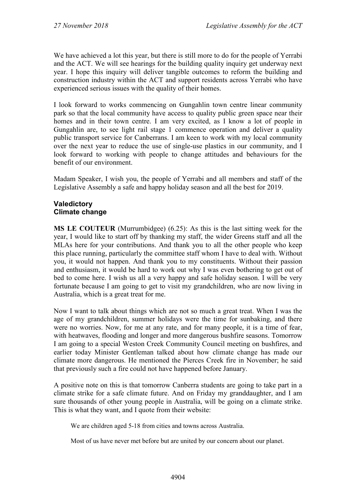We have achieved a lot this year, but there is still more to do for the people of Yerrabi and the ACT. We will see hearings for the building quality inquiry get underway next year. I hope this inquiry will deliver tangible outcomes to reform the building and construction industry within the ACT and support residents across Yerrabi who have experienced serious issues with the quality of their homes.

I look forward to works commencing on Gungahlin town centre linear community park so that the local community have access to quality public green space near their homes and in their town centre. I am very excited, as I know a lot of people in Gungahlin are, to see light rail stage 1 commence operation and deliver a quality public transport service for Canberrans. I am keen to work with my local community over the next year to reduce the use of single-use plastics in our community, and I look forward to working with people to change attitudes and behaviours for the benefit of our environment.

Madam Speaker, I wish you, the people of Yerrabi and all members and staff of the Legislative Assembly a safe and happy holiday season and all the best for 2019.

## **Valedictory Climate change**

**MS LE COUTEUR** (Murrumbidgee) (6.25): As this is the last sitting week for the year, I would like to start off by thanking my staff, the wider Greens staff and all the MLAs here for your contributions. And thank you to all the other people who keep this place running, particularly the committee staff whom I have to deal with. Without you, it would not happen. And thank you to my constituents. Without their passion and enthusiasm, it would be hard to work out why I was even bothering to get out of bed to come here. I wish us all a very happy and safe holiday season. I will be very fortunate because I am going to get to visit my grandchildren, who are now living in Australia, which is a great treat for me.

Now I want to talk about things which are not so much a great treat. When I was the age of my grandchildren, summer holidays were the time for sunbaking, and there were no worries. Now, for me at any rate, and for many people, it is a time of fear, with heatwaves, flooding and longer and more dangerous bushfire seasons. Tomorrow I am going to a special Weston Creek Community Council meeting on bushfires, and earlier today Minister Gentleman talked about how climate change has made our climate more dangerous. He mentioned the Pierces Creek fire in November; he said that previously such a fire could not have happened before January.

A positive note on this is that tomorrow Canberra students are going to take part in a climate strike for a safe climate future. And on Friday my granddaughter, and I am sure thousands of other young people in Australia, will be going on a climate strike. This is what they want, and I quote from their website:

We are children aged 5-18 from cities and towns across Australia.

Most of us have never met before but are united by our concern about our planet.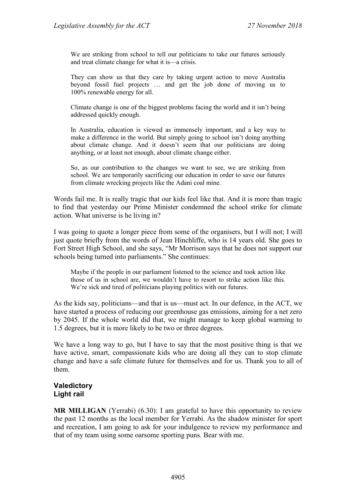We are striking from school to tell our politicians to take our futures seriously and treat climate change for what it is—a crisis.

They can show us that they care by taking urgent action to move Australia beyond fossil fuel projects … and get the job done of moving us to 100% renewable energy for all.

Climate change is one of the biggest problems facing the world and it isn't being addressed quickly enough.

In Australia, education is viewed as immensely important, and a key way to make a difference in the world. But simply going to school isn't doing anything about climate change. And it doesn't seem that our politicians are doing anything, or at least not enough, about climate change either.

So, as our contribution to the changes we want to see, we are striking from school. We are temporarily sacrificing our education in order to save our futures from climate wrecking projects like the Adani coal mine.

Words fail me. It is really tragic that our kids feel like that. And it is more than tragic to find that yesterday our Prime Minister condemned the school strike for climate action. What universe is he living in?

I was going to quote a longer piece from some of the organisers, but I will not; I will just quote briefly from the words of Jean Hinchliffe, who is 14 years old. She goes to Fort Street High School, and she says, "Mr Morrison says that he does not support our schools being turned into parliaments." She continues:

Maybe if the people in our parliament listened to the science and took action like those of us in school are, we wouldn't have to resort to strike action like this. We're sick and tired of politicians playing politics with our futures.

As the kids say, politicians—and that is us—must act. In our defence, in the ACT, we have started a process of reducing our greenhouse gas emissions, aiming for a net zero by 2045. If the whole world did that, we might manage to keep global warming to 1.5 degrees, but it is more likely to be two or three degrees.

We have a long way to go, but I have to say that the most positive thing is that we have active, smart, compassionate kids who are doing all they can to stop climate change and have a safe climate future for themselves and for us. Thank you to all of them.

#### **Valedictory Light rail**

**MR MILLIGAN** (Yerrabi) (6.30): I am grateful to have this opportunity to review the past 12 months as the local member for Yerrabi. As the shadow minister for sport and recreation, I am going to ask for your indulgence to review my performance and that of my team using some oarsome sporting puns. Bear with me.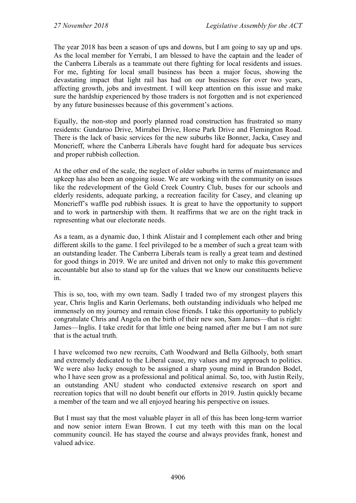The year 2018 has been a season of ups and downs, but I am going to say up and ups. As the local member for Yerrabi, I am blessed to have the captain and the leader of the Canberra Liberals as a teammate out there fighting for local residents and issues. For me, fighting for local small business has been a major focus, showing the devastating impact that light rail has had on our businesses for over two years, affecting growth, jobs and investment. I will keep attention on this issue and make sure the hardship experienced by those traders is not forgotten and is not experienced by any future businesses because of this government's actions.

Equally, the non-stop and poorly planned road construction has frustrated so many residents: Gundaroo Drive, Mirrabei Drive, Horse Park Drive and Flemington Road. There is the lack of basic services for the new suburbs like Bonner, Jacka, Casey and Moncrieff, where the Canberra Liberals have fought hard for adequate bus services and proper rubbish collection.

At the other end of the scale, the neglect of older suburbs in terms of maintenance and upkeep has also been an ongoing issue. We are working with the community on issues like the redevelopment of the Gold Creek Country Club, buses for our schools and elderly residents, adequate parking, a recreation facility for Casey, and cleaning up Moncrieff's waffle pod rubbish issues. It is great to have the opportunity to support and to work in partnership with them. It reaffirms that we are on the right track in representing what our electorate needs.

As a team, as a dynamic duo, I think Alistair and I complement each other and bring different skills to the game. I feel privileged to be a member of such a great team with an outstanding leader. The Canberra Liberals team is really a great team and destined for good things in 2019. We are united and driven not only to make this government accountable but also to stand up for the values that we know our constituents believe in.

This is so, too, with my own team. Sadly I traded two of my strongest players this year, Chris Inglis and Karin Oerlemans, both outstanding individuals who helped me immensely on my journey and remain close friends. I take this opportunity to publicly congratulate Chris and Angela on the birth of their new son, Sam James—that is right: James—Inglis. I take credit for that little one being named after me but I am not sure that is the actual truth.

I have welcomed two new recruits, Cath Woodward and Bella Gilhooly, both smart and extremely dedicated to the Liberal cause, my values and my approach to politics. We were also lucky enough to be assigned a sharp young mind in Brandon Bodel, who I have seen grow as a professional and political animal. So, too, with Justin Reily, an outstanding ANU student who conducted extensive research on sport and recreation topics that will no doubt benefit our efforts in 2019. Justin quickly became a member of the team and we all enjoyed hearing his perspective on issues.

But I must say that the most valuable player in all of this has been long-term warrior and now senior intern Ewan Brown. I cut my teeth with this man on the local community council. He has stayed the course and always provides frank, honest and valued advice.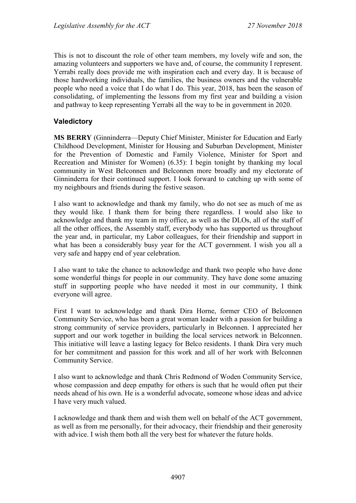This is not to discount the role of other team members, my lovely wife and son, the amazing volunteers and supporters we have and, of course, the community I represent. Yerrabi really does provide me with inspiration each and every day. It is because of those hardworking individuals, the families, the business owners and the vulnerable people who need a voice that I do what I do. This year, 2018, has been the season of consolidating, of implementing the lessons from my first year and building a vision and pathway to keep representing Yerrabi all the way to be in government in 2020.

#### **Valedictory**

**MS BERRY** (Ginninderra—Deputy Chief Minister, Minister for Education and Early Childhood Development, Minister for Housing and Suburban Development, Minister for the Prevention of Domestic and Family Violence, Minister for Sport and Recreation and Minister for Women) (6.35): I begin tonight by thanking my local community in West Belconnen and Belconnen more broadly and my electorate of Ginninderra for their continued support. I look forward to catching up with some of my neighbours and friends during the festive season.

I also want to acknowledge and thank my family, who do not see as much of me as they would like. I thank them for being there regardless. I would also like to acknowledge and thank my team in my office, as well as the DLOs, all of the staff of all the other offices, the Assembly staff, everybody who has supported us throughout the year and, in particular, my Labor colleagues, for their friendship and support in what has been a considerably busy year for the ACT government. I wish you all a very safe and happy end of year celebration.

I also want to take the chance to acknowledge and thank two people who have done some wonderful things for people in our community. They have done some amazing stuff in supporting people who have needed it most in our community, I think everyone will agree.

First I want to acknowledge and thank Dira Horne, former CEO of Belconnen Community Service, who has been a great woman leader with a passion for building a strong community of service providers, particularly in Belconnen. I appreciated her support and our work together in building the local services network in Belconnen. This initiative will leave a lasting legacy for Belco residents. I thank Dira very much for her commitment and passion for this work and all of her work with Belconnen Community Service.

I also want to acknowledge and thank Chris Redmond of Woden Community Service, whose compassion and deep empathy for others is such that he would often put their needs ahead of his own. He is a wonderful advocate, someone whose ideas and advice I have very much valued.

I acknowledge and thank them and wish them well on behalf of the ACT government, as well as from me personally, for their advocacy, their friendship and their generosity with advice. I wish them both all the very best for whatever the future holds.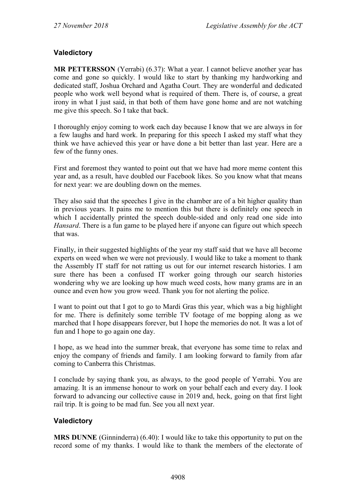## **Valedictory**

**MR PETTERSSON** (Yerrabi) (6.37): What a year. I cannot believe another year has come and gone so quickly. I would like to start by thanking my hardworking and dedicated staff, Joshua Orchard and Agatha Court. They are wonderful and dedicated people who work well beyond what is required of them. There is, of course, a great irony in what I just said, in that both of them have gone home and are not watching me give this speech. So I take that back.

I thoroughly enjoy coming to work each day because I know that we are always in for a few laughs and hard work. In preparing for this speech I asked my staff what they think we have achieved this year or have done a bit better than last year. Here are a few of the funny ones.

First and foremost they wanted to point out that we have had more meme content this year and, as a result, have doubled our Facebook likes. So you know what that means for next year: we are doubling down on the memes.

They also said that the speeches I give in the chamber are of a bit higher quality than in previous years. It pains me to mention this but there is definitely one speech in which I accidentally printed the speech double-sided and only read one side into *Hansard*. There is a fun game to be played here if anyone can figure out which speech that was.

Finally, in their suggested highlights of the year my staff said that we have all become experts on weed when we were not previously. I would like to take a moment to thank the Assembly IT staff for not ratting us out for our internet research histories. I am sure there has been a confused IT worker going through our search histories wondering why we are looking up how much weed costs, how many grams are in an ounce and even how you grow weed. Thank you for not alerting the police.

I want to point out that I got to go to Mardi Gras this year, which was a big highlight for me. There is definitely some terrible TV footage of me bopping along as we marched that I hope disappears forever, but I hope the memories do not. It was a lot of fun and I hope to go again one day.

I hope, as we head into the summer break, that everyone has some time to relax and enjoy the company of friends and family. I am looking forward to family from afar coming to Canberra this Christmas.

I conclude by saying thank you, as always, to the good people of Yerrabi. You are amazing. It is an immense honour to work on your behalf each and every day. I look forward to advancing our collective cause in 2019 and, heck, going on that first light rail trip. It is going to be mad fun. See you all next year.

### **Valedictory**

**MRS DUNNE** (Ginninderra) (6.40): I would like to take this opportunity to put on the record some of my thanks. I would like to thank the members of the electorate of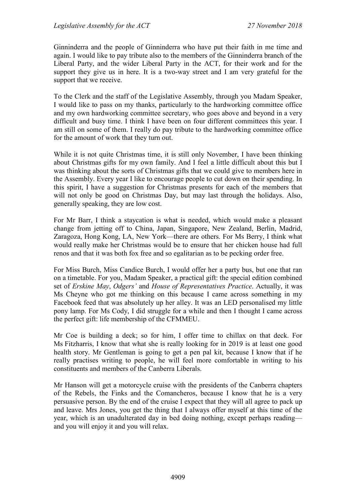Ginninderra and the people of Ginninderra who have put their faith in me time and again. I would like to pay tribute also to the members of the Ginninderra branch of the Liberal Party, and the wider Liberal Party in the ACT, for their work and for the support they give us in here. It is a two-way street and I am very grateful for the support that we receive.

To the Clerk and the staff of the Legislative Assembly, through you Madam Speaker, I would like to pass on my thanks, particularly to the hardworking committee office and my own hardworking committee secretary, who goes above and beyond in a very difficult and busy time. I think I have been on four different committees this year. I am still on some of them. I really do pay tribute to the hardworking committee office for the amount of work that they turn out.

While it is not quite Christmas time, it is still only November, I have been thinking about Christmas gifts for my own family. And I feel a little difficult about this but I was thinking about the sorts of Christmas gifts that we could give to members here in the Assembly. Every year I like to encourage people to cut down on their spending. In this spirit, I have a suggestion for Christmas presents for each of the members that will not only be good on Christmas Day, but may last through the holidays. Also, generally speaking, they are low cost.

For Mr Barr, I think a staycation is what is needed, which would make a pleasant change from jetting off to China, Japan, Singapore, New Zealand, Berlin, Madrid, Zaragoza, Hong Kong, LA, New York—there are others. For Ms Berry, I think what would really make her Christmas would be to ensure that her chicken house had full renos and that it was both fox free and so egalitarian as to be pecking order free.

For Miss Burch, Miss Candice Burch, I would offer her a party bus, but one that ran on a timetable. For you, Madam Speaker, a practical gift: the special edition combined set of *Erskine May*, *Odgers'* and *House of Representatives Practice*. Actually, it was Ms Cheyne who got me thinking on this because I came across something in my Facebook feed that was absolutely up her alley. It was an LED personalised my little pony lamp. For Ms Cody, I did struggle for a while and then I thought I came across the perfect gift: life membership of the CFMMEU.

Mr Coe is building a deck; so for him, I offer time to chillax on that deck. For Ms Fitzharris, I know that what she is really looking for in 2019 is at least one good health story. Mr Gentleman is going to get a pen pal kit, because I know that if he really practises writing to people, he will feel more comfortable in writing to his constituents and members of the Canberra Liberals.

Mr Hanson will get a motorcycle cruise with the presidents of the Canberra chapters of the Rebels, the Finks and the Comancheros, because I know that he is a very persuasive person. By the end of the cruise I expect that they will all agree to pack up and leave. Mrs Jones, you get the thing that I always offer myself at this time of the year, which is an unadulterated day in bed doing nothing, except perhaps reading and you will enjoy it and you will relax.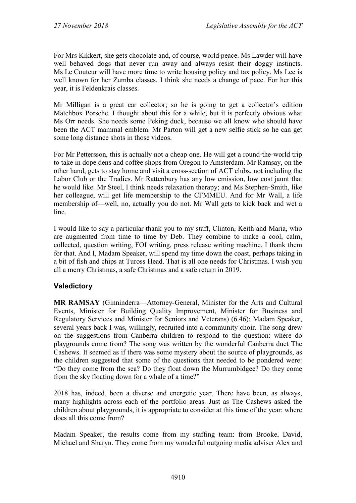For Mrs Kikkert, she gets chocolate and, of course, world peace. Ms Lawder will have well behaved dogs that never run away and always resist their doggy instincts. Ms Le Couteur will have more time to write housing policy and tax policy. Ms Lee is well known for her Zumba classes. I think she needs a change of pace. For her this year, it is Feldenkrais classes.

Mr Milligan is a great car collector; so he is going to get a collector's edition Matchbox Porsche. I thought about this for a while, but it is perfectly obvious what Ms Orr needs. She needs some Peking duck, because we all know who should have been the ACT mammal emblem. Mr Parton will get a new selfie stick so he can get some long distance shots in those videos.

For Mr Pettersson, this is actually not a cheap one. He will get a round-the-world trip to take in dope dens and coffee shops from Oregon to Amsterdam. Mr Ramsay, on the other hand, gets to stay home and visit a cross-section of ACT clubs, not including the Labor Club or the Tradies. Mr Rattenbury has any low emission, low cost jaunt that he would like. Mr Steel, I think needs relaxation therapy; and Ms Stephen-Smith, like her colleague, will get life membership to the CFMMEU. And for Mr Wall, a life membership of—well, no, actually you do not. Mr Wall gets to kick back and wet a line.

I would like to say a particular thank you to my staff, Clinton, Keith and Maria, who are augmented from time to time by Deb. They combine to make a cool, calm, collected, question writing, FOI writing, press release writing machine. I thank them for that. And I, Madam Speaker, will spend my time down the coast, perhaps taking in a bit of fish and chips at Tuross Head. That is all one needs for Christmas. I wish you all a merry Christmas, a safe Christmas and a safe return in 2019.

## **Valedictory**

**MR RAMSAY** (Ginninderra—Attorney-General, Minister for the Arts and Cultural Events, Minister for Building Quality Improvement, Minister for Business and Regulatory Services and Minister for Seniors and Veterans) (6.46): Madam Speaker, several years back I was, willingly, recruited into a community choir. The song drew on the suggestions from Canberra children to respond to the question: where do playgrounds come from? The song was written by the wonderful Canberra duet The Cashews. It seemed as if there was some mystery about the source of playgrounds, as the children suggested that some of the questions that needed to be pondered were: "Do they come from the sea? Do they float down the Murrumbidgee? Do they come from the sky floating down for a whale of a time?"

2018 has, indeed, been a diverse and energetic year. There have been, as always, many highlights across each of the portfolio areas. Just as The Cashews asked the children about playgrounds, it is appropriate to consider at this time of the year: where does all this come from?

Madam Speaker, the results come from my staffing team: from Brooke, David, Michael and Sharyn. They come from my wonderful outgoing media adviser Alex and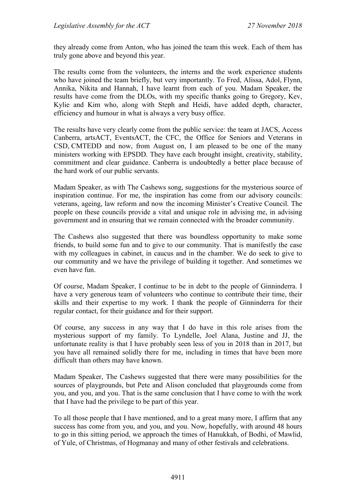they already come from Anton, who has joined the team this week. Each of them has truly gone above and beyond this year.

The results come from the volunteers, the interns and the work experience students who have joined the team briefly, but very importantly. To Fred, Alissa, Adol, Flynn, Annika, Nikita and Hannah, I have learnt from each of you. Madam Speaker, the results have come from the DLOs, with my specific thanks going to Gregory, Kev, Kylie and Kim who, along with Steph and Heidi, have added depth, character, efficiency and humour in what is always a very busy office.

The results have very clearly come from the public service: the team at JACS, Access Canberra, artsACT, EventsACT, the CFC, the Office for Seniors and Veterans in CSD, CMTEDD and now, from August on, I am pleased to be one of the many ministers working with EPSDD. They have each brought insight, creativity, stability, commitment and clear guidance. Canberra is undoubtedly a better place because of the hard work of our public servants.

Madam Speaker, as with The Cashews song, suggestions for the mysterious source of inspiration continue. For me, the inspiration has come from our advisory councils: veterans, ageing, law reform and now the incoming Minister's Creative Council. The people on these councils provide a vital and unique role in advising me, in advising government and in ensuring that we remain connected with the broader community.

The Cashews also suggested that there was boundless opportunity to make some friends, to build some fun and to give to our community. That is manifestly the case with my colleagues in cabinet, in caucus and in the chamber. We do seek to give to our community and we have the privilege of building it together. And sometimes we even have fun.

Of course, Madam Speaker, I continue to be in debt to the people of Ginninderra. I have a very generous team of volunteers who continue to contribute their time, their skills and their expertise to my work. I thank the people of Ginninderra for their regular contact, for their guidance and for their support.

Of course, any success in any way that I do have in this role arises from the mysterious support of my family. To Lyndelle, Joel Alana, Justine and JJ, the unfortunate reality is that I have probably seen less of you in 2018 than in 2017, but you have all remained solidly there for me, including in times that have been more difficult than others may have known.

Madam Speaker, The Cashews suggested that there were many possibilities for the sources of playgrounds, but Pete and Alison concluded that playgrounds come from you, and you, and you. That is the same conclusion that I have come to with the work that I have had the privilege to be part of this year.

To all those people that I have mentioned, and to a great many more, I affirm that any success has come from you, and you, and you. Now, hopefully, with around 48 hours to go in this sitting period, we approach the times of Hanukkah, of Bodhi, of Mawlid, of Yule, of Christmas, of Hogmanay and many of other festivals and celebrations.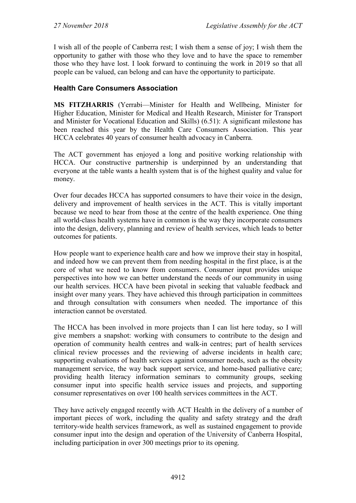I wish all of the people of Canberra rest; I wish them a sense of joy; I wish them the opportunity to gather with those who they love and to have the space to remember those who they have lost. I look forward to continuing the work in 2019 so that all people can be valued, can belong and can have the opportunity to participate.

## **Health Care Consumers Association**

**MS FITZHARRIS** (Yerrabi—Minister for Health and Wellbeing, Minister for Higher Education, Minister for Medical and Health Research, Minister for Transport and Minister for Vocational Education and Skills) (6.51): A significant milestone has been reached this year by the Health Care Consumers Association. This year HCCA celebrates 40 years of consumer health advocacy in Canberra.

The ACT government has enjoyed a long and positive working relationship with HCCA. Our constructive partnership is underpinned by an understanding that everyone at the table wants a health system that is of the highest quality and value for money.

Over four decades HCCA has supported consumers to have their voice in the design, delivery and improvement of health services in the ACT. This is vitally important because we need to hear from those at the centre of the health experience. One thing all world-class health systems have in common is the way they incorporate consumers into the design, delivery, planning and review of health services, which leads to better outcomes for patients.

How people want to experience health care and how we improve their stay in hospital, and indeed how we can prevent them from needing hospital in the first place, is at the core of what we need to know from consumers. Consumer input provides unique perspectives into how we can better understand the needs of our community in using our health services. HCCA have been pivotal in seeking that valuable feedback and insight over many years. They have achieved this through participation in committees and through consultation with consumers when needed. The importance of this interaction cannot be overstated.

The HCCA has been involved in more projects than I can list here today, so I will give members a snapshot: working with consumers to contribute to the design and operation of community health centres and walk-in centres; part of health services clinical review processes and the reviewing of adverse incidents in health care; supporting evaluations of health services against consumer needs, such as the obesity management service, the way back support service, and home-based palliative care; providing health literacy information seminars to community groups, seeking consumer input into specific health service issues and projects, and supporting consumer representatives on over 100 health services committees in the ACT.

They have actively engaged recently with ACT Health in the delivery of a number of important pieces of work, including the quality and safety strategy and the draft territory-wide health services framework, as well as sustained engagement to provide consumer input into the design and operation of the University of Canberra Hospital, including participation in over 300 meetings prior to its opening.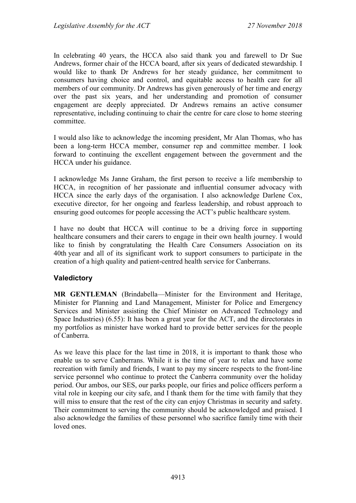In celebrating 40 years, the HCCA also said thank you and farewell to Dr Sue Andrews, former chair of the HCCA board, after six years of dedicated stewardship. I would like to thank Dr Andrews for her steady guidance, her commitment to consumers having choice and control, and equitable access to health care for all members of our community. Dr Andrews has given generously of her time and energy over the past six years, and her understanding and promotion of consumer engagement are deeply appreciated. Dr Andrews remains an active consumer representative, including continuing to chair the centre for care close to home steering committee.

I would also like to acknowledge the incoming president, Mr Alan Thomas, who has been a long-term HCCA member, consumer rep and committee member. I look forward to continuing the excellent engagement between the government and the HCCA under his guidance.

I acknowledge Ms Janne Graham, the first person to receive a life membership to HCCA, in recognition of her passionate and influential consumer advocacy with HCCA since the early days of the organisation. I also acknowledge Darlene Cox, executive director, for her ongoing and fearless leadership, and robust approach to ensuring good outcomes for people accessing the ACT's public healthcare system.

I have no doubt that HCCA will continue to be a driving force in supporting healthcare consumers and their carers to engage in their own health journey. I would like to finish by congratulating the Health Care Consumers Association on its 40th year and all of its significant work to support consumers to participate in the creation of a high quality and patient-centred health service for Canberrans.

### **Valedictory**

**MR GENTLEMAN** (Brindabella—Minister for the Environment and Heritage, Minister for Planning and Land Management, Minister for Police and Emergency Services and Minister assisting the Chief Minister on Advanced Technology and Space Industries) (6.55): It has been a great year for the ACT, and the directorates in my portfolios as minister have worked hard to provide better services for the people of Canberra.

As we leave this place for the last time in 2018, it is important to thank those who enable us to serve Canberrans. While it is the time of year to relax and have some recreation with family and friends, I want to pay my sincere respects to the front-line service personnel who continue to protect the Canberra community over the holiday period. Our ambos, our SES, our parks people, our firies and police officers perform a vital role in keeping our city safe, and I thank them for the time with family that they will miss to ensure that the rest of the city can enjoy Christmas in security and safety. Their commitment to serving the community should be acknowledged and praised. I also acknowledge the families of these personnel who sacrifice family time with their loved ones.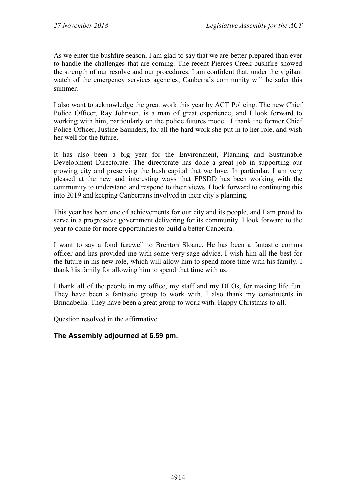As we enter the bushfire season, I am glad to say that we are better prepared than ever to handle the challenges that are coming. The recent Pierces Creek bushfire showed the strength of our resolve and our procedures. I am confident that, under the vigilant watch of the emergency services agencies, Canberra's community will be safer this summer.

I also want to acknowledge the great work this year by ACT Policing. The new Chief Police Officer, Ray Johnson, is a man of great experience, and I look forward to working with him, particularly on the police futures model. I thank the former Chief Police Officer, Justine Saunders, for all the hard work she put in to her role, and wish her well for the future.

It has also been a big year for the Environment, Planning and Sustainable Development Directorate. The directorate has done a great job in supporting our growing city and preserving the bush capital that we love. In particular, I am very pleased at the new and interesting ways that EPSDD has been working with the community to understand and respond to their views. I look forward to continuing this into 2019 and keeping Canberrans involved in their city's planning.

This year has been one of achievements for our city and its people, and I am proud to serve in a progressive government delivering for its community. I look forward to the year to come for more opportunities to build a better Canberra.

I want to say a fond farewell to Brenton Sloane. He has been a fantastic comms officer and has provided me with some very sage advice. I wish him all the best for the future in his new role, which will allow him to spend more time with his family. I thank his family for allowing him to spend that time with us.

I thank all of the people in my office, my staff and my DLOs, for making life fun. They have been a fantastic group to work with. I also thank my constituents in Brindabella. They have been a great group to work with. Happy Christmas to all.

Question resolved in the affirmative.

### **The Assembly adjourned at 6.59 pm.**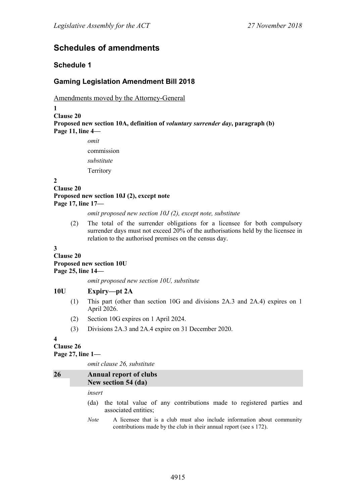## **Schedules of amendments**

#### **Schedule 1**

## **Gaming Legislation Amendment Bill 2018**

Amendments moved by the Attorney-General

**1**

```
Clause 20
Proposed new section 10A, definition of voluntary surrender day, paragraph (b)
Page 11, line 4—
```
*omit* commission *substitute* **Territory** 

#### **2**

**Clause 20**

**Proposed new section 10J (2), except note Page 17, line 17—**

#### *omit proposed new section 10J (2), except note, substitute*

(2) The total of the surrender obligations for a licensee for both compulsory surrender days must not exceed 20% of the authorisations held by the licensee in relation to the authorised premises on the census day.

**3**

#### **Clause 20 Proposed new section 10U Page 25, line 14—**

*omit proposed new section 10U, substitute*

#### **10U Expiry—pt 2A**

- (1) This part (other than section 10G and divisions 2A.3 and 2A.4) expires on 1 April 2026.
- (2) Section 10G expires on 1 April 2024.
- (3) Divisions 2A.3 and 2A.4 expire on 31 December 2020.

**4**

### **Clause 26**

#### **Page 27, line 1—**

*omit clause 26, substitute*

| 26 | <b>Annual report of clubs</b><br>New section 54 (da)                                                                                                         |  |
|----|--------------------------------------------------------------------------------------------------------------------------------------------------------------|--|
|    | insert                                                                                                                                                       |  |
|    | the total value of any contributions made to registered parties and<br>(da)<br>associated entities;                                                          |  |
|    | A licensee that is a club must also include information about community<br><i>Note</i><br>contributions made by the club in their annual report (see s 172). |  |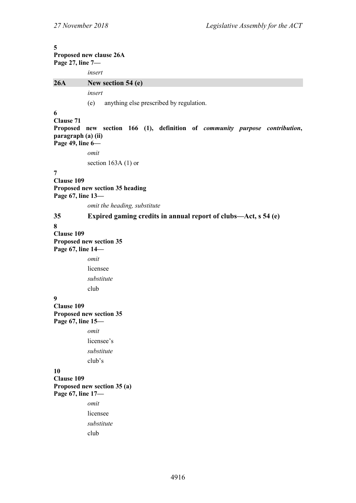| 5<br>Proposed new clause 26A<br>Page 27, line 7-                |                                                                                     |  |
|-----------------------------------------------------------------|-------------------------------------------------------------------------------------|--|
|                                                                 | insert                                                                              |  |
| 26A                                                             | New section 54 (e)                                                                  |  |
|                                                                 | insert                                                                              |  |
|                                                                 | anything else prescribed by regulation.<br>(e)                                      |  |
| 6<br><b>Clause 71</b><br>paragraph (a) (ii)<br>Page 49, line 6- | Proposed new section 166 (1), definition of <i>community purpose contribution</i> , |  |
|                                                                 | omit                                                                                |  |
|                                                                 | section $163A(1)$ or                                                                |  |
| 7<br><b>Clause 109</b><br>Page 67, line 13-                     | Proposed new section 35 heading                                                     |  |
|                                                                 | omit the heading, substitute                                                        |  |
| 35                                                              | Expired gaming credits in annual report of clubs—Act, s 54 (e)                      |  |
| 8<br><b>Clause 109</b><br>Page 67, line 14-                     | Proposed new section 35                                                             |  |
|                                                                 | omit                                                                                |  |
|                                                                 | licensee                                                                            |  |
|                                                                 | substitute                                                                          |  |
|                                                                 | club                                                                                |  |
| 9<br><b>Clause 109</b><br>Page 67, line 15-                     | Proposed new section 35                                                             |  |
|                                                                 | omit                                                                                |  |
|                                                                 | licensee's                                                                          |  |
|                                                                 | substitute                                                                          |  |
|                                                                 | club's                                                                              |  |
| 10<br><b>Clause 109</b><br>Page 67, line 17-                    | Proposed new section 35 (a)                                                         |  |
|                                                                 | omit                                                                                |  |
|                                                                 | licensee                                                                            |  |
|                                                                 | substitute                                                                          |  |
|                                                                 | club                                                                                |  |
|                                                                 |                                                                                     |  |